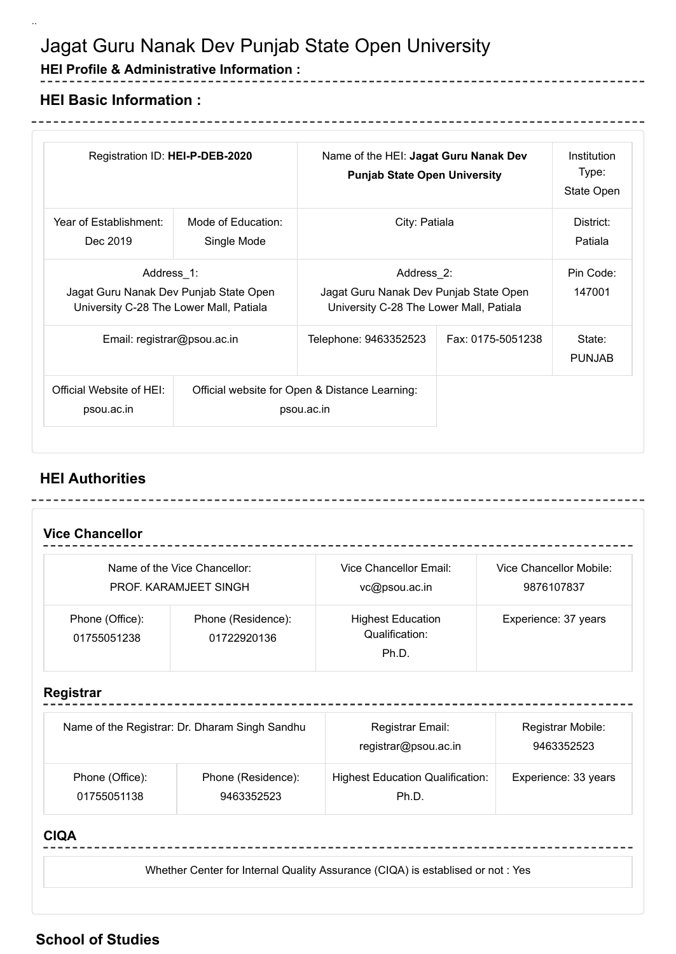# Jagat Guru Nanak Dev Punjab State Open University

### **HEI Profile & Administrative Information :**

## **HEI Basic Information :**

\_\_\_\_\_\_\_\_\_\_\_\_\_\_\_\_

..

| Registration ID: HEI-P-DEB-2020                                                                 |                                   | Name of the HEI: Jagat Guru Nanak Dev<br><b>Punjab State Open University</b>                    |                   | Institution<br>Type:<br>State Open |
|-------------------------------------------------------------------------------------------------|-----------------------------------|-------------------------------------------------------------------------------------------------|-------------------|------------------------------------|
| Year of Establishment:<br>Dec 2019                                                              | Mode of Education:<br>Single Mode | City: Patiala                                                                                   |                   | District:<br>Patiala               |
| Address 1:<br>Jagat Guru Nanak Dev Punjab State Open<br>University C-28 The Lower Mall, Patiala |                                   | Address 2:<br>Jagat Guru Nanak Dev Punjab State Open<br>University C-28 The Lower Mall, Patiala |                   | Pin Code:<br>147001                |
| Email: registrar@psou.ac.in                                                                     |                                   | Telephone: 9463352523                                                                           | Fax: 0175-5051238 | State:<br><b>PUNJAB</b>            |
| Official Website of HEI:<br>psou.ac.in                                                          |                                   | Official website for Open & Distance Learning:<br>psou.ac.in                                    |                   |                                    |

--------

-----------------

---------------------

### **HEI Authorities**

|                                                | Name of the Vice Chancellor:<br>PROF. KARAMJEET SINGH                                    | Vice Chancellor Email:<br>vc@psou.ac.in          | Vice Chancellor Mobile:<br>9876107837 |  |
|------------------------------------------------|------------------------------------------------------------------------------------------|--------------------------------------------------|---------------------------------------|--|
| Phone (Office):<br>01755051238                 | Phone (Residence):<br><b>Highest Education</b><br>Qualification:<br>01722920136<br>Ph.D. |                                                  | Experience: 37 years                  |  |
| Registrar                                      |                                                                                          |                                                  |                                       |  |
| Name of the Registrar: Dr. Dharam Singh Sandhu |                                                                                          | Registrar Email:<br>registrar@psou.ac.in         | Registrar Mobile:<br>9463352523       |  |
| Phone (Office):<br>01755051138                 | Phone (Residence):<br>9463352523                                                         | <b>Highest Education Qualification:</b><br>Ph.D. | Experience: 33 years                  |  |

#### **CIQA**

Whether Center for Internal Quality Assurance (CIQA) is establised or not : Yes

### **School of Studies**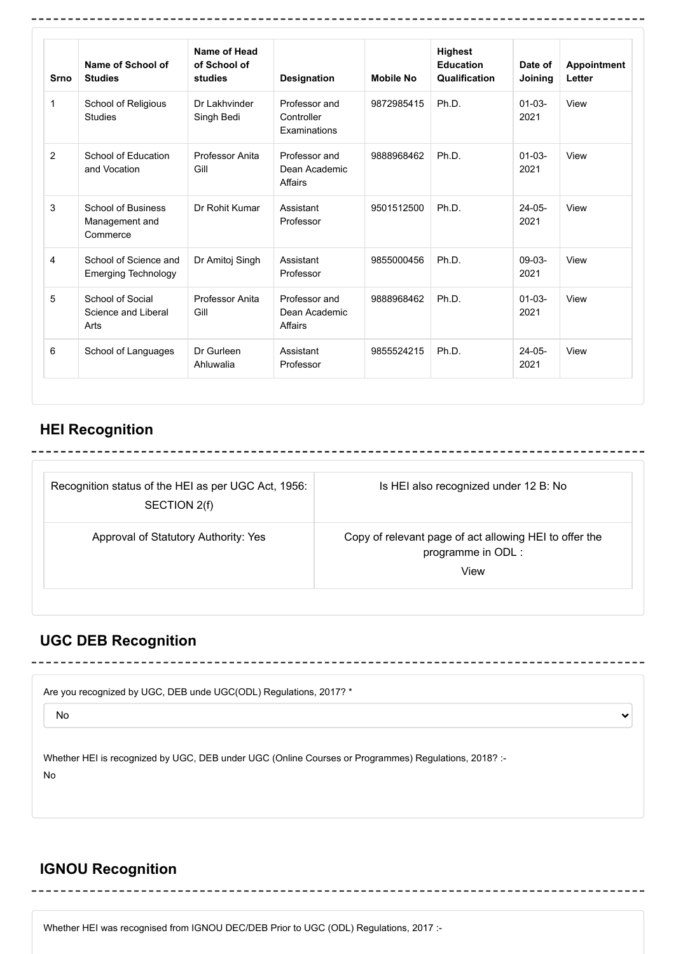| <b>Srno</b>    | Name of School of<br><b>Studies</b>                     | Name of Head<br>of School of<br>studies | Designation                                 | <b>Mobile No</b> | <b>Highest</b><br>Education<br>Qualification | Date of<br>Joining  | <b>Appointment</b><br>Letter |
|----------------|---------------------------------------------------------|-----------------------------------------|---------------------------------------------|------------------|----------------------------------------------|---------------------|------------------------------|
| $\mathbf{1}$   | School of Religious<br><b>Studies</b>                   | Dr I akhvinder<br>Singh Bedi            | Professor and<br>Controller<br>Examinations | 9872985415       | Ph.D.                                        | $01 - 03 -$<br>2021 | View                         |
| 2              | School of Education<br>and Vocation                     | Professor Anita<br>Gill                 | Professor and<br>Dean Academic<br>Affairs   | 9888968462       | Ph.D.                                        | $01 - 03 -$<br>2021 | View                         |
| 3              | <b>School of Business</b><br>Management and<br>Commerce | Dr Rohit Kumar                          | Assistant<br>Professor                      | 9501512500       | Ph.D.                                        | $24-05-$<br>2021    | View                         |
| $\overline{4}$ | School of Science and<br><b>Emerging Technology</b>     | Dr Amitoj Singh                         | Assistant<br>Professor                      | 9855000456       | Ph.D.                                        | $09-03-$<br>2021    | View                         |
| 5              | School of Social<br>Science and Liberal<br>Arts         | Professor Anita<br>Gill                 | Professor and<br>Dean Academic<br>Affairs   | 9888968462       | Ph.D.                                        | $01 - 03 -$<br>2021 | View                         |
| 6              | School of Languages                                     | Dr Gurleen<br>Ahluwalia                 | Assistant<br>Professor                      | 9855524215       | Ph.D.                                        | $24-05-$<br>2021    | View                         |

## **HEI Recognition**

-------------------------------

| Recognition status of the HEI as per UGC Act, 1956:<br>SECTION 2(f) | Is HEI also recognized under 12 B: No                                                |
|---------------------------------------------------------------------|--------------------------------------------------------------------------------------|
| Approval of Statutory Authority: Yes                                | Copy of relevant page of act allowing HEI to offer the<br>programme in ODL :<br>View |

## **UGC DEB Recognition**

| Are you recognized by UGC, DEB unde UGC(ODL) Regulations, 2017? *                                          |   |
|------------------------------------------------------------------------------------------------------------|---|
| <b>No</b>                                                                                                  | v |
| Whether HEI is recognized by UGC, DEB under UGC (Online Courses or Programmes) Regulations, 2018? :-<br>No |   |
|                                                                                                            |   |

---------------------------------

## **IGNOU Recognition**

Whether HEI was recognised from IGNOU DEC/DEB Prior to UGC (ODL) Regulations, 2017 :-

---------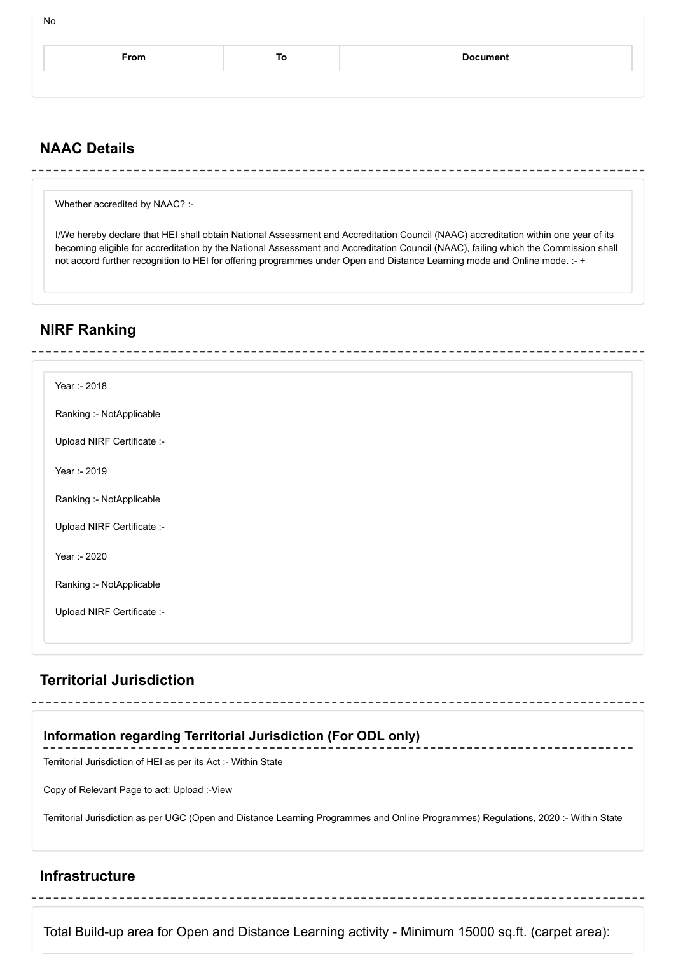| From | ιo | <b>Document</b> |
|------|----|-----------------|
|      |    |                 |
|      |    |                 |

### **NAAC Details**

No

Whether accredited by NAAC? :-

I/We hereby declare that HEI shall obtain National Assessment and Accreditation Council (NAAC) accreditation within one year of its becoming eligible for accreditation by the National Assessment and Accreditation Council (NAAC), failing which the Commission shall not accord further recognition to HEI for offering programmes under Open and Distance Learning mode and Online mode. :- +

### **NIRF Ranking**

| Year :- 2018               |  |
|----------------------------|--|
|                            |  |
| Ranking :- NotApplicable   |  |
| Upload NIRF Certificate :- |  |
|                            |  |
| Year :- 2019               |  |
| Ranking :- NotApplicable   |  |
|                            |  |
| Upload NIRF Certificate :- |  |
|                            |  |
| Year :- 2020               |  |
| Ranking :- NotApplicable   |  |
|                            |  |
| Upload NIRF Certificate :- |  |
|                            |  |
|                            |  |

### **Territorial Jurisdiction**

## **Information regarding Territorial Jurisdiction (For ODL only)**

Territorial Jurisdiction of HEI as per its Act :- Within State

Copy of Relevant Page to act: Upload :-View

Territorial Jurisdiction as per UGC (Open and Distance Learning Programmes and Online Programmes) Regulations, 2020 :- Within State

### **Infrastructure**

Total Build-up area for Open and Distance Learning activity - Minimum 15000 sq.ft. (carpet area):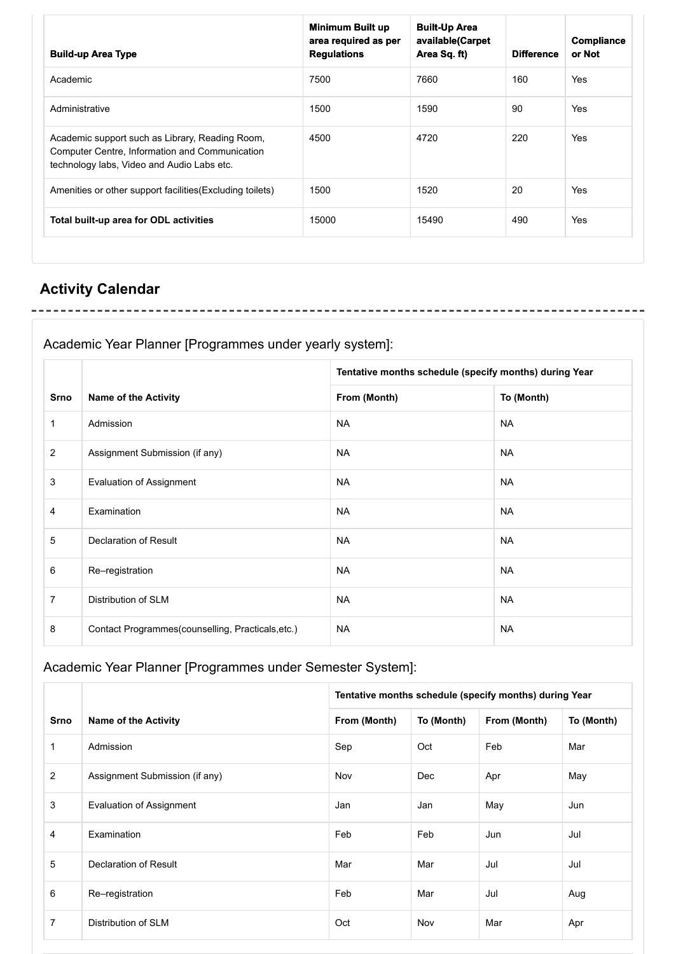| <b>Build-up Area Type</b>                                                                                                                       | <b>Minimum Built up</b><br>area required as per<br><b>Regulations</b> | <b>Built-Up Area</b><br>available(Carpet<br>Area Sq. ft) | <b>Difference</b> | Compliance<br>or Not |
|-------------------------------------------------------------------------------------------------------------------------------------------------|-----------------------------------------------------------------------|----------------------------------------------------------|-------------------|----------------------|
| Academic                                                                                                                                        | 7500                                                                  | 7660                                                     | 160               | Yes                  |
| Administrative                                                                                                                                  | 1500                                                                  | 1590                                                     | 90                | <b>Yes</b>           |
| Academic support such as Library, Reading Room,<br>Computer Centre, Information and Communication<br>technology labs, Video and Audio Labs etc. | 4500                                                                  | 4720                                                     | 220               | <b>Yes</b>           |
| Amenities or other support facilities (Excluding toilets)                                                                                       | 1500                                                                  | 1520                                                     | 20                | <b>Yes</b>           |
| Total built-up area for ODL activities                                                                                                          | 15000                                                                 | 15490                                                    | 490               | Yes                  |

## **Activity Calendar**

Academic Year Planner [Programmes under yearly system]:

|                |                                                   | Tentative months schedule (specify months) during Year |            |  |
|----------------|---------------------------------------------------|--------------------------------------------------------|------------|--|
| <b>Srno</b>    | <b>Name of the Activity</b>                       | From (Month)                                           | To (Month) |  |
| $\mathbf{1}$   | Admission                                         | <b>NA</b>                                              | <b>NA</b>  |  |
| 2              | Assignment Submission (if any)                    | <b>NA</b>                                              | <b>NA</b>  |  |
| 3              | <b>Evaluation of Assignment</b>                   | <b>NA</b>                                              | <b>NA</b>  |  |
| $\overline{4}$ | Examination                                       | <b>NA</b>                                              | <b>NA</b>  |  |
| 5              | Declaration of Result                             | <b>NA</b>                                              | <b>NA</b>  |  |
| 6              | Re-registration                                   | <b>NA</b>                                              | <b>NA</b>  |  |
| $\overline{7}$ | Distribution of SLM                               | <b>NA</b>                                              | <b>NA</b>  |  |
| 8              | Contact Programmes(counselling, Practicals, etc.) | <b>NA</b>                                              | <b>NA</b>  |  |

## Academic Year Planner [Programmes under Semester System]:

|                |                                 | Tentative months schedule (specify months) during Year |            |              |            |  |
|----------------|---------------------------------|--------------------------------------------------------|------------|--------------|------------|--|
| <b>Srno</b>    | <b>Name of the Activity</b>     | From (Month)                                           | To (Month) | From (Month) | To (Month) |  |
| 1              | Admission                       | Sep                                                    | Oct        | Feb          | Mar        |  |
| 2              | Assignment Submission (if any)  | Nov                                                    | Dec        | Apr          | May        |  |
| 3              | <b>Evaluation of Assignment</b> | Jan                                                    | Jan        | May          | Jun        |  |
| 4              | Examination                     | Feb                                                    | Feb        | Jun          | Jul        |  |
| 5              | Declaration of Result           | Mar                                                    | Mar        | Jul          | Jul        |  |
| 6              | Re-registration                 | Feb                                                    | Mar        | Jul          | Aug        |  |
| $\overline{7}$ | Distribution of SLM             | Oct                                                    | Nov        | Mar          | Apr        |  |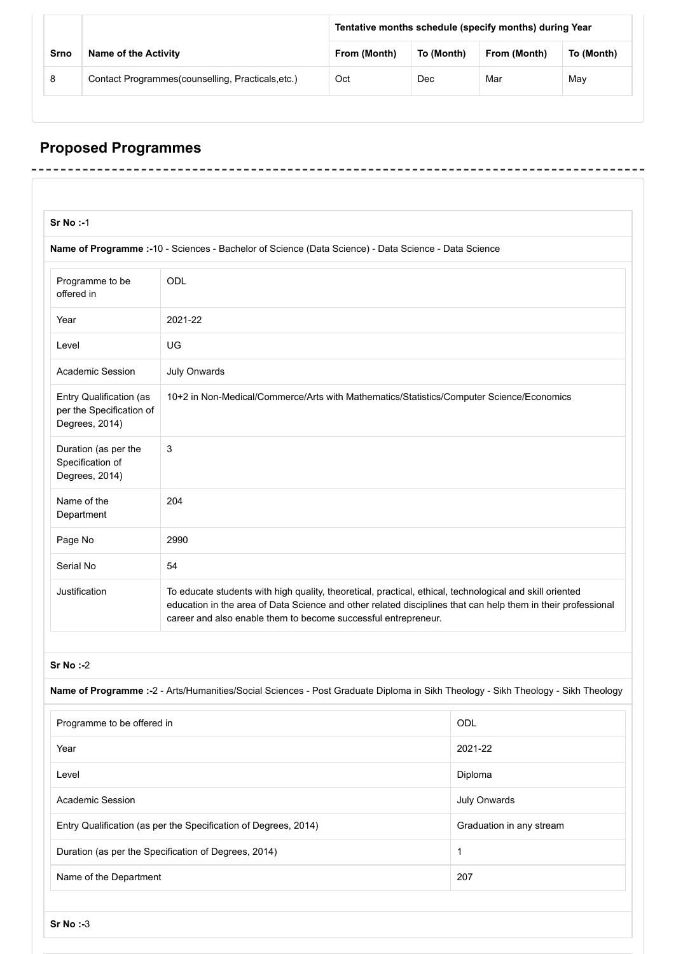|      |                                                    | Tentative months schedule (specify months) during Year |            |              |            |
|------|----------------------------------------------------|--------------------------------------------------------|------------|--------------|------------|
| Srno | <b>Name of the Activity</b>                        | From (Month)                                           | To (Month) | From (Month) | To (Month) |
| 8    | Contact Programmes (counselling, Practicals, etc.) | Oct                                                    | Dec        | Mar          | May        |

-------

-------

--------

# **Proposed Programmes**

 $\overline{a}$ L,  $- - - -$ 

 $- - - -$ 

| $Sr No : -1$                                                          |                                                                                                                                                                            |                                                                                                              |  |
|-----------------------------------------------------------------------|----------------------------------------------------------------------------------------------------------------------------------------------------------------------------|--------------------------------------------------------------------------------------------------------------|--|
|                                                                       | Name of Programme :- 10 - Sciences - Bachelor of Science (Data Science) - Data Science - Data Science                                                                      |                                                                                                              |  |
| Programme to be<br>offered in                                         | ODL                                                                                                                                                                        |                                                                                                              |  |
| Year                                                                  | 2021-22                                                                                                                                                                    |                                                                                                              |  |
| Level                                                                 | UG                                                                                                                                                                         |                                                                                                              |  |
| <b>Academic Session</b>                                               | <b>July Onwards</b>                                                                                                                                                        |                                                                                                              |  |
| Entry Qualification (as<br>per the Specification of<br>Degrees, 2014) | 10+2 in Non-Medical/Commerce/Arts with Mathematics/Statistics/Computer Science/Economics                                                                                   |                                                                                                              |  |
| Duration (as per the<br>Specification of<br>Degrees, 2014)            | 3                                                                                                                                                                          |                                                                                                              |  |
| Name of the<br>Department                                             | 204                                                                                                                                                                        |                                                                                                              |  |
| Page No                                                               | 2990                                                                                                                                                                       |                                                                                                              |  |
| Serial No                                                             | 54                                                                                                                                                                         |                                                                                                              |  |
| Justification                                                         | To educate students with high quality, theoretical, practical, ethical, technological and skill oriented<br>career and also enable them to become successful entrepreneur. | education in the area of Data Science and other related disciplines that can help them in their professional |  |
| $Sr No : -2$                                                          |                                                                                                                                                                            |                                                                                                              |  |
|                                                                       | Name of Programme :- 2 - Arts/Humanities/Social Sciences - Post Graduate Diploma in Sikh Theology - Sikh Theology - Sikh Theology                                          |                                                                                                              |  |
| Programme to be offered in                                            |                                                                                                                                                                            | ODL                                                                                                          |  |
| Year                                                                  |                                                                                                                                                                            | 2021-22                                                                                                      |  |
| Level                                                                 |                                                                                                                                                                            | Diploma                                                                                                      |  |
| <b>Academic Session</b>                                               |                                                                                                                                                                            | <b>July Onwards</b>                                                                                          |  |
|                                                                       | Entry Qualification (as per the Specification of Degrees, 2014)                                                                                                            | Graduation in any stream                                                                                     |  |
|                                                                       | Duration (as per the Specification of Degrees, 2014)                                                                                                                       | 1                                                                                                            |  |
|                                                                       | Name of the Department                                                                                                                                                     | 207                                                                                                          |  |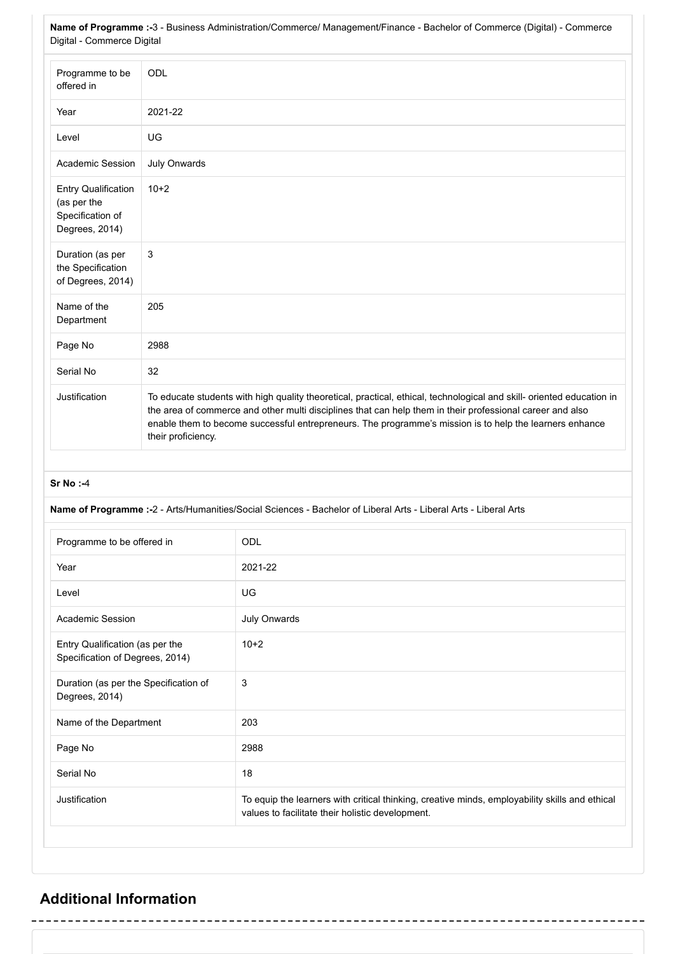**Name of Programme :-**3 - Business Administration/Commerce/ Management/Finance - Bachelor of Commerce (Digital) - Commerce Digital - Commerce Digital

| Programme to be<br>offered in                                                   | ODL                                                                                                                                                                                                                                                                                                                                                                 |
|---------------------------------------------------------------------------------|---------------------------------------------------------------------------------------------------------------------------------------------------------------------------------------------------------------------------------------------------------------------------------------------------------------------------------------------------------------------|
| Year                                                                            | 2021-22                                                                                                                                                                                                                                                                                                                                                             |
| Level                                                                           | UG                                                                                                                                                                                                                                                                                                                                                                  |
| <b>Academic Session</b>                                                         | <b>July Onwards</b>                                                                                                                                                                                                                                                                                                                                                 |
| <b>Entry Qualification</b><br>(as per the<br>Specification of<br>Degrees, 2014) | $10+2$                                                                                                                                                                                                                                                                                                                                                              |
| Duration (as per<br>the Specification<br>of Degrees, 2014)                      | 3                                                                                                                                                                                                                                                                                                                                                                   |
| Name of the<br>Department                                                       | 205                                                                                                                                                                                                                                                                                                                                                                 |
| Page No                                                                         | 2988                                                                                                                                                                                                                                                                                                                                                                |
| Serial No                                                                       | 32                                                                                                                                                                                                                                                                                                                                                                  |
| Justification                                                                   | To educate students with high quality theoretical, practical, ethical, technological and skill- oriented education in<br>the area of commerce and other multi disciplines that can help them in their professional career and also<br>enable them to become successful entrepreneurs. The programme's mission is to help the learners enhance<br>their proficiency. |

#### **Sr No :-**4

#### **Name of Programme :-**2 - Arts/Humanities/Social Sciences - Bachelor of Liberal Arts - Liberal Arts - Liberal Arts

| Programme to be offered in                                         | ODL                                                                                                                                                |
|--------------------------------------------------------------------|----------------------------------------------------------------------------------------------------------------------------------------------------|
| Year                                                               | 2021-22                                                                                                                                            |
| Level                                                              | UG                                                                                                                                                 |
| Academic Session                                                   | <b>July Onwards</b>                                                                                                                                |
| Entry Qualification (as per the<br>Specification of Degrees, 2014) | $10+2$                                                                                                                                             |
| Duration (as per the Specification of<br>Degrees, 2014)            | 3                                                                                                                                                  |
| Name of the Department                                             | 203                                                                                                                                                |
| Page No                                                            | 2988                                                                                                                                               |
| Serial No                                                          | 18                                                                                                                                                 |
| Justification                                                      | To equip the learners with critical thinking, creative minds, employability skills and ethical<br>values to facilitate their holistic development. |

## **Additional Information**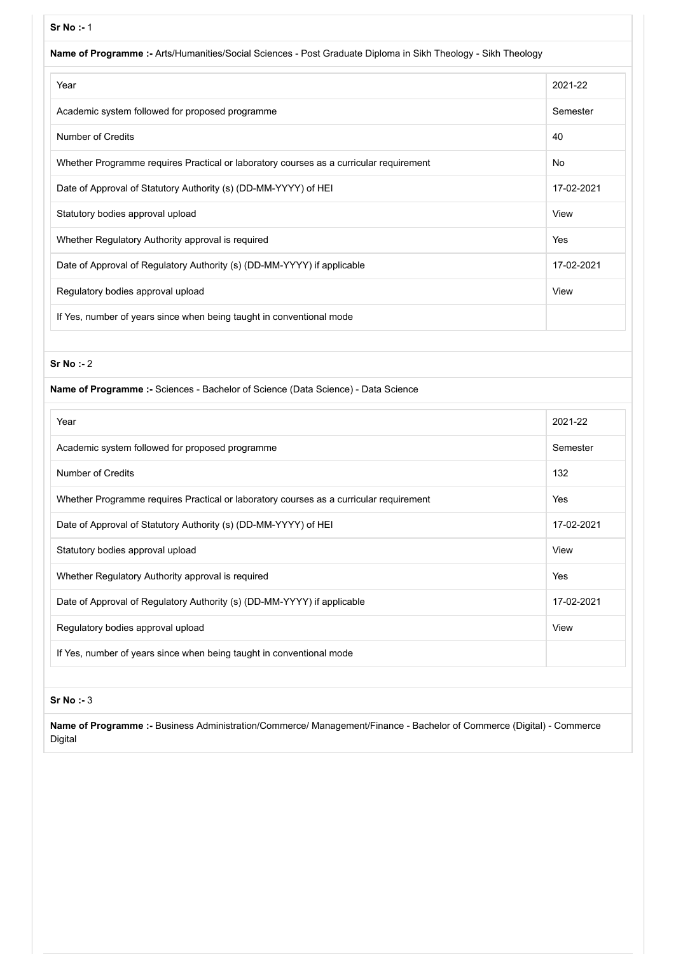#### **Sr No :-** 1

| Name of Programme :- Arts/Humanities/Social Sciences - Post Graduate Diploma in Sikh Theology - Sikh Theology |            |
|---------------------------------------------------------------------------------------------------------------|------------|
| Year                                                                                                          | 2021-22    |
| Academic system followed for proposed programme                                                               | Semester   |
| Number of Credits                                                                                             | 40         |
| Whether Programme requires Practical or laboratory courses as a curricular requirement                        | No         |
| Date of Approval of Statutory Authority (s) (DD-MM-YYYY) of HEI                                               | 17-02-2021 |
| Statutory bodies approval upload                                                                              | View       |
| Whether Regulatory Authority approval is required                                                             | Yes        |
| Date of Approval of Regulatory Authority (s) (DD-MM-YYYY) if applicable                                       | 17-02-2021 |
| Regulatory bodies approval upload                                                                             | View       |
| If Yes, number of years since when being taught in conventional mode                                          |            |
|                                                                                                               |            |

#### **Sr No :-** 2

| Name of Programme :- Sciences - Bachelor of Science (Data Science) - Data Science |  |  |  |
|-----------------------------------------------------------------------------------|--|--|--|
|                                                                                   |  |  |  |

| Year                                                                                   | 2021-22    |
|----------------------------------------------------------------------------------------|------------|
| Academic system followed for proposed programme                                        | Semester   |
| Number of Credits                                                                      | 132        |
| Whether Programme requires Practical or laboratory courses as a curricular requirement | Yes        |
| Date of Approval of Statutory Authority (s) (DD-MM-YYYY) of HEI                        | 17-02-2021 |
| Statutory bodies approval upload                                                       | View       |
| Whether Regulatory Authority approval is required                                      | Yes        |
| Date of Approval of Regulatory Authority (s) (DD-MM-YYYY) if applicable                | 17-02-2021 |
| Regulatory bodies approval upload                                                      | View       |
| If Yes, number of years since when being taught in conventional mode                   |            |

#### **Sr No :-** 3

**Name of Programme :-** Business Administration/Commerce/ Management/Finance - Bachelor of Commerce (Digital) - Commerce Digital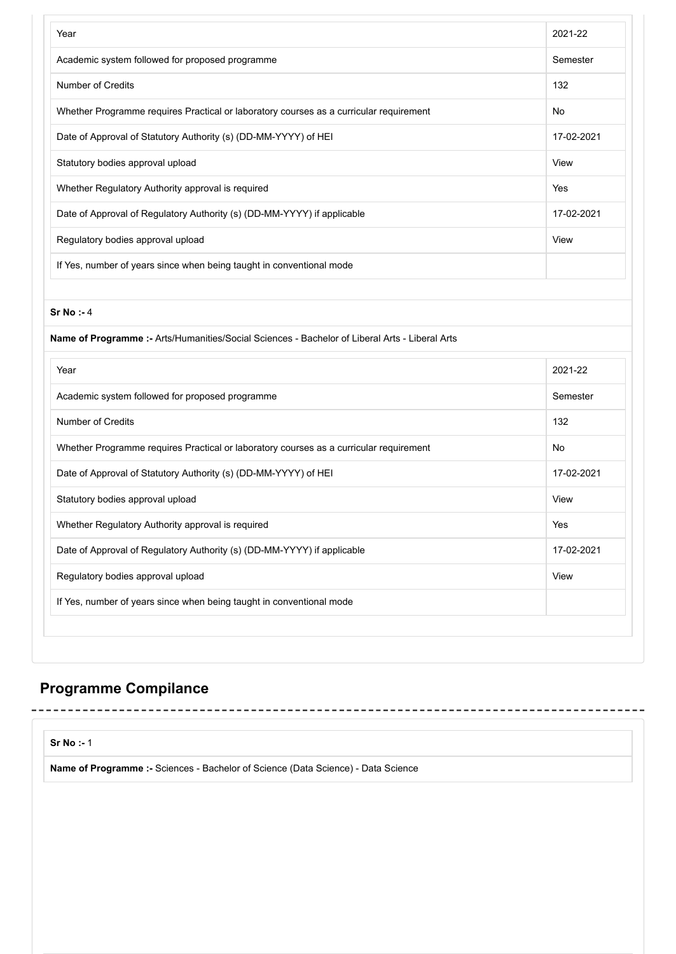| Year                                                                                           | 2021-22    |
|------------------------------------------------------------------------------------------------|------------|
| Academic system followed for proposed programme                                                | Semester   |
| Number of Credits                                                                              | 132        |
| Whether Programme requires Practical or laboratory courses as a curricular requirement         | No         |
| Date of Approval of Statutory Authority (s) (DD-MM-YYYY) of HEI                                | 17-02-2021 |
| Statutory bodies approval upload                                                               | View       |
| Whether Regulatory Authority approval is required                                              | Yes        |
| Date of Approval of Regulatory Authority (s) (DD-MM-YYYY) if applicable                        | 17-02-2021 |
| Regulatory bodies approval upload                                                              | View       |
| If Yes, number of years since when being taught in conventional mode                           |            |
| Sr No : 4                                                                                      |            |
| Name of Programme :- Arts/Humanities/Social Sciences - Bachelor of Liberal Arts - Liberal Arts |            |
|                                                                                                |            |
| Year                                                                                           | 2021-22    |
| Academic system followed for proposed programme                                                | Semester   |
| Number of Credits                                                                              | 132        |
| Whether Programme requires Practical or laboratory courses as a curricular requirement         | No         |
| Date of Approval of Statutory Authority (s) (DD-MM-YYYY) of HEI                                | 17-02-2021 |
| Statutory bodies approval upload                                                               | View       |
| Whether Regulatory Authority approval is required                                              | Yes        |
| Date of Approval of Regulatory Authority (s) (DD-MM-YYYY) if applicable                        | 17-02-2021 |
| Regulatory bodies approval upload                                                              | View       |

## **Programme Compilance**

-------------------------------

**Sr No :-** 1

**Name of Programme :-** Sciences - Bachelor of Science (Data Science) - Data Science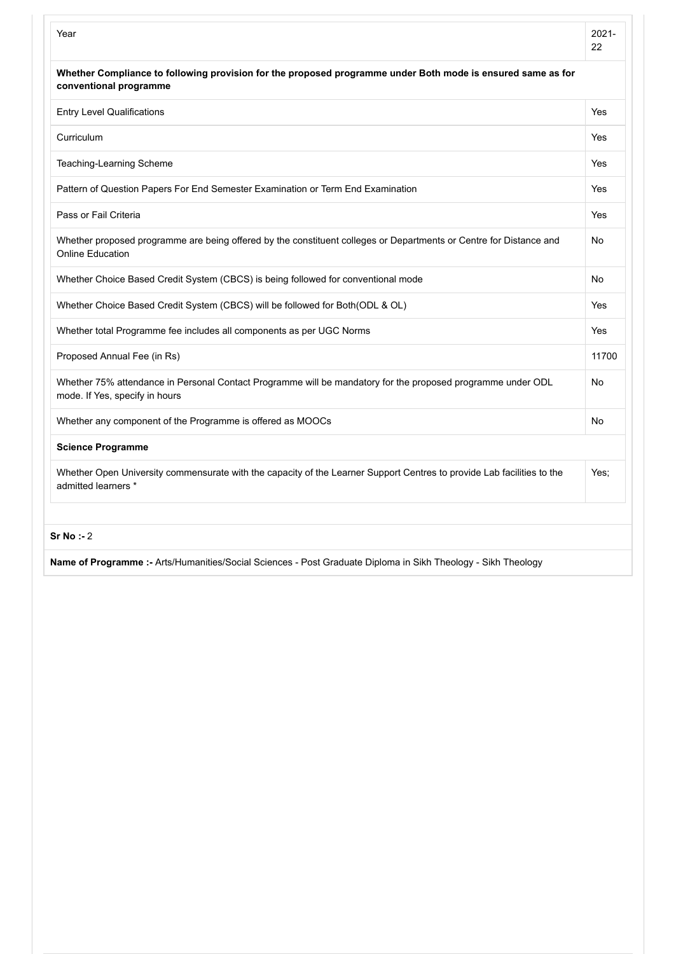| Year                                                                                                                                          | $2021 -$<br>22 |
|-----------------------------------------------------------------------------------------------------------------------------------------------|----------------|
| Whether Compliance to following provision for the proposed programme under Both mode is ensured same as for<br>conventional programme         |                |
| <b>Entry Level Qualifications</b>                                                                                                             | Yes            |
| Curriculum                                                                                                                                    | Yes            |
| Teaching-Learning Scheme                                                                                                                      | Yes            |
| Pattern of Question Papers For End Semester Examination or Term End Examination                                                               | Yes            |
| Pass or Fail Criteria                                                                                                                         | Yes            |
| Whether proposed programme are being offered by the constituent colleges or Departments or Centre for Distance and<br><b>Online Education</b> | No             |
| Whether Choice Based Credit System (CBCS) is being followed for conventional mode                                                             | No             |
| Whether Choice Based Credit System (CBCS) will be followed for Both(ODL & OL)                                                                 | Yes            |
| Whether total Programme fee includes all components as per UGC Norms                                                                          | Yes            |
| Proposed Annual Fee (in Rs)                                                                                                                   | 11700          |
| Whether 75% attendance in Personal Contact Programme will be mandatory for the proposed programme under ODL<br>mode. If Yes, specify in hours | No             |
| Whether any component of the Programme is offered as MOOCs                                                                                    | No             |
| <b>Science Programme</b>                                                                                                                      |                |
| Whether Open University commensurate with the capacity of the Learner Support Centres to provide Lab facilities to the<br>admitted learners * | Yes:           |
| $Sr$ No $: 2$                                                                                                                                 |                |

**Name of Programme :-** Arts/Humanities/Social Sciences - Post Graduate Diploma in Sikh Theology - Sikh Theology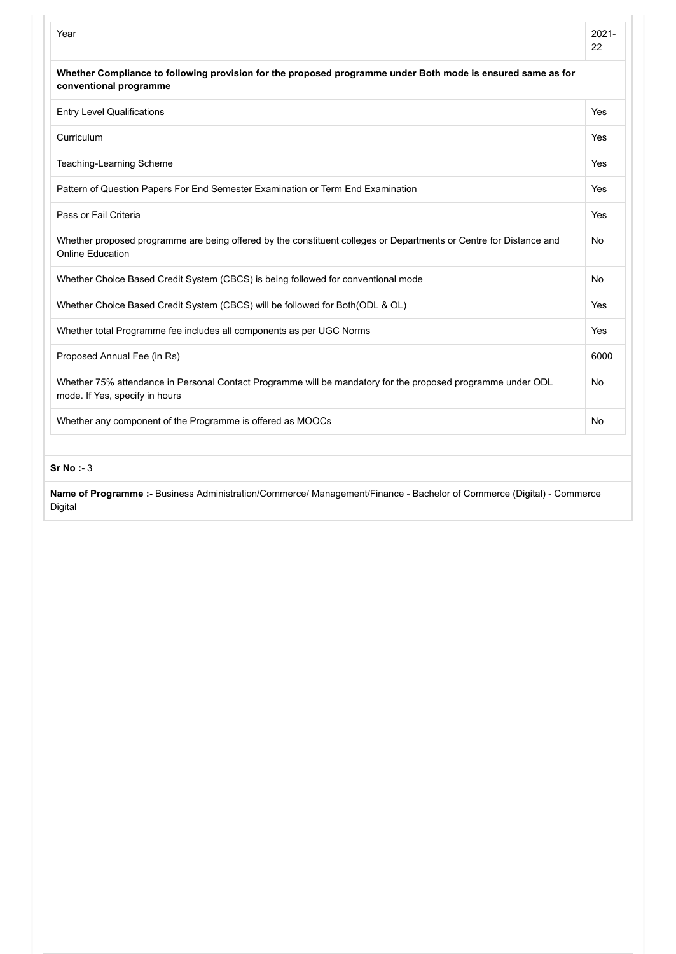| Year                                                                                                                                          | $2021 -$<br>22 |
|-----------------------------------------------------------------------------------------------------------------------------------------------|----------------|
| Whether Compliance to following provision for the proposed programme under Both mode is ensured same as for<br>conventional programme         |                |
| <b>Entry Level Qualifications</b>                                                                                                             | Yes            |
| Curriculum                                                                                                                                    | <b>Yes</b>     |
| Teaching-Learning Scheme                                                                                                                      | <b>Yes</b>     |
| Pattern of Question Papers For End Semester Examination or Term End Examination                                                               | Yes            |
| Pass or Fail Criteria                                                                                                                         | Yes            |
| Whether proposed programme are being offered by the constituent colleges or Departments or Centre for Distance and<br>Online Education        | <b>No</b>      |
| Whether Choice Based Credit System (CBCS) is being followed for conventional mode                                                             | <b>No</b>      |
| Whether Choice Based Credit System (CBCS) will be followed for Both(ODL & OL)                                                                 | <b>Yes</b>     |
| Whether total Programme fee includes all components as per UGC Norms                                                                          | <b>Yes</b>     |
| Proposed Annual Fee (in Rs)                                                                                                                   | 6000           |
| Whether 75% attendance in Personal Contact Programme will be mandatory for the proposed programme under ODL<br>mode. If Yes, specify in hours | No             |
| Whether any component of the Programme is offered as MOOCs                                                                                    | No             |
|                                                                                                                                               |                |

**Sr No :-** 3

**Name of Programme :-** Business Administration/Commerce/ Management/Finance - Bachelor of Commerce (Digital) - Commerce Digital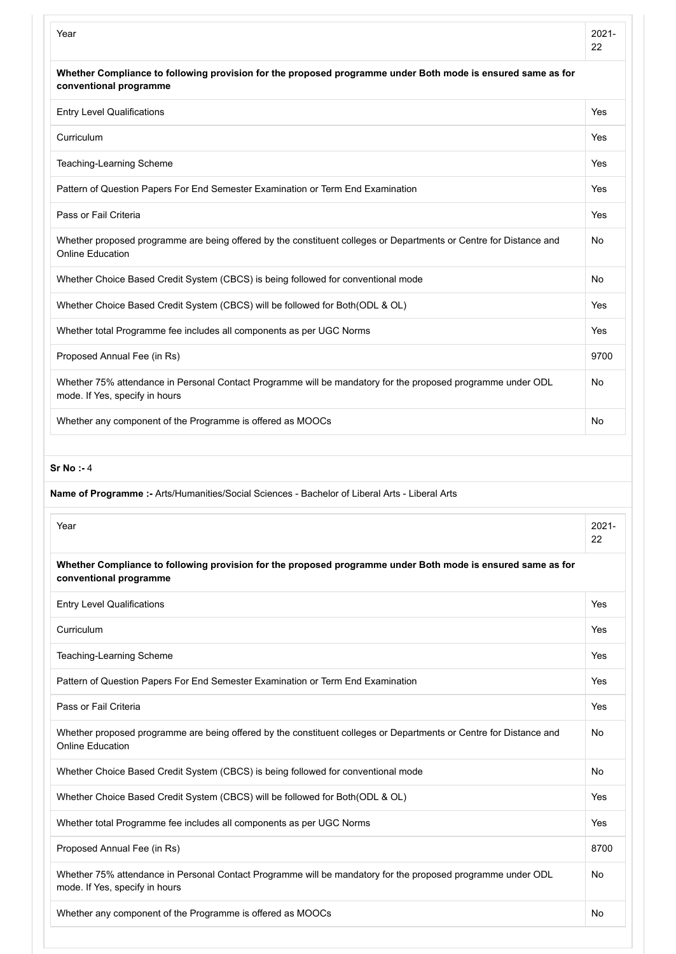|                                                                                                                                               | $2021 -$<br>22 |
|-----------------------------------------------------------------------------------------------------------------------------------------------|----------------|
| Whether Compliance to following provision for the proposed programme under Both mode is ensured same as for<br>conventional programme         |                |
| <b>Entry Level Qualifications</b>                                                                                                             | Yes            |
| Curriculum                                                                                                                                    | Yes            |
| Teaching-Learning Scheme                                                                                                                      | Yes            |
| Pattern of Question Papers For End Semester Examination or Term End Examination                                                               | Yes            |
| Pass or Fail Criteria                                                                                                                         | Yes            |
| Whether proposed programme are being offered by the constituent colleges or Departments or Centre for Distance and<br><b>Online Education</b> | No             |
| Whether Choice Based Credit System (CBCS) is being followed for conventional mode                                                             | No             |
| Whether Choice Based Credit System (CBCS) will be followed for Both(ODL & OL)                                                                 | Yes            |
| Whether total Programme fee includes all components as per UGC Norms                                                                          | Yes            |
| Proposed Annual Fee (in Rs)                                                                                                                   | 9700           |
| Whether 75% attendance in Personal Contact Programme will be mandatory for the proposed programme under ODL<br>mode. If Yes, specify in hours | No             |
| Whether any component of the Programme is offered as MOOCs                                                                                    | No             |
| Name of Programme :- Arts/Humanities/Social Sciences - Bachelor of Liberal Arts - Liberal Arts                                                |                |
| Year                                                                                                                                          | $2021 -$<br>22 |
| Whether Compliance to following provision for the proposed programme under Both mode is ensured same as for<br>conventional programme         |                |
| <b>Entry Level Qualifications</b>                                                                                                             | Yes            |
| Curriculum                                                                                                                                    | Yes            |
| Teaching-Learning Scheme                                                                                                                      | Yes            |
| Pattern of Question Papers For End Semester Examination or Term End Examination                                                               | Yes            |
| Pass or Fail Criteria                                                                                                                         | Yes            |
| Whether proposed programme are being offered by the constituent colleges or Departments or Centre for Distance and<br><b>Online Education</b> | No             |
| Whether Choice Based Credit System (CBCS) is being followed for conventional mode                                                             | No             |
| Whether Choice Based Credit System (CBCS) will be followed for Both(ODL & OL)                                                                 | Yes            |
| Whether total Programme fee includes all components as per UGC Norms                                                                          | Yes            |
| Proposed Annual Fee (in Rs)                                                                                                                   | 8700           |
| Whether 75% attendance in Personal Contact Programme will be mandatory for the proposed programme under ODL<br>mode. If Yes, specify in hours | No             |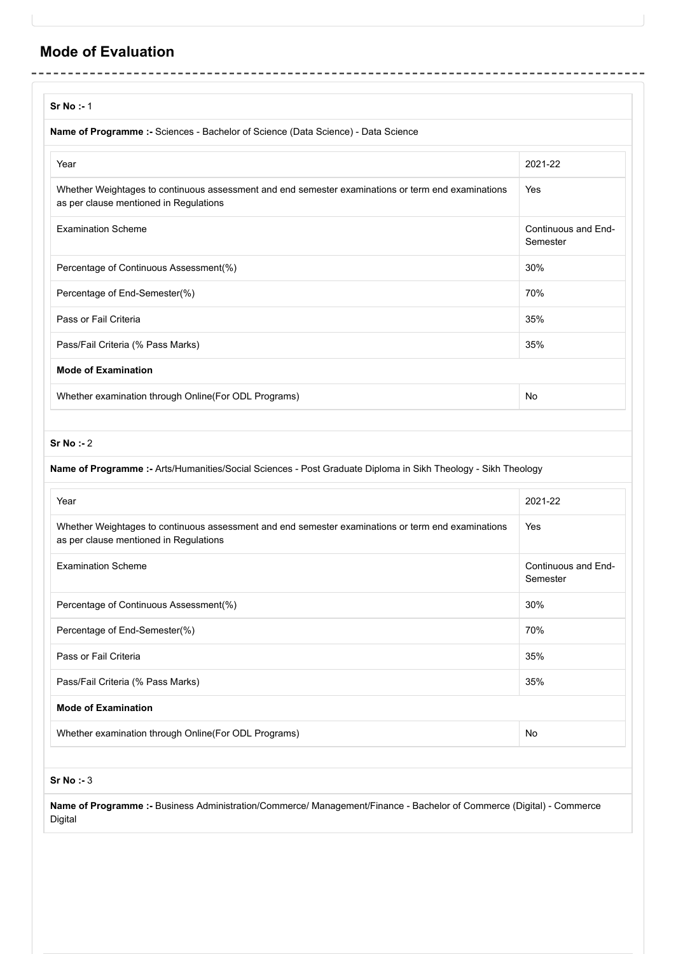## **Mode of Evaluation**

| Sr No : 1                                                                                                                                    |                                 |
|----------------------------------------------------------------------------------------------------------------------------------------------|---------------------------------|
| Name of Programme :- Sciences - Bachelor of Science (Data Science) - Data Science                                                            |                                 |
| Year                                                                                                                                         | 2021-22                         |
| Whether Weightages to continuous assessment and end semester examinations or term end examinations<br>as per clause mentioned in Regulations | Yes                             |
| <b>Examination Scheme</b>                                                                                                                    | Continuous and End-<br>Semester |
| Percentage of Continuous Assessment(%)                                                                                                       | 30%                             |
| Percentage of End-Semester(%)                                                                                                                | 70%                             |
| Pass or Fail Criteria                                                                                                                        | 35%                             |
| Pass/Fail Criteria (% Pass Marks)                                                                                                            | 35%                             |
| <b>Mode of Examination</b>                                                                                                                   |                                 |
| Whether examination through Online(For ODL Programs)                                                                                         | No                              |

#### **Sr No :-** 2

#### **Name of Programme :-** Arts/Humanities/Social Sciences - Post Graduate Diploma in Sikh Theology - Sikh Theology

| Year                                                                                                                                         | 2021-22                         |
|----------------------------------------------------------------------------------------------------------------------------------------------|---------------------------------|
| Whether Weightages to continuous assessment and end semester examinations or term end examinations<br>as per clause mentioned in Regulations | Yes                             |
| <b>Examination Scheme</b>                                                                                                                    | Continuous and End-<br>Semester |
| Percentage of Continuous Assessment(%)                                                                                                       | 30%                             |
| Percentage of End-Semester(%)                                                                                                                | 70%                             |
| Pass or Fail Criteria                                                                                                                        | 35%                             |
| Pass/Fail Criteria (% Pass Marks)                                                                                                            | 35%                             |
| <b>Mode of Examination</b>                                                                                                                   |                                 |
| Whether examination through Online (For ODL Programs)                                                                                        | No                              |
|                                                                                                                                              |                                 |

**Sr No :-** 3

**Name of Programme :-** Business Administration/Commerce/ Management/Finance - Bachelor of Commerce (Digital) - Commerce Digital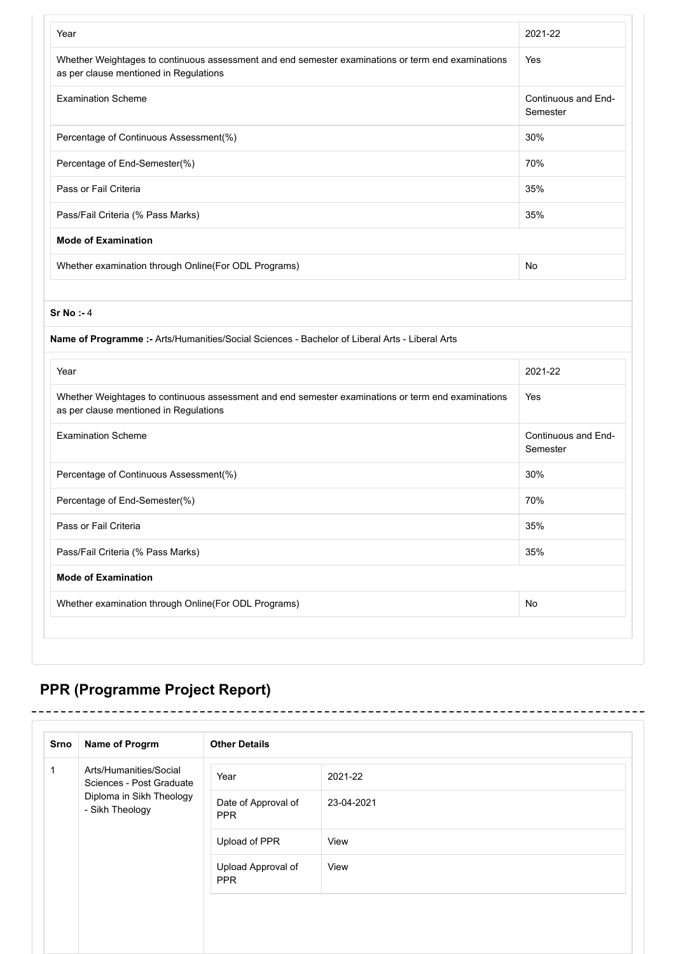| Year                                                                                                                                                                                                                                                                                                                                                           | 2021-22                         |
|----------------------------------------------------------------------------------------------------------------------------------------------------------------------------------------------------------------------------------------------------------------------------------------------------------------------------------------------------------------|---------------------------------|
| Whether Weightages to continuous assessment and end semester examinations or term end examinations<br>as per clause mentioned in Regulations                                                                                                                                                                                                                   | Yes                             |
| <b>Examination Scheme</b>                                                                                                                                                                                                                                                                                                                                      | Continuous and End-<br>Semester |
| Percentage of Continuous Assessment(%)                                                                                                                                                                                                                                                                                                                         | 30%                             |
| Percentage of End-Semester(%)                                                                                                                                                                                                                                                                                                                                  | 70%                             |
| Pass or Fail Criteria                                                                                                                                                                                                                                                                                                                                          | 35%                             |
| Pass/Fail Criteria (% Pass Marks)                                                                                                                                                                                                                                                                                                                              | 35%                             |
| <b>Mode of Examination</b>                                                                                                                                                                                                                                                                                                                                     |                                 |
| Whether examination through Online(For ODL Programs)                                                                                                                                                                                                                                                                                                           | No                              |
|                                                                                                                                                                                                                                                                                                                                                                |                                 |
|                                                                                                                                                                                                                                                                                                                                                                |                                 |
| Sr No : 4                                                                                                                                                                                                                                                                                                                                                      |                                 |
|                                                                                                                                                                                                                                                                                                                                                                |                                 |
|                                                                                                                                                                                                                                                                                                                                                                | 2021-22                         |
|                                                                                                                                                                                                                                                                                                                                                                | Yes                             |
|                                                                                                                                                                                                                                                                                                                                                                | Semester                        |
|                                                                                                                                                                                                                                                                                                                                                                | 30%                             |
| Name of Programme :- Arts/Humanities/Social Sciences - Bachelor of Liberal Arts - Liberal Arts<br>Year<br>Whether Weightages to continuous assessment and end semester examinations or term end examinations<br>as per clause mentioned in Regulations<br><b>Examination Scheme</b><br>Percentage of Continuous Assessment(%)<br>Percentage of End-Semester(%) | 70%                             |
| Pass or Fail Criteria                                                                                                                                                                                                                                                                                                                                          | 35%                             |
| Pass/Fail Criteria (% Pass Marks)                                                                                                                                                                                                                                                                                                                              | 35%                             |
| <b>Mode of Examination</b>                                                                                                                                                                                                                                                                                                                                     | Continuous and End-             |

## **PPR (Programme Project Report)**

 $- - - - -$ 

. \_ \_ \_ \_ \_ \_ \_ \_ \_ \_ \_

| Srno                                        | Name of Progrm                                     | <b>Other Details</b>             |         |
|---------------------------------------------|----------------------------------------------------|----------------------------------|---------|
| 1                                           | Arts/Humanities/Social<br>Sciences - Post Graduate | Year                             | 2021-22 |
| Diploma in Sikh Theology<br>- Sikh Theology | Date of Approval of<br><b>PPR</b>                  | 23-04-2021                       |         |
|                                             |                                                    | Upload of PPR                    | View    |
|                                             |                                                    | Upload Approval of<br><b>PPR</b> | View    |

\_\_\_\_\_\_\_\_\_\_\_\_\_\_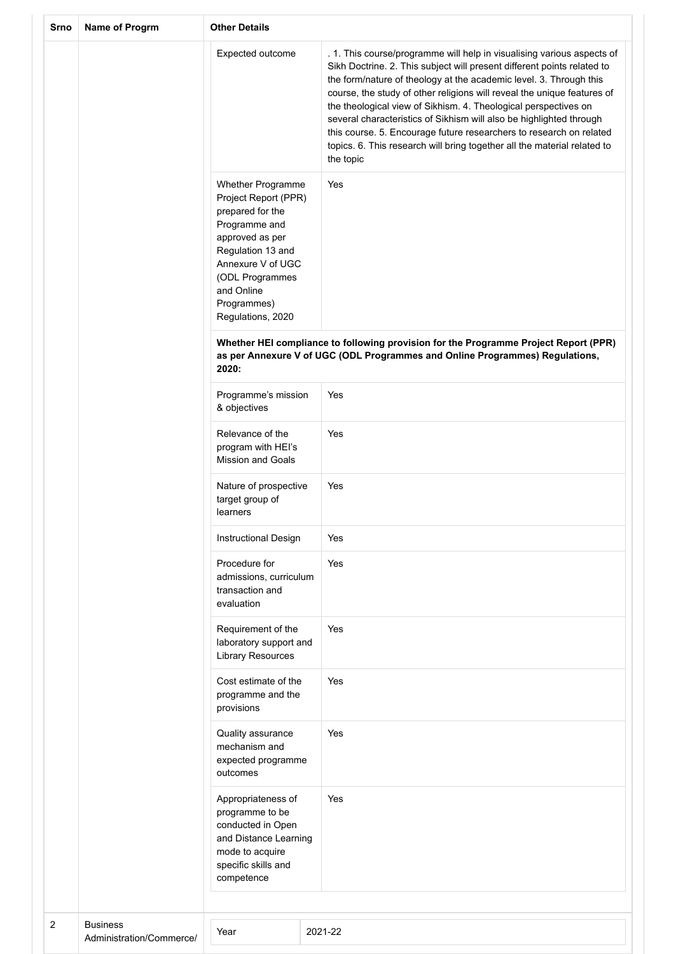| Srno           | Name of Progrm                              | <b>Other Details</b>                                                                                                                                                                                             |  |                                                                                                                                                                                                                                                                                                                                                                                                                                                                                                                                                                                                              |  |  |
|----------------|---------------------------------------------|------------------------------------------------------------------------------------------------------------------------------------------------------------------------------------------------------------------|--|--------------------------------------------------------------------------------------------------------------------------------------------------------------------------------------------------------------------------------------------------------------------------------------------------------------------------------------------------------------------------------------------------------------------------------------------------------------------------------------------------------------------------------------------------------------------------------------------------------------|--|--|
|                |                                             | Expected outcome                                                                                                                                                                                                 |  | . 1. This course/programme will help in visualising various aspects of<br>Sikh Doctrine. 2. This subject will present different points related to<br>the form/nature of theology at the academic level. 3. Through this<br>course, the study of other religions will reveal the unique features of<br>the theological view of Sikhism. 4. Theological perspectives on<br>several characteristics of Sikhism will also be highlighted through<br>this course. 5. Encourage future researchers to research on related<br>topics. 6. This research will bring together all the material related to<br>the topic |  |  |
|                |                                             | Whether Programme<br>Project Report (PPR)<br>prepared for the<br>Programme and<br>approved as per<br>Regulation 13 and<br>Annexure V of UGC<br>(ODL Programmes<br>and Online<br>Programmes)<br>Regulations, 2020 |  | Yes                                                                                                                                                                                                                                                                                                                                                                                                                                                                                                                                                                                                          |  |  |
|                |                                             | Whether HEI compliance to following provision for the Programme Project Report (PPR)<br>as per Annexure V of UGC (ODL Programmes and Online Programmes) Regulations,<br>2020:                                    |  |                                                                                                                                                                                                                                                                                                                                                                                                                                                                                                                                                                                                              |  |  |
|                |                                             | Programme's mission<br>& objectives                                                                                                                                                                              |  | Yes                                                                                                                                                                                                                                                                                                                                                                                                                                                                                                                                                                                                          |  |  |
|                |                                             | Relevance of the<br>program with HEI's<br><b>Mission and Goals</b>                                                                                                                                               |  | Yes                                                                                                                                                                                                                                                                                                                                                                                                                                                                                                                                                                                                          |  |  |
|                |                                             | Nature of prospective<br>target group of<br>learners                                                                                                                                                             |  | Yes                                                                                                                                                                                                                                                                                                                                                                                                                                                                                                                                                                                                          |  |  |
|                |                                             | <b>Instructional Design</b>                                                                                                                                                                                      |  | Yes                                                                                                                                                                                                                                                                                                                                                                                                                                                                                                                                                                                                          |  |  |
|                |                                             | Procedure for<br>admissions, curriculum<br>transaction and<br>evaluation                                                                                                                                         |  | Yes                                                                                                                                                                                                                                                                                                                                                                                                                                                                                                                                                                                                          |  |  |
|                |                                             | Requirement of the<br>laboratory support and<br><b>Library Resources</b>                                                                                                                                         |  | Yes                                                                                                                                                                                                                                                                                                                                                                                                                                                                                                                                                                                                          |  |  |
|                |                                             | Cost estimate of the<br>programme and the<br>provisions                                                                                                                                                          |  | Yes                                                                                                                                                                                                                                                                                                                                                                                                                                                                                                                                                                                                          |  |  |
|                |                                             | Quality assurance<br>mechanism and<br>expected programme<br>outcomes                                                                                                                                             |  | Yes                                                                                                                                                                                                                                                                                                                                                                                                                                                                                                                                                                                                          |  |  |
|                |                                             | Appropriateness of<br>programme to be<br>conducted in Open<br>and Distance Learning<br>mode to acquire<br>specific skills and<br>competence                                                                      |  | Yes                                                                                                                                                                                                                                                                                                                                                                                                                                                                                                                                                                                                          |  |  |
|                |                                             |                                                                                                                                                                                                                  |  |                                                                                                                                                                                                                                                                                                                                                                                                                                                                                                                                                                                                              |  |  |
| $\overline{c}$ | <b>Business</b><br>Administration/Commerce/ | Year                                                                                                                                                                                                             |  | 2021-22                                                                                                                                                                                                                                                                                                                                                                                                                                                                                                                                                                                                      |  |  |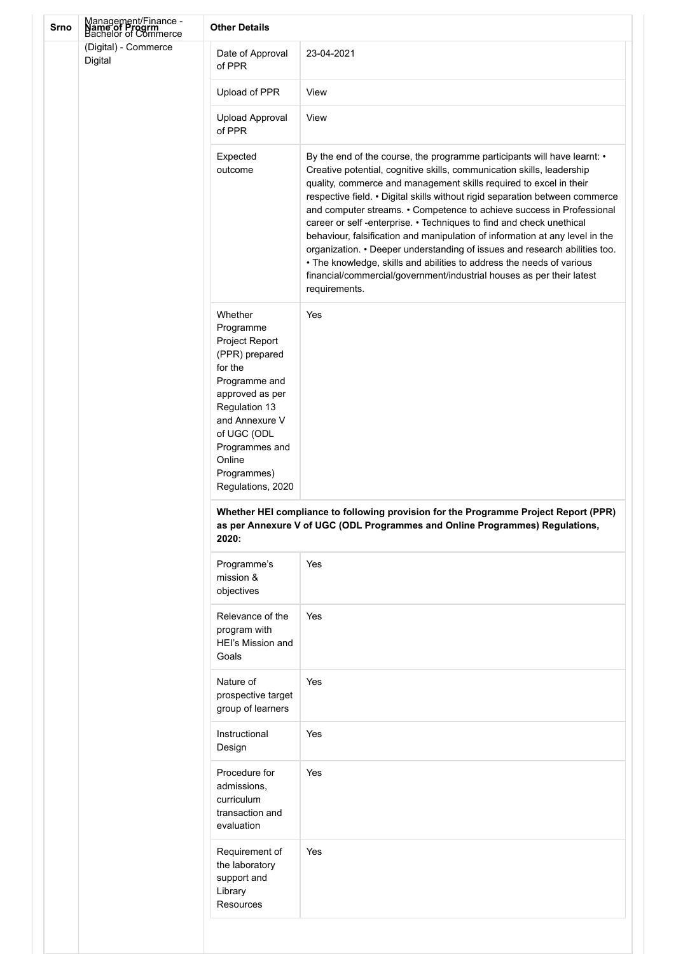| <b>Srno</b> | Management/Finance -<br><b>Name of Progrm</b><br>Bachelor of Commerce | <b>Other Details</b>                                                                                                                                                                                                      |                                                                                                                                                                                                                                                                                                                                                                                                                                                                                                                                                                                                                                                                                                                                                                                           |
|-------------|-----------------------------------------------------------------------|---------------------------------------------------------------------------------------------------------------------------------------------------------------------------------------------------------------------------|-------------------------------------------------------------------------------------------------------------------------------------------------------------------------------------------------------------------------------------------------------------------------------------------------------------------------------------------------------------------------------------------------------------------------------------------------------------------------------------------------------------------------------------------------------------------------------------------------------------------------------------------------------------------------------------------------------------------------------------------------------------------------------------------|
|             | (Digital) - Commerce<br>Digital                                       | Date of Approval<br>of PPR                                                                                                                                                                                                | 23-04-2021                                                                                                                                                                                                                                                                                                                                                                                                                                                                                                                                                                                                                                                                                                                                                                                |
|             |                                                                       | Upload of PPR                                                                                                                                                                                                             | View                                                                                                                                                                                                                                                                                                                                                                                                                                                                                                                                                                                                                                                                                                                                                                                      |
|             |                                                                       | Upload Approval<br>of PPR                                                                                                                                                                                                 | View                                                                                                                                                                                                                                                                                                                                                                                                                                                                                                                                                                                                                                                                                                                                                                                      |
|             |                                                                       | Expected<br>outcome                                                                                                                                                                                                       | By the end of the course, the programme participants will have learnt: •<br>Creative potential, cognitive skills, communication skills, leadership<br>quality, commerce and management skills required to excel in their<br>respective field. • Digital skills without rigid separation between commerce<br>and computer streams. • Competence to achieve success in Professional<br>career or self-enterprise. • Techniques to find and check unethical<br>behaviour, falsification and manipulation of information at any level in the<br>organization. • Deeper understanding of issues and research abilities too.<br>. The knowledge, skills and abilities to address the needs of various<br>financial/commercial/government/industrial houses as per their latest<br>requirements. |
|             |                                                                       | Whether<br>Programme<br>Project Report<br>(PPR) prepared<br>for the<br>Programme and<br>approved as per<br>Regulation 13<br>and Annexure V<br>of UGC (ODL<br>Programmes and<br>Online<br>Programmes)<br>Regulations, 2020 | Yes                                                                                                                                                                                                                                                                                                                                                                                                                                                                                                                                                                                                                                                                                                                                                                                       |
|             |                                                                       | 2020:                                                                                                                                                                                                                     | Whether HEI compliance to following provision for the Programme Project Report (PPR)<br>as per Annexure V of UGC (ODL Programmes and Online Programmes) Regulations,                                                                                                                                                                                                                                                                                                                                                                                                                                                                                                                                                                                                                      |
|             |                                                                       | Programme's<br>mission &<br>objectives                                                                                                                                                                                    | Yes                                                                                                                                                                                                                                                                                                                                                                                                                                                                                                                                                                                                                                                                                                                                                                                       |
|             |                                                                       | Relevance of the<br>program with<br>HEI's Mission and<br>Goals                                                                                                                                                            | Yes                                                                                                                                                                                                                                                                                                                                                                                                                                                                                                                                                                                                                                                                                                                                                                                       |
|             |                                                                       | Nature of<br>prospective target<br>group of learners                                                                                                                                                                      | Yes                                                                                                                                                                                                                                                                                                                                                                                                                                                                                                                                                                                                                                                                                                                                                                                       |
|             |                                                                       | Instructional<br>Design                                                                                                                                                                                                   | Yes                                                                                                                                                                                                                                                                                                                                                                                                                                                                                                                                                                                                                                                                                                                                                                                       |
|             |                                                                       | Procedure for<br>admissions,<br>curriculum<br>transaction and<br>evaluation                                                                                                                                               | Yes                                                                                                                                                                                                                                                                                                                                                                                                                                                                                                                                                                                                                                                                                                                                                                                       |
|             |                                                                       | Requirement of<br>the laboratory<br>support and<br>Library<br><b>Resources</b>                                                                                                                                            | Yes                                                                                                                                                                                                                                                                                                                                                                                                                                                                                                                                                                                                                                                                                                                                                                                       |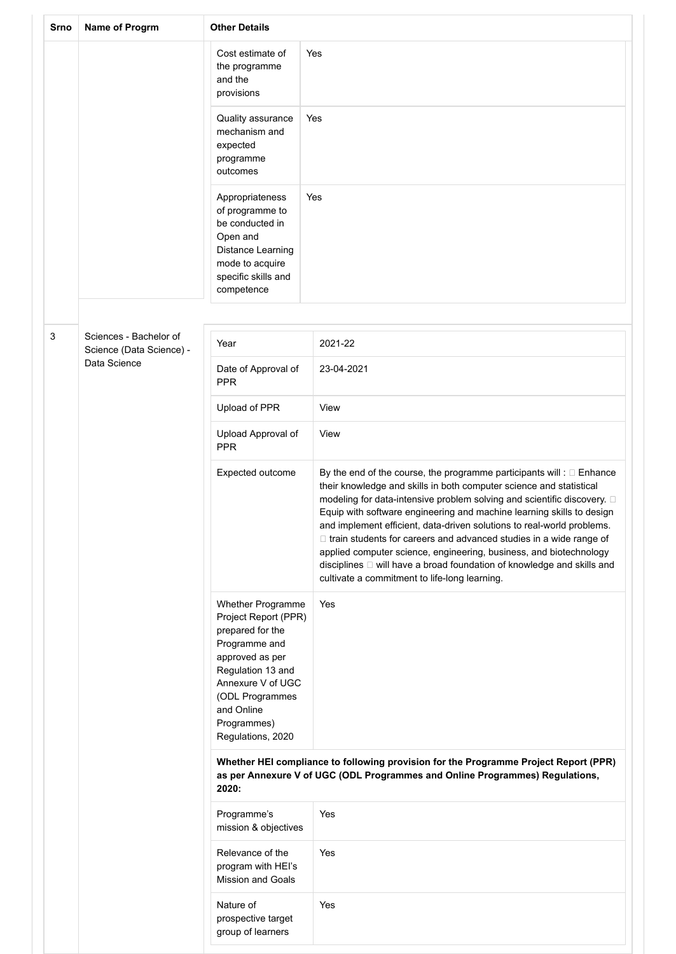| Srno | Name of Progrm                                     | <b>Other Details</b>                                                                                                                                                                                             |                                                                                                                                                                                                                                                                                                                                                                                                                                                                                                                                                                                                                                                             |
|------|----------------------------------------------------|------------------------------------------------------------------------------------------------------------------------------------------------------------------------------------------------------------------|-------------------------------------------------------------------------------------------------------------------------------------------------------------------------------------------------------------------------------------------------------------------------------------------------------------------------------------------------------------------------------------------------------------------------------------------------------------------------------------------------------------------------------------------------------------------------------------------------------------------------------------------------------------|
|      |                                                    | Cost estimate of<br>the programme<br>and the<br>provisions                                                                                                                                                       | Yes                                                                                                                                                                                                                                                                                                                                                                                                                                                                                                                                                                                                                                                         |
|      |                                                    | Quality assurance<br>mechanism and<br>expected<br>programme<br>outcomes                                                                                                                                          | Yes                                                                                                                                                                                                                                                                                                                                                                                                                                                                                                                                                                                                                                                         |
|      |                                                    | Appropriateness<br>of programme to<br>be conducted in<br>Open and<br>Distance Learning<br>mode to acquire<br>specific skills and<br>competence                                                                   | Yes                                                                                                                                                                                                                                                                                                                                                                                                                                                                                                                                                                                                                                                         |
|      |                                                    |                                                                                                                                                                                                                  |                                                                                                                                                                                                                                                                                                                                                                                                                                                                                                                                                                                                                                                             |
| 3    | Sciences - Bachelor of<br>Science (Data Science) - | Year                                                                                                                                                                                                             | 2021-22                                                                                                                                                                                                                                                                                                                                                                                                                                                                                                                                                                                                                                                     |
|      | Data Science                                       | Date of Approval of<br><b>PPR</b>                                                                                                                                                                                | 23-04-2021                                                                                                                                                                                                                                                                                                                                                                                                                                                                                                                                                                                                                                                  |
|      |                                                    | Upload of PPR                                                                                                                                                                                                    | View                                                                                                                                                                                                                                                                                                                                                                                                                                                                                                                                                                                                                                                        |
|      |                                                    | Upload Approval of<br><b>PPR</b>                                                                                                                                                                                 | View                                                                                                                                                                                                                                                                                                                                                                                                                                                                                                                                                                                                                                                        |
|      |                                                    | Expected outcome                                                                                                                                                                                                 | By the end of the course, the programme participants will : $\square$ Enhance<br>their knowledge and skills in both computer science and statistical<br>modeling for data-intensive problem solving and scientific discovery. 0<br>Equip with software engineering and machine learning skills to design<br>and implement efficient, data-driven solutions to real-world problems.<br>□ train students for careers and advanced studies in a wide range of<br>applied computer science, engineering, business, and biotechnology<br>disciplines □ will have a broad foundation of knowledge and skills and<br>cultivate a commitment to life-long learning. |
|      |                                                    | Whether Programme<br>Project Report (PPR)<br>prepared for the<br>Programme and<br>approved as per<br>Regulation 13 and<br>Annexure V of UGC<br>(ODL Programmes<br>and Online<br>Programmes)<br>Regulations, 2020 | Yes                                                                                                                                                                                                                                                                                                                                                                                                                                                                                                                                                                                                                                                         |
|      |                                                    | 2020:                                                                                                                                                                                                            | Whether HEI compliance to following provision for the Programme Project Report (PPR)<br>as per Annexure V of UGC (ODL Programmes and Online Programmes) Regulations,                                                                                                                                                                                                                                                                                                                                                                                                                                                                                        |
|      |                                                    | Programme's<br>mission & objectives                                                                                                                                                                              | Yes                                                                                                                                                                                                                                                                                                                                                                                                                                                                                                                                                                                                                                                         |
|      |                                                    | Relevance of the<br>program with HEI's<br><b>Mission and Goals</b>                                                                                                                                               | Yes                                                                                                                                                                                                                                                                                                                                                                                                                                                                                                                                                                                                                                                         |
|      |                                                    | Nature of<br>prospective target<br>group of learners                                                                                                                                                             | Yes                                                                                                                                                                                                                                                                                                                                                                                                                                                                                                                                                                                                                                                         |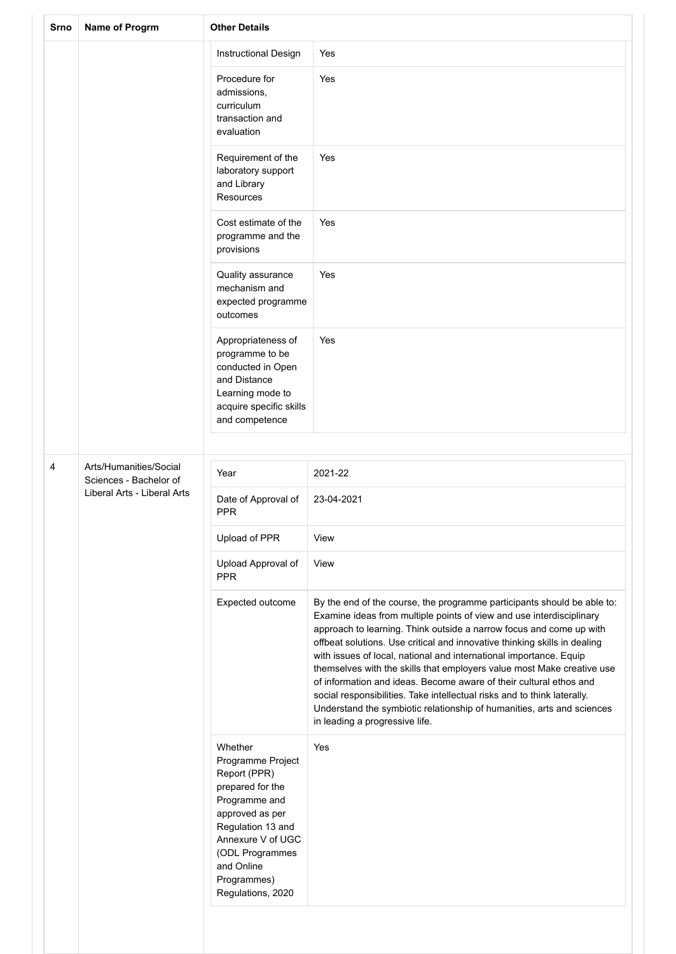| Srno | Name of Progrm                                   | <b>Other Details</b>                                                                                                                                                                                                |                                                                                                                                                                                                                                                                                                                                                                                                                                                                                                                                                                                                                                                                                                                   |  |
|------|--------------------------------------------------|---------------------------------------------------------------------------------------------------------------------------------------------------------------------------------------------------------------------|-------------------------------------------------------------------------------------------------------------------------------------------------------------------------------------------------------------------------------------------------------------------------------------------------------------------------------------------------------------------------------------------------------------------------------------------------------------------------------------------------------------------------------------------------------------------------------------------------------------------------------------------------------------------------------------------------------------------|--|
|      |                                                  | Instructional Design                                                                                                                                                                                                | Yes                                                                                                                                                                                                                                                                                                                                                                                                                                                                                                                                                                                                                                                                                                               |  |
|      |                                                  | Procedure for<br>admissions,<br>curriculum<br>transaction and<br>evaluation                                                                                                                                         | Yes                                                                                                                                                                                                                                                                                                                                                                                                                                                                                                                                                                                                                                                                                                               |  |
|      |                                                  | Requirement of the<br>laboratory support<br>and Library<br>Resources                                                                                                                                                | Yes                                                                                                                                                                                                                                                                                                                                                                                                                                                                                                                                                                                                                                                                                                               |  |
|      |                                                  | Cost estimate of the<br>programme and the<br>provisions                                                                                                                                                             | Yes                                                                                                                                                                                                                                                                                                                                                                                                                                                                                                                                                                                                                                                                                                               |  |
|      |                                                  | Quality assurance<br>mechanism and<br>expected programme<br>outcomes                                                                                                                                                | Yes                                                                                                                                                                                                                                                                                                                                                                                                                                                                                                                                                                                                                                                                                                               |  |
|      |                                                  | Appropriateness of<br>programme to be<br>conducted in Open<br>and Distance<br>Learning mode to<br>acquire specific skills<br>and competence                                                                         | Yes                                                                                                                                                                                                                                                                                                                                                                                                                                                                                                                                                                                                                                                                                                               |  |
|      |                                                  |                                                                                                                                                                                                                     |                                                                                                                                                                                                                                                                                                                                                                                                                                                                                                                                                                                                                                                                                                                   |  |
| 4    | Arts/Humanities/Social<br>Sciences - Bachelor of | Year                                                                                                                                                                                                                | 2021-22                                                                                                                                                                                                                                                                                                                                                                                                                                                                                                                                                                                                                                                                                                           |  |
|      | Liberal Arts - Liberal Arts                      | Date of Approval of<br><b>PPR</b>                                                                                                                                                                                   | 23-04-2021                                                                                                                                                                                                                                                                                                                                                                                                                                                                                                                                                                                                                                                                                                        |  |
|      |                                                  | Upload of PPR                                                                                                                                                                                                       | View                                                                                                                                                                                                                                                                                                                                                                                                                                                                                                                                                                                                                                                                                                              |  |
|      |                                                  | Upload Approval of<br><b>PPR</b>                                                                                                                                                                                    | View                                                                                                                                                                                                                                                                                                                                                                                                                                                                                                                                                                                                                                                                                                              |  |
|      |                                                  | Expected outcome                                                                                                                                                                                                    | By the end of the course, the programme participants should be able to:<br>Examine ideas from multiple points of view and use interdisciplinary<br>approach to learning. Think outside a narrow focus and come up with<br>offbeat solutions. Use critical and innovative thinking skills in dealing<br>with issues of local, national and international importance. Equip<br>themselves with the skills that employers value most Make creative use<br>of information and ideas. Become aware of their cultural ethos and<br>social responsibilities. Take intellectual risks and to think laterally.<br>Understand the symbiotic relationship of humanities, arts and sciences<br>in leading a progressive life. |  |
|      |                                                  | Whether<br>Programme Project<br>Report (PPR)<br>prepared for the<br>Programme and<br>approved as per<br>Regulation 13 and<br>Annexure V of UGC<br>(ODL Programmes<br>and Online<br>Programmes)<br>Regulations, 2020 | Yes                                                                                                                                                                                                                                                                                                                                                                                                                                                                                                                                                                                                                                                                                                               |  |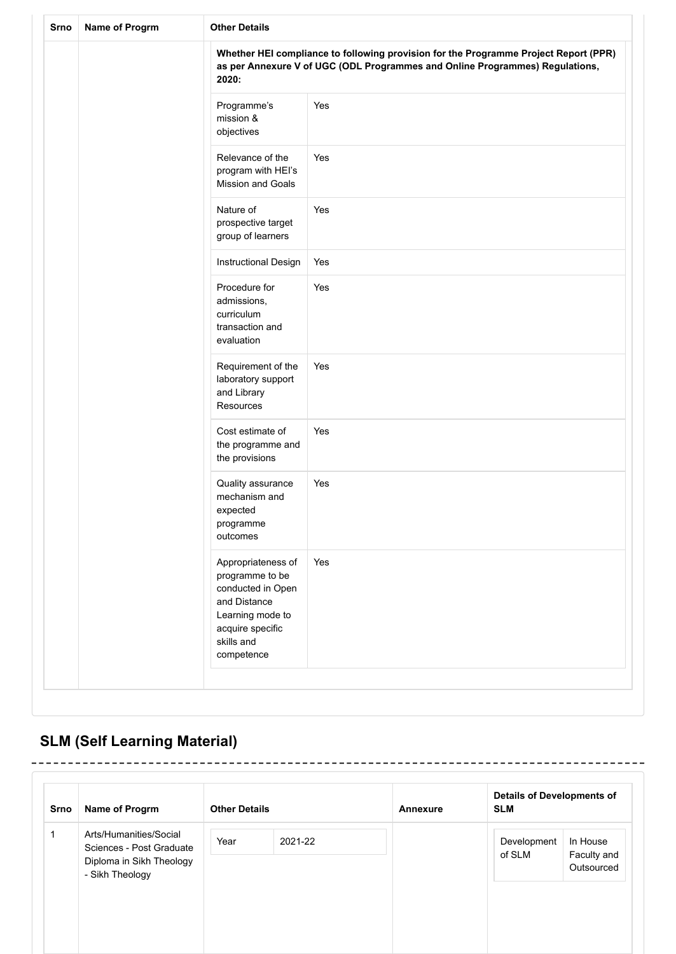| Srno | Name of Progrm | <b>Other Details</b>                                                                                                                           |                                                                                                                                                                      |  |  |  |
|------|----------------|------------------------------------------------------------------------------------------------------------------------------------------------|----------------------------------------------------------------------------------------------------------------------------------------------------------------------|--|--|--|
|      |                | 2020:                                                                                                                                          | Whether HEI compliance to following provision for the Programme Project Report (PPR)<br>as per Annexure V of UGC (ODL Programmes and Online Programmes) Regulations, |  |  |  |
|      |                | Programme's<br>mission &<br>objectives                                                                                                         | Yes                                                                                                                                                                  |  |  |  |
|      |                | Relevance of the<br>program with HEI's<br><b>Mission and Goals</b>                                                                             | Yes                                                                                                                                                                  |  |  |  |
|      |                | Nature of<br>prospective target<br>group of learners                                                                                           | Yes                                                                                                                                                                  |  |  |  |
|      |                | Instructional Design                                                                                                                           | Yes                                                                                                                                                                  |  |  |  |
|      |                | Procedure for<br>admissions,<br>curriculum<br>transaction and<br>evaluation                                                                    | Yes                                                                                                                                                                  |  |  |  |
|      |                | Requirement of the<br>laboratory support<br>and Library<br>Resources                                                                           | Yes                                                                                                                                                                  |  |  |  |
|      |                | Cost estimate of<br>the programme and<br>the provisions                                                                                        | Yes                                                                                                                                                                  |  |  |  |
|      |                | Quality assurance<br>mechanism and<br>expected<br>programme<br>outcomes                                                                        | Yes                                                                                                                                                                  |  |  |  |
|      |                | Appropriateness of<br>programme to be<br>conducted in Open<br>and Distance<br>Learning mode to<br>acquire specific<br>skills and<br>competence | Yes                                                                                                                                                                  |  |  |  |
|      |                |                                                                                                                                                |                                                                                                                                                                      |  |  |  |

## **SLM (Self Learning Material)**

| Srno | Name of Progrm                                                                 | <b>Other Details</b> |         | Annexure | <b>Details of Developments of</b><br><b>SLM</b> |                                       |
|------|--------------------------------------------------------------------------------|----------------------|---------|----------|-------------------------------------------------|---------------------------------------|
| 1    | Arts/Humanities/Social<br>Sciences - Post Graduate<br>Diploma in Sikh Theology | Year                 | 2021-22 |          | Development<br>of SLM                           | In House<br>Faculty and<br>Outsourced |
|      | - Sikh Theology                                                                |                      |         |          |                                                 |                                       |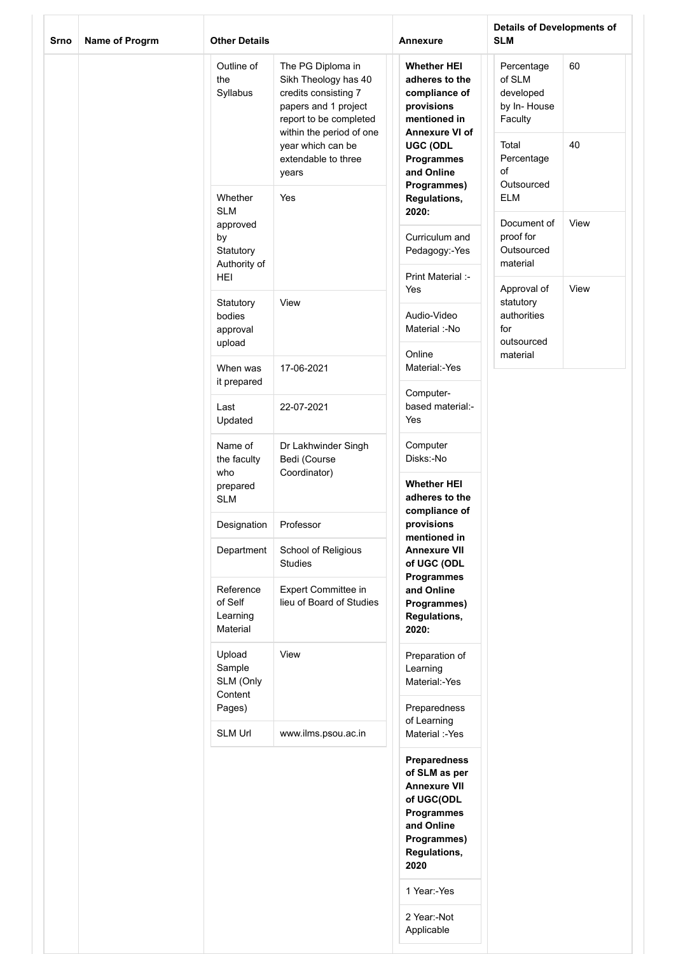| Srno | Name of Progrm                            | <b>Other Details</b>                         |                                                                                                                                                                                                      | Annexure                                                                                                                                                                   | <b>Details of Developments of</b><br><b>SLM</b>                                                        |          |
|------|-------------------------------------------|----------------------------------------------|------------------------------------------------------------------------------------------------------------------------------------------------------------------------------------------------------|----------------------------------------------------------------------------------------------------------------------------------------------------------------------------|--------------------------------------------------------------------------------------------------------|----------|
|      |                                           | Outline of<br>the<br>Syllabus                | The PG Diploma in<br>Sikh Theology has 40<br>credits consisting 7<br>papers and 1 project<br>report to be completed<br>within the period of one<br>year which can be<br>extendable to three<br>years | <b>Whether HEI</b><br>adheres to the<br>compliance of<br>provisions<br>mentioned in<br>Annexure VI of<br><b>UGC (ODL</b><br><b>Programmes</b><br>and Online<br>Programmes) | Percentage<br>of SLM<br>developed<br>by In-House<br>Faculty<br>Total<br>Percentage<br>of<br>Outsourced | 60<br>40 |
|      |                                           | Whether<br><b>SLM</b><br>approved            | Yes                                                                                                                                                                                                  | Regulations,<br>2020:                                                                                                                                                      | <b>ELM</b><br>Document of                                                                              | View     |
|      |                                           | by<br>Statutory<br>Authority of              |                                                                                                                                                                                                      | Curriculum and<br>Pedagogy:-Yes                                                                                                                                            | proof for<br>Outsourced<br>material                                                                    |          |
|      |                                           | <b>HEI</b>                                   |                                                                                                                                                                                                      | Print Material :-<br>Yes                                                                                                                                                   | Approval of                                                                                            | View     |
|      | Statutory<br>bodies<br>approval<br>upload |                                              | View                                                                                                                                                                                                 | Audio-Video<br>Material :-No                                                                                                                                               | statutory<br>authorities<br>for<br>outsourced                                                          |          |
|      |                                           | When was<br>it prepared                      | 17-06-2021                                                                                                                                                                                           | Online<br>Material:-Yes                                                                                                                                                    | material                                                                                               |          |
|      |                                           | Last<br>Updated                              | 22-07-2021                                                                                                                                                                                           | Computer-<br>based material:-<br>Yes                                                                                                                                       |                                                                                                        |          |
|      |                                           | Name of<br>the faculty<br>who                | Dr Lakhwinder Singh<br>Bedi (Course<br>Coordinator)                                                                                                                                                  | Computer<br>Disks:-No                                                                                                                                                      |                                                                                                        |          |
|      |                                           | prepared<br><b>SLM</b>                       |                                                                                                                                                                                                      | <b>Whether HEI</b><br>adheres to the<br>compliance of                                                                                                                      |                                                                                                        |          |
|      |                                           | Designation                                  | Professor                                                                                                                                                                                            | provisions<br>mentioned in                                                                                                                                                 |                                                                                                        |          |
|      |                                           | Department                                   | School of Religious<br><b>Studies</b>                                                                                                                                                                | <b>Annexure VII</b><br>of UGC (ODL<br>Programmes                                                                                                                           |                                                                                                        |          |
|      |                                           | Reference<br>of Self<br>Learning<br>Material | Expert Committee in<br>lieu of Board of Studies                                                                                                                                                      | and Online<br>Programmes)<br>Regulations,<br>2020:                                                                                                                         |                                                                                                        |          |
|      |                                           | Upload<br>Sample<br>SLM (Only<br>Content     | View                                                                                                                                                                                                 | Preparation of<br>Learning<br>Material:-Yes                                                                                                                                |                                                                                                        |          |
|      |                                           | Pages)                                       |                                                                                                                                                                                                      | Preparedness<br>of Learning                                                                                                                                                |                                                                                                        |          |
|      |                                           | <b>SLM Url</b>                               | www.ilms.psou.ac.in                                                                                                                                                                                  | Material :-Yes                                                                                                                                                             |                                                                                                        |          |
|      |                                           |                                              |                                                                                                                                                                                                      | <b>Preparedness</b><br>of SLM as per<br><b>Annexure VII</b><br>of UGC(ODL<br>Programmes<br>and Online<br>Programmes)<br>Regulations,<br>2020                               |                                                                                                        |          |
|      |                                           |                                              |                                                                                                                                                                                                      | 1 Year:-Yes                                                                                                                                                                |                                                                                                        |          |
|      |                                           |                                              |                                                                                                                                                                                                      | 2 Year:-Not<br>Applicable                                                                                                                                                  |                                                                                                        |          |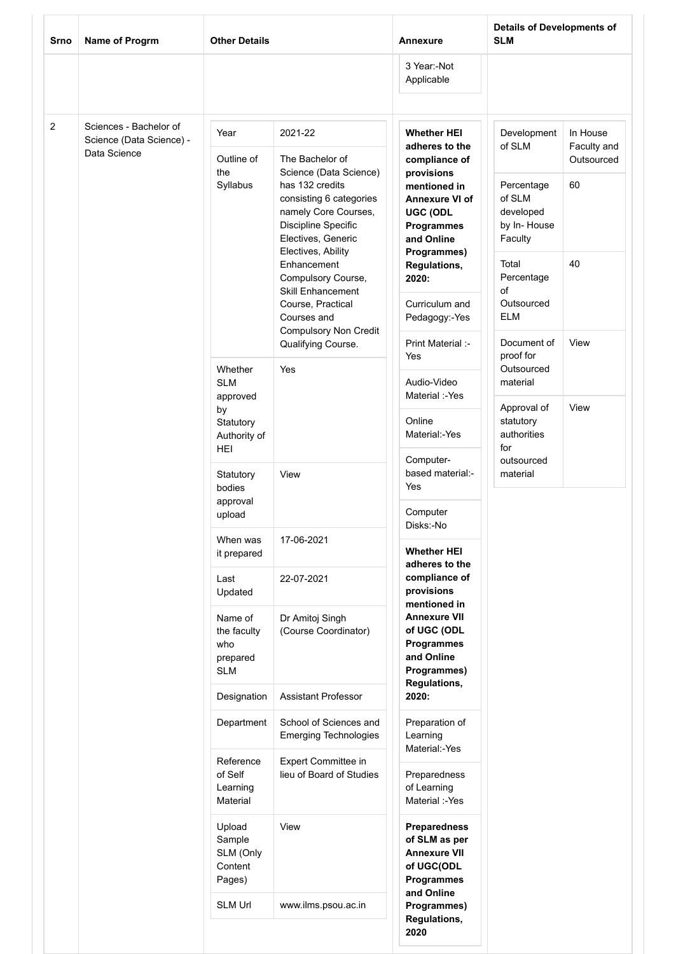| Srno | Name of Progrm                                                     |                                                         | <b>Other Details</b>                                                                                               |                                                                                                       | <b>Details of Developments of</b><br><b>SLM</b> |                                             |
|------|--------------------------------------------------------------------|---------------------------------------------------------|--------------------------------------------------------------------------------------------------------------------|-------------------------------------------------------------------------------------------------------|-------------------------------------------------|---------------------------------------------|
|      |                                                                    |                                                         |                                                                                                                    | 3 Year:-Not<br>Applicable                                                                             |                                                 |                                             |
| 2    | Sciences - Bachelor of<br>Science (Data Science) -<br>Data Science | Year<br>Outline of<br>the<br>Syllabus                   | 2021-22<br>The Bachelor of<br>Science (Data Science)<br>has 132 credits                                            | <b>Whether HEI</b><br>adheres to the<br>compliance of<br>provisions<br>mentioned in                   | Development<br>of SLM<br>Percentage             | In House<br>Faculty and<br>Outsourced<br>60 |
|      |                                                                    |                                                         | consisting 6 categories<br>namely Core Courses,<br>Discipline Specific<br>Electives, Generic<br>Electives, Ability | <b>Annexure VI of</b><br>UGC (ODL<br><b>Programmes</b><br>and Online<br>Programmes)                   | of SLM<br>developed<br>by In-House<br>Faculty   |                                             |
|      |                                                                    |                                                         | Enhancement<br>Compulsory Course,<br><b>Skill Enhancement</b>                                                      | Regulations,<br>2020:                                                                                 | Total<br>Percentage<br>of                       | 40                                          |
|      |                                                                    |                                                         | Course, Practical<br>Courses and<br><b>Compulsory Non Credit</b>                                                   | Curriculum and<br>Pedagogy:-Yes                                                                       | Outsourced<br><b>ELM</b>                        |                                             |
|      |                                                                    | Whether                                                 | Qualifying Course.<br>Yes                                                                                          | Print Material :-<br>Yes                                                                              | Document of<br>proof for<br>Outsourced          | View                                        |
|      |                                                                    | <b>SLM</b><br>approved<br>by                            |                                                                                                                    | Audio-Video<br>Material :-Yes                                                                         | material<br>Approval of                         | View                                        |
|      | Statutory<br>Authority of<br>HEI                                   |                                                         | Online<br>Material:-Yes<br>Computer-                                                                               | statutory<br>authorities<br>for<br>outsourced                                                         |                                                 |                                             |
|      |                                                                    | Statutory<br>bodies<br>approval                         | View                                                                                                               | based material:-<br>Yes                                                                               | material                                        |                                             |
|      |                                                                    | upload                                                  |                                                                                                                    | Computer<br>Disks:-No                                                                                 |                                                 |                                             |
|      |                                                                    | When was<br>it prepared                                 | 17-06-2021                                                                                                         | <b>Whether HEI</b><br>adheres to the                                                                  |                                                 |                                             |
|      |                                                                    | Last<br>Updated                                         | 22-07-2021                                                                                                         | compliance of<br>provisions<br>mentioned in                                                           |                                                 |                                             |
|      |                                                                    | Name of<br>the faculty<br>who<br>prepared<br><b>SLM</b> | Dr Amitoj Singh<br>(Course Coordinator)                                                                            | <b>Annexure VII</b><br>of UGC (ODL<br><b>Programmes</b><br>and Online<br>Programmes)<br>Regulations,  |                                                 |                                             |
|      |                                                                    | Designation                                             | <b>Assistant Professor</b>                                                                                         | 2020:                                                                                                 |                                                 |                                             |
|      |                                                                    | Department                                              | School of Sciences and<br><b>Emerging Technologies</b>                                                             | Preparation of<br>Learning<br>Material:-Yes                                                           |                                                 |                                             |
|      |                                                                    | Reference<br>of Self<br>Learning<br>Material            | Expert Committee in<br>lieu of Board of Studies                                                                    | Preparedness<br>of Learning<br>Material :-Yes                                                         |                                                 |                                             |
|      |                                                                    | Upload<br>Sample<br>SLM (Only<br>Content<br>Pages)      | View                                                                                                               | <b>Preparedness</b><br>of SLM as per<br><b>Annexure VII</b><br>of UGC(ODL<br>Programmes<br>and Online |                                                 |                                             |
|      |                                                                    | SLM Url                                                 | www.ilms.psou.ac.in                                                                                                | Programmes)<br>Regulations,<br>2020                                                                   |                                                 |                                             |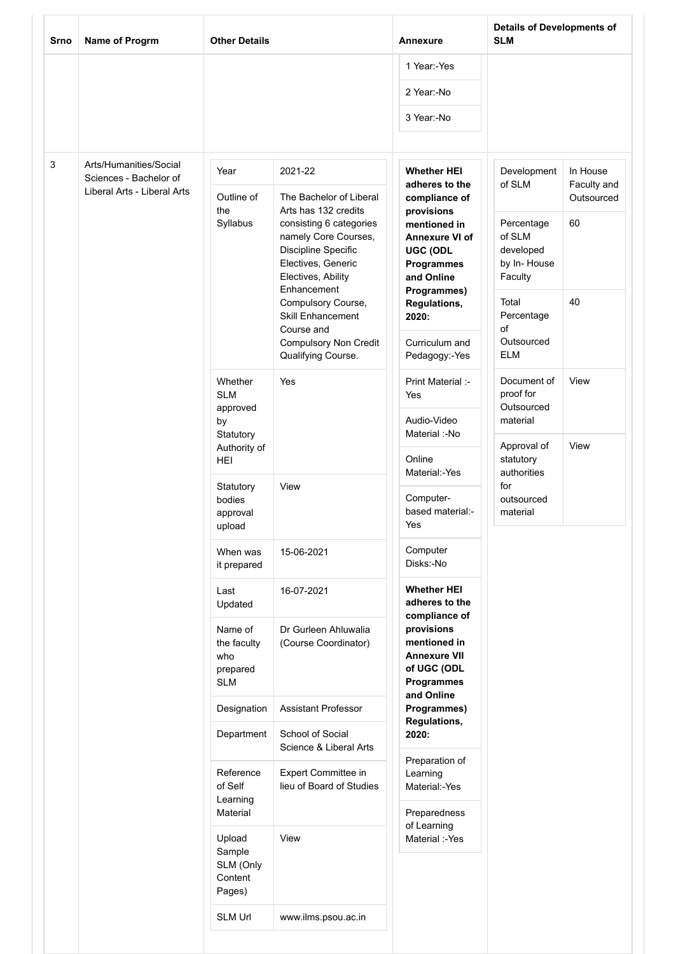| 1 Year:-Yes<br>2 Year:-No<br>3 Year:-No<br>3<br>Arts/Humanities/Social<br><b>Whether HEI</b><br>Development<br>In House<br>Year<br>2021-22<br>Sciences - Bachelor of<br>of SLM<br>adheres to the<br>Faculty and<br>Liberal Arts - Liberal Arts<br>Outline of<br>The Bachelor of Liberal<br>compliance of<br>Outsourced<br>Arts has 132 credits<br>the<br>provisions<br>Syllabus<br>Percentage<br>60<br>consisting 6 categories<br>mentioned in<br>of SLM<br>namely Core Courses,<br><b>Annexure VI of</b><br>Discipline Specific<br>developed<br>UGC (ODL<br>Electives, Generic<br>by In-House<br>Programmes<br>Electives, Ability<br>Faculty<br>and Online<br>Enhancement<br>Programmes)<br>40<br>Compulsory Course,<br>Total<br>Regulations,<br><b>Skill Enhancement</b><br>Percentage<br>2020:<br>of<br>Course and<br>Outsourced<br><b>Compulsory Non Credit</b><br>Curriculum and<br><b>ELM</b><br>Qualifying Course.<br>Pedagogy:-Yes<br>View<br>Document of<br>Whether<br>Yes<br>Print Material :-<br>proof for<br><b>SLM</b><br>Yes<br>Outsourced<br>approved<br>Audio-Video<br>material<br>by<br>Material :-No<br>Statutory<br>View<br>Approval of<br>Authority of<br>Online<br>statutory<br>HEI<br>Material:-Yes<br>authorities<br>for<br>View<br>Statutory<br>Computer-<br>outsourced<br>bodies<br>based material:-<br>material<br>approval<br>Yes<br>upload<br>Computer<br>When was<br>15-06-2021<br>Disks:-No<br>it prepared<br><b>Whether HEI</b><br>Last<br>16-07-2021<br>adheres to the<br>Updated<br>compliance of<br>provisions<br>Name of<br>Dr Gurleen Ahluwalia<br>mentioned in<br>(Course Coordinator)<br>the faculty<br><b>Annexure VII</b><br>who<br>of UGC (ODL<br>prepared<br>Programmes<br><b>SLM</b><br>and Online<br>Designation<br><b>Assistant Professor</b><br>Programmes)<br>Regulations,<br>Department<br>School of Social<br>2020:<br>Science & Liberal Arts<br>Preparation of<br>Reference<br>Expert Committee in<br>Learning<br>of Self<br>lieu of Board of Studies<br>Material:-Yes<br>Learning<br>Material<br>Preparedness<br>of Learning<br>View<br>Upload<br>Material :-Yes<br>Sample<br>SLM (Only<br>Content<br>Pages)<br>SLM Url<br>www.ilms.psou.ac.in | Srno | Name of Progrm | <b>Other Details</b> | <b>Annexure</b> | <b>Details of Developments of</b><br><b>SLM</b> |  |
|---------------------------------------------------------------------------------------------------------------------------------------------------------------------------------------------------------------------------------------------------------------------------------------------------------------------------------------------------------------------------------------------------------------------------------------------------------------------------------------------------------------------------------------------------------------------------------------------------------------------------------------------------------------------------------------------------------------------------------------------------------------------------------------------------------------------------------------------------------------------------------------------------------------------------------------------------------------------------------------------------------------------------------------------------------------------------------------------------------------------------------------------------------------------------------------------------------------------------------------------------------------------------------------------------------------------------------------------------------------------------------------------------------------------------------------------------------------------------------------------------------------------------------------------------------------------------------------------------------------------------------------------------------------------------------------------------------------------------------------------------------------------------------------------------------------------------------------------------------------------------------------------------------------------------------------------------------------------------------------------------------------------------------------------------------------------------------------------------------------------------------------------------------------------------------------------------|------|----------------|----------------------|-----------------|-------------------------------------------------|--|
|                                                                                                                                                                                                                                                                                                                                                                                                                                                                                                                                                                                                                                                                                                                                                                                                                                                                                                                                                                                                                                                                                                                                                                                                                                                                                                                                                                                                                                                                                                                                                                                                                                                                                                                                                                                                                                                                                                                                                                                                                                                                                                                                                                                                   |      |                |                      |                 |                                                 |  |
|                                                                                                                                                                                                                                                                                                                                                                                                                                                                                                                                                                                                                                                                                                                                                                                                                                                                                                                                                                                                                                                                                                                                                                                                                                                                                                                                                                                                                                                                                                                                                                                                                                                                                                                                                                                                                                                                                                                                                                                                                                                                                                                                                                                                   |      |                |                      |                 |                                                 |  |
|                                                                                                                                                                                                                                                                                                                                                                                                                                                                                                                                                                                                                                                                                                                                                                                                                                                                                                                                                                                                                                                                                                                                                                                                                                                                                                                                                                                                                                                                                                                                                                                                                                                                                                                                                                                                                                                                                                                                                                                                                                                                                                                                                                                                   |      |                |                      |                 |                                                 |  |
|                                                                                                                                                                                                                                                                                                                                                                                                                                                                                                                                                                                                                                                                                                                                                                                                                                                                                                                                                                                                                                                                                                                                                                                                                                                                                                                                                                                                                                                                                                                                                                                                                                                                                                                                                                                                                                                                                                                                                                                                                                                                                                                                                                                                   |      |                |                      |                 |                                                 |  |
|                                                                                                                                                                                                                                                                                                                                                                                                                                                                                                                                                                                                                                                                                                                                                                                                                                                                                                                                                                                                                                                                                                                                                                                                                                                                                                                                                                                                                                                                                                                                                                                                                                                                                                                                                                                                                                                                                                                                                                                                                                                                                                                                                                                                   |      |                |                      |                 |                                                 |  |
|                                                                                                                                                                                                                                                                                                                                                                                                                                                                                                                                                                                                                                                                                                                                                                                                                                                                                                                                                                                                                                                                                                                                                                                                                                                                                                                                                                                                                                                                                                                                                                                                                                                                                                                                                                                                                                                                                                                                                                                                                                                                                                                                                                                                   |      |                |                      |                 |                                                 |  |
|                                                                                                                                                                                                                                                                                                                                                                                                                                                                                                                                                                                                                                                                                                                                                                                                                                                                                                                                                                                                                                                                                                                                                                                                                                                                                                                                                                                                                                                                                                                                                                                                                                                                                                                                                                                                                                                                                                                                                                                                                                                                                                                                                                                                   |      |                |                      |                 |                                                 |  |
|                                                                                                                                                                                                                                                                                                                                                                                                                                                                                                                                                                                                                                                                                                                                                                                                                                                                                                                                                                                                                                                                                                                                                                                                                                                                                                                                                                                                                                                                                                                                                                                                                                                                                                                                                                                                                                                                                                                                                                                                                                                                                                                                                                                                   |      |                |                      |                 |                                                 |  |
|                                                                                                                                                                                                                                                                                                                                                                                                                                                                                                                                                                                                                                                                                                                                                                                                                                                                                                                                                                                                                                                                                                                                                                                                                                                                                                                                                                                                                                                                                                                                                                                                                                                                                                                                                                                                                                                                                                                                                                                                                                                                                                                                                                                                   |      |                |                      |                 |                                                 |  |
|                                                                                                                                                                                                                                                                                                                                                                                                                                                                                                                                                                                                                                                                                                                                                                                                                                                                                                                                                                                                                                                                                                                                                                                                                                                                                                                                                                                                                                                                                                                                                                                                                                                                                                                                                                                                                                                                                                                                                                                                                                                                                                                                                                                                   |      |                |                      |                 |                                                 |  |
|                                                                                                                                                                                                                                                                                                                                                                                                                                                                                                                                                                                                                                                                                                                                                                                                                                                                                                                                                                                                                                                                                                                                                                                                                                                                                                                                                                                                                                                                                                                                                                                                                                                                                                                                                                                                                                                                                                                                                                                                                                                                                                                                                                                                   |      |                |                      |                 |                                                 |  |
|                                                                                                                                                                                                                                                                                                                                                                                                                                                                                                                                                                                                                                                                                                                                                                                                                                                                                                                                                                                                                                                                                                                                                                                                                                                                                                                                                                                                                                                                                                                                                                                                                                                                                                                                                                                                                                                                                                                                                                                                                                                                                                                                                                                                   |      |                |                      |                 |                                                 |  |
|                                                                                                                                                                                                                                                                                                                                                                                                                                                                                                                                                                                                                                                                                                                                                                                                                                                                                                                                                                                                                                                                                                                                                                                                                                                                                                                                                                                                                                                                                                                                                                                                                                                                                                                                                                                                                                                                                                                                                                                                                                                                                                                                                                                                   |      |                |                      |                 |                                                 |  |
|                                                                                                                                                                                                                                                                                                                                                                                                                                                                                                                                                                                                                                                                                                                                                                                                                                                                                                                                                                                                                                                                                                                                                                                                                                                                                                                                                                                                                                                                                                                                                                                                                                                                                                                                                                                                                                                                                                                                                                                                                                                                                                                                                                                                   |      |                |                      |                 |                                                 |  |
|                                                                                                                                                                                                                                                                                                                                                                                                                                                                                                                                                                                                                                                                                                                                                                                                                                                                                                                                                                                                                                                                                                                                                                                                                                                                                                                                                                                                                                                                                                                                                                                                                                                                                                                                                                                                                                                                                                                                                                                                                                                                                                                                                                                                   |      |                |                      |                 |                                                 |  |
|                                                                                                                                                                                                                                                                                                                                                                                                                                                                                                                                                                                                                                                                                                                                                                                                                                                                                                                                                                                                                                                                                                                                                                                                                                                                                                                                                                                                                                                                                                                                                                                                                                                                                                                                                                                                                                                                                                                                                                                                                                                                                                                                                                                                   |      |                |                      |                 |                                                 |  |
|                                                                                                                                                                                                                                                                                                                                                                                                                                                                                                                                                                                                                                                                                                                                                                                                                                                                                                                                                                                                                                                                                                                                                                                                                                                                                                                                                                                                                                                                                                                                                                                                                                                                                                                                                                                                                                                                                                                                                                                                                                                                                                                                                                                                   |      |                |                      |                 |                                                 |  |
|                                                                                                                                                                                                                                                                                                                                                                                                                                                                                                                                                                                                                                                                                                                                                                                                                                                                                                                                                                                                                                                                                                                                                                                                                                                                                                                                                                                                                                                                                                                                                                                                                                                                                                                                                                                                                                                                                                                                                                                                                                                                                                                                                                                                   |      |                |                      |                 |                                                 |  |
|                                                                                                                                                                                                                                                                                                                                                                                                                                                                                                                                                                                                                                                                                                                                                                                                                                                                                                                                                                                                                                                                                                                                                                                                                                                                                                                                                                                                                                                                                                                                                                                                                                                                                                                                                                                                                                                                                                                                                                                                                                                                                                                                                                                                   |      |                |                      |                 |                                                 |  |
|                                                                                                                                                                                                                                                                                                                                                                                                                                                                                                                                                                                                                                                                                                                                                                                                                                                                                                                                                                                                                                                                                                                                                                                                                                                                                                                                                                                                                                                                                                                                                                                                                                                                                                                                                                                                                                                                                                                                                                                                                                                                                                                                                                                                   |      |                |                      |                 |                                                 |  |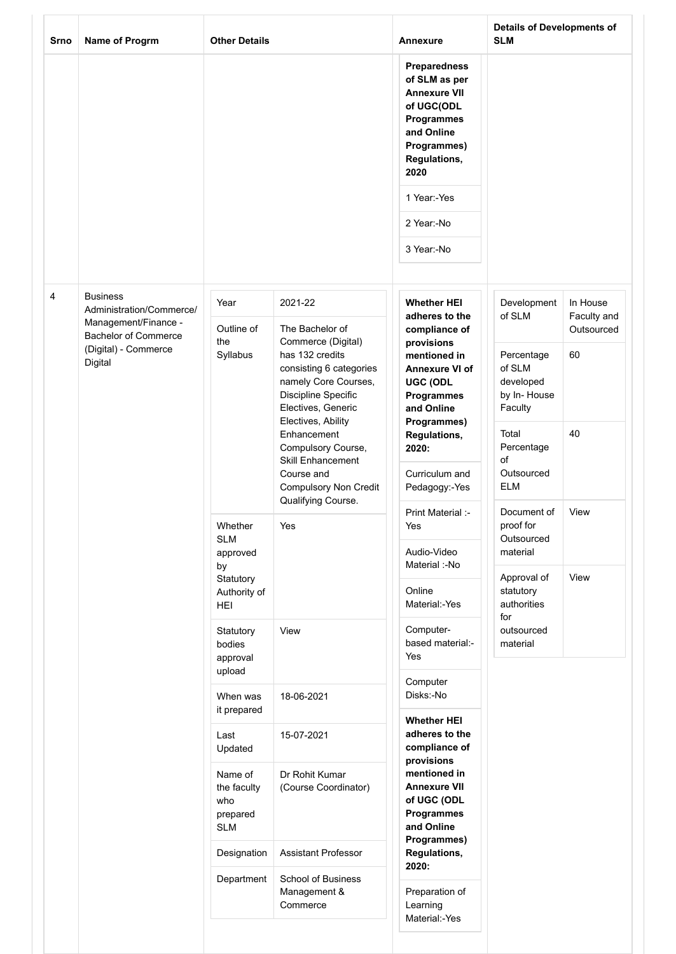| Srno | Name of Progrm                                                                                                                        | <b>Other Details</b>                                                        |                                                                                                                                                                                | Annexure                                                                                                                                     | <b>Details of Developments of</b><br><b>SLM</b>             |                         |
|------|---------------------------------------------------------------------------------------------------------------------------------------|-----------------------------------------------------------------------------|--------------------------------------------------------------------------------------------------------------------------------------------------------------------------------|----------------------------------------------------------------------------------------------------------------------------------------------|-------------------------------------------------------------|-------------------------|
|      |                                                                                                                                       |                                                                             |                                                                                                                                                                                | <b>Preparedness</b><br>of SLM as per<br><b>Annexure VII</b><br>of UGC(ODL<br>Programmes<br>and Online<br>Programmes)<br>Regulations,<br>2020 |                                                             |                         |
|      |                                                                                                                                       |                                                                             |                                                                                                                                                                                | 1 Year:-Yes                                                                                                                                  |                                                             |                         |
|      |                                                                                                                                       |                                                                             |                                                                                                                                                                                | 2 Year:-No                                                                                                                                   |                                                             |                         |
|      |                                                                                                                                       |                                                                             |                                                                                                                                                                                | 3 Year:-No                                                                                                                                   |                                                             |                         |
| 4    | <b>Business</b><br>Administration/Commerce/<br>Management/Finance -<br><b>Bachelor of Commerce</b><br>(Digital) - Commerce<br>Digital | Year                                                                        | 2021-22                                                                                                                                                                        | <b>Whether HEI</b><br>adheres to the                                                                                                         | Development<br>of SLM                                       | In House<br>Faculty and |
|      |                                                                                                                                       | Outline of<br>the<br>Syllabus                                               | The Bachelor of<br>Commerce (Digital)<br>has 132 credits<br>consisting 6 categories<br>namely Core Courses,<br>Discipline Specific<br>Electives, Generic<br>Electives, Ability | compliance of<br>provisions<br>mentioned in<br>Annexure VI of<br><b>UGC (ODL</b><br>Programmes<br>and Online<br>Programmes)                  | Percentage<br>of SLM<br>developed<br>by In-House<br>Faculty | Outsourced<br>60        |
|      |                                                                                                                                       |                                                                             | Enhancement<br>Compulsory Course,<br><b>Skill Enhancement</b>                                                                                                                  | Regulations,<br>2020:                                                                                                                        | Total<br>Percentage<br>of                                   | 40                      |
|      |                                                                                                                                       |                                                                             | Course and<br><b>Compulsory Non Credit</b><br>Qualifying Course.                                                                                                               | Curriculum and<br>Pedagogy:-Yes                                                                                                              | Outsourced<br><b>ELM</b>                                    |                         |
|      |                                                                                                                                       | Whether<br><b>SLM</b><br>approved<br>by<br>Statutory<br>Authority of<br>HEI | Yes                                                                                                                                                                            | Print Material :-<br>Yes<br>Audio-Video                                                                                                      | Document of<br>proof for<br>Outsourced<br>material          | View                    |
|      |                                                                                                                                       |                                                                             |                                                                                                                                                                                | Material :-No<br>Online<br>Material:-Yes                                                                                                     | Approval of<br>statutory<br>authorities                     | View                    |
|      |                                                                                                                                       | Statutory<br>bodies<br>approval<br>upload                                   | View                                                                                                                                                                           | Computer-<br>based material:-<br>Yes                                                                                                         | for<br>outsourced<br>material                               |                         |
|      |                                                                                                                                       | When was<br>it prepared                                                     | 18-06-2021                                                                                                                                                                     | Computer<br>Disks:-No                                                                                                                        |                                                             |                         |
|      |                                                                                                                                       | Last<br>Updated                                                             | 15-07-2021                                                                                                                                                                     | <b>Whether HEI</b><br>adheres to the<br>compliance of<br>provisions                                                                          |                                                             |                         |
|      |                                                                                                                                       | Name of<br>the faculty<br>who<br>prepared<br><b>SLM</b>                     | Dr Rohit Kumar<br>(Course Coordinator)                                                                                                                                         | mentioned in<br><b>Annexure VII</b><br>of UGC (ODL<br>Programmes<br>and Online                                                               |                                                             |                         |
|      |                                                                                                                                       | Designation                                                                 | Assistant Professor                                                                                                                                                            | Programmes)<br>Regulations,                                                                                                                  |                                                             |                         |
|      |                                                                                                                                       | Department                                                                  | <b>School of Business</b><br>Management &<br>Commerce                                                                                                                          | 2020:<br>Preparation of<br>Learning<br>Material:-Yes                                                                                         |                                                             |                         |
|      |                                                                                                                                       |                                                                             |                                                                                                                                                                                |                                                                                                                                              |                                                             |                         |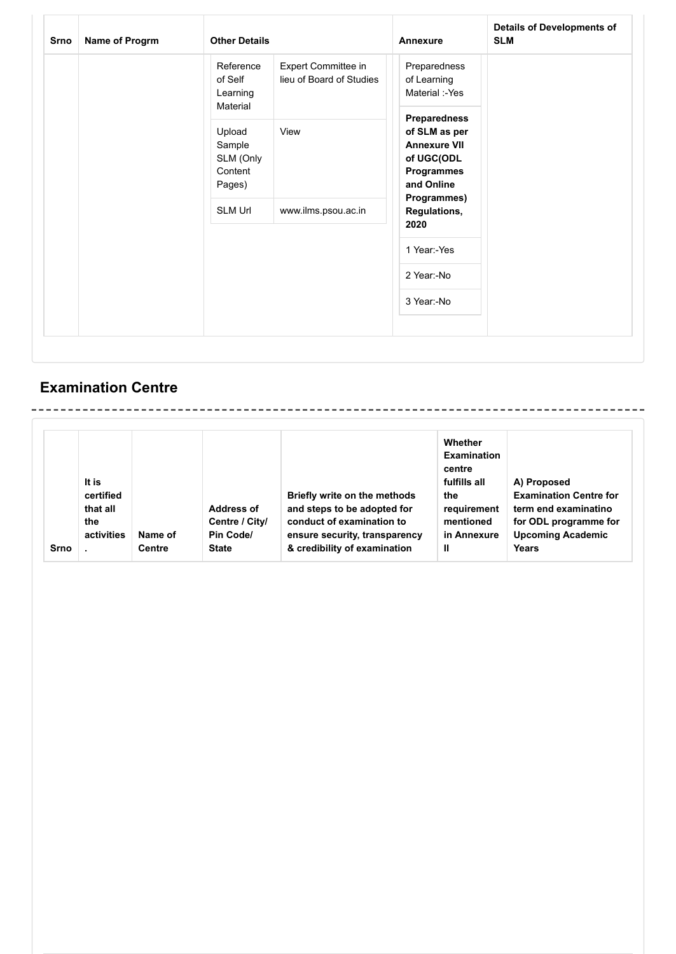| <b>Srno</b> | Name of Progrm | <b>Other Details</b>                                                 |                                                 | Annexure                                                                                                                              | <b>Details of Developments of</b><br><b>SLM</b> |
|-------------|----------------|----------------------------------------------------------------------|-------------------------------------------------|---------------------------------------------------------------------------------------------------------------------------------------|-------------------------------------------------|
|             |                | Reference<br>of Self<br>Learning<br>Material                         | Expert Committee in<br>lieu of Board of Studies | Preparedness<br>of Learning<br>Material :-Yes                                                                                         |                                                 |
|             |                | Upload<br>Sample<br>SLM (Only<br>Content<br>Pages)<br><b>SLM Url</b> | View<br>www.ilms.psou.ac.in                     | Preparedness<br>of SLM as per<br><b>Annexure VII</b><br>of UGC(ODL<br>Programmes<br>and Online<br>Programmes)<br>Regulations,<br>2020 |                                                 |
|             |                |                                                                      |                                                 | 1 Year:-Yes                                                                                                                           |                                                 |
|             |                |                                                                      |                                                 | 2 Year:-No                                                                                                                            |                                                 |
|             |                |                                                                      |                                                 | 3 Year:-No                                                                                                                            |                                                 |

## **Examination Centre**

|      | It is<br>certified<br>that all<br>the |               | <b>Address of</b><br>Centre / City/ | Briefly write on the methods<br>and steps to be adopted for<br>conduct of examination to | Whether<br><b>Examination</b><br>centre<br>fulfills all<br>the<br>requirement<br>mentioned | A) Proposed<br><b>Examination Centre for</b><br>term end examinatino<br>for ODL programme for |
|------|---------------------------------------|---------------|-------------------------------------|------------------------------------------------------------------------------------------|--------------------------------------------------------------------------------------------|-----------------------------------------------------------------------------------------------|
|      | activities                            | Name of       | Pin Code/                           | ensure security, transparency                                                            | in Annexure                                                                                | <b>Upcoming Academic</b>                                                                      |
| Srno |                                       | <b>Centre</b> | <b>State</b>                        | & credibility of examination                                                             | Ш                                                                                          | Years                                                                                         |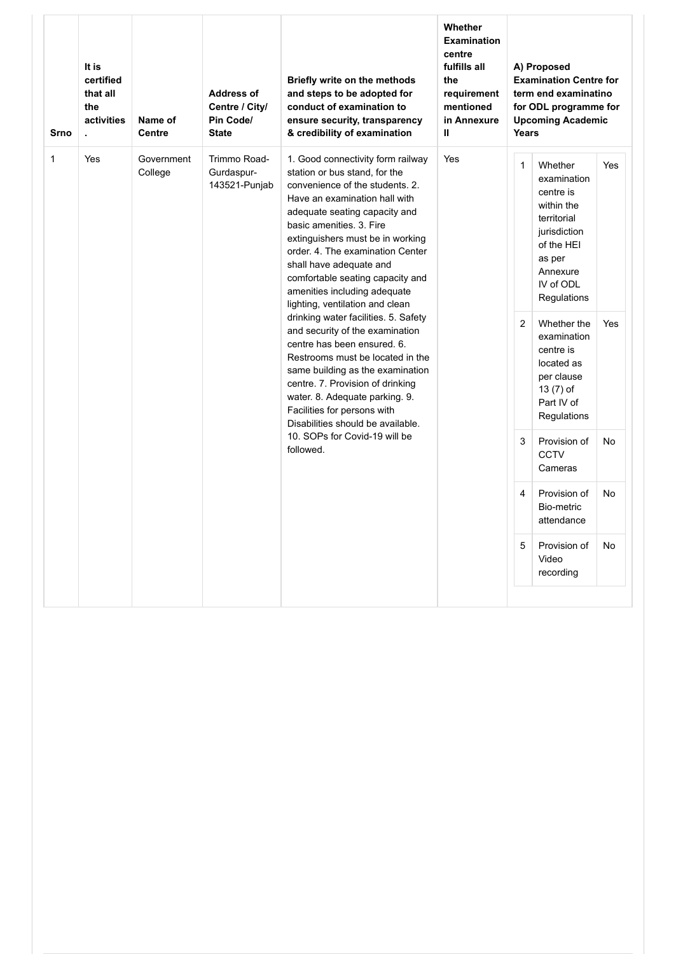| Srno         | It is<br>certified<br>that all<br>the<br>activities<br>ä. | Name of<br><b>Centre</b> | <b>Address of</b><br>Centre / City/<br>Pin Code/<br><b>State</b> | Briefly write on the methods<br>and steps to be adopted for<br>conduct of examination to<br>ensure security, transparency<br>& credibility of examination                                                                                                                                                                                                                                                                                                                                | Whether<br><b>Examination</b><br>centre<br>fulfills all<br>the<br>requirement<br>mentioned<br>in Annexure<br>Ш | Years             | A) Proposed<br><b>Examination Centre for</b><br>term end examinatino<br>for ODL programme for<br><b>Upcoming Academic</b>                                       |            |
|--------------|-----------------------------------------------------------|--------------------------|------------------------------------------------------------------|------------------------------------------------------------------------------------------------------------------------------------------------------------------------------------------------------------------------------------------------------------------------------------------------------------------------------------------------------------------------------------------------------------------------------------------------------------------------------------------|----------------------------------------------------------------------------------------------------------------|-------------------|-----------------------------------------------------------------------------------------------------------------------------------------------------------------|------------|
| $\mathbf{1}$ | Yes                                                       | Government<br>College    | Trimmo Road-<br>Gurdaspur-<br>143521-Punjab                      | 1. Good connectivity form railway<br>station or bus stand, for the<br>convenience of the students, 2.<br>Have an examination hall with<br>adequate seating capacity and<br>basic amenities. 3. Fire<br>extinguishers must be in working<br>order. 4. The examination Center<br>shall have adequate and<br>comfortable seating capacity and<br>amenities including adequate<br>lighting, ventilation and clean<br>drinking water facilities. 5. Safety<br>and security of the examination | Yes                                                                                                            | $\mathbf{1}$<br>2 | Whether<br>examination<br>centre is<br>within the<br>territorial<br>jurisdiction<br>of the HEI<br>as per<br>Annexure<br>IV of ODL<br>Regulations<br>Whether the | Yes<br>Yes |
|              |                                                           |                          |                                                                  | centre has been ensured. 6.<br>Restrooms must be located in the<br>same building as the examination<br>centre. 7. Provision of drinking<br>water. 8. Adequate parking. 9.<br>Facilities for persons with<br>Disabilities should be available.                                                                                                                                                                                                                                            |                                                                                                                |                   | examination<br>centre is<br>located as<br>per clause<br>13 (7) of<br>Part IV of<br>Regulations                                                                  |            |
|              |                                                           |                          |                                                                  | 10. SOPs for Covid-19 will be<br>followed.                                                                                                                                                                                                                                                                                                                                                                                                                                               |                                                                                                                | 3                 | Provision of<br><b>CCTV</b><br>Cameras                                                                                                                          | No         |
|              |                                                           |                          |                                                                  |                                                                                                                                                                                                                                                                                                                                                                                                                                                                                          |                                                                                                                | 4                 | Provision of<br>Bio-metric<br>attendance                                                                                                                        | No         |
|              |                                                           |                          |                                                                  |                                                                                                                                                                                                                                                                                                                                                                                                                                                                                          |                                                                                                                | 5                 | Provision of<br>Video<br>recording                                                                                                                              | <b>No</b>  |
|              |                                                           |                          |                                                                  |                                                                                                                                                                                                                                                                                                                                                                                                                                                                                          |                                                                                                                |                   |                                                                                                                                                                 |            |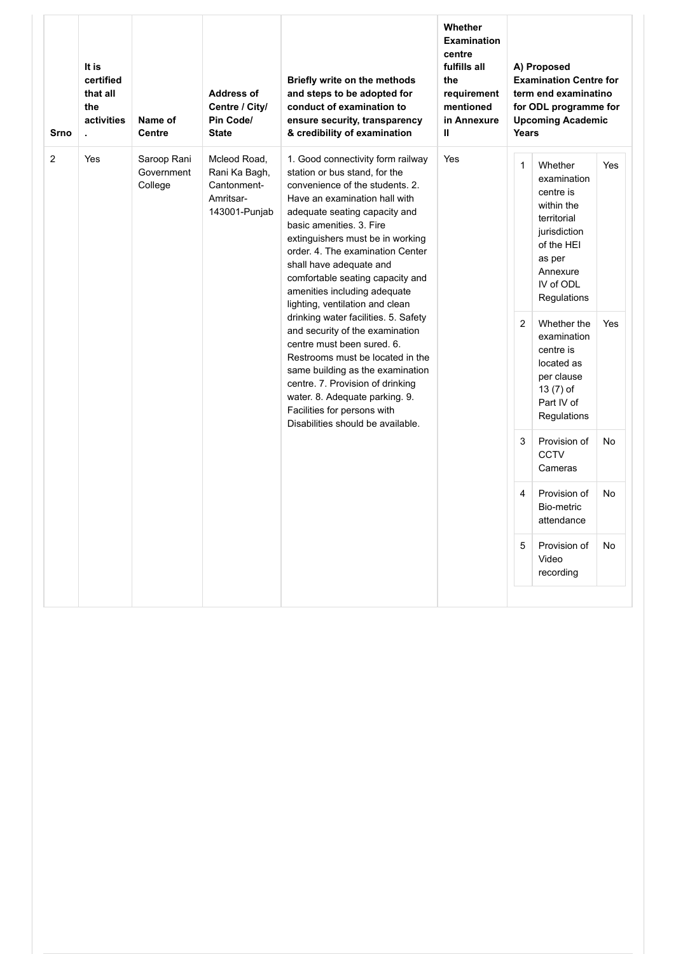| <b>Srno</b>    | It is<br>certified<br>that all<br>the<br>activities<br>t, | Name of<br><b>Centre</b>             | <b>Address of</b><br>Centre / City/<br>Pin Code/<br><b>State</b>           | Briefly write on the methods<br>and steps to be adopted for<br>conduct of examination to<br>ensure security, transparency<br>& credibility of examination                                                                                                                                                                                                                                                     | Whether<br><b>Examination</b><br>centre<br>fulfills all<br>the<br>requirement<br>mentioned<br>in Annexure<br>$\mathbf{H}$ | Years          | A) Proposed<br><b>Examination Centre for</b><br>term end examinatino<br>for ODL programme for<br><b>Upcoming Academic</b>                        |            |
|----------------|-----------------------------------------------------------|--------------------------------------|----------------------------------------------------------------------------|---------------------------------------------------------------------------------------------------------------------------------------------------------------------------------------------------------------------------------------------------------------------------------------------------------------------------------------------------------------------------------------------------------------|---------------------------------------------------------------------------------------------------------------------------|----------------|--------------------------------------------------------------------------------------------------------------------------------------------------|------------|
| $\overline{2}$ | Yes                                                       | Saroop Rani<br>Government<br>College | Mcleod Road,<br>Rani Ka Bagh,<br>Cantonment-<br>Amritsar-<br>143001-Punjab | 1. Good connectivity form railway<br>station or bus stand, for the<br>convenience of the students. 2.<br>Have an examination hall with<br>adequate seating capacity and<br>basic amenities. 3. Fire<br>extinguishers must be in working<br>order. 4. The examination Center<br>shall have adequate and<br>comfortable seating capacity and<br>amenities including adequate<br>lighting, ventilation and clean | Yes                                                                                                                       | $\mathbf{1}$   | Whether<br>examination<br>centre is<br>within the<br>territorial<br>jurisdiction<br>of the HEI<br>as per<br>Annexure<br>IV of ODL<br>Regulations | <b>Yes</b> |
|                |                                                           |                                      |                                                                            | drinking water facilities. 5. Safety<br>and security of the examination<br>centre must been sured. 6.<br>Restrooms must be located in the<br>same building as the examination<br>centre. 7. Provision of drinking<br>water. 8. Adequate parking. 9.<br>Facilities for persons with<br>Disabilities should be available.                                                                                       |                                                                                                                           | $\overline{2}$ | Whether the<br>examination<br>centre is<br>located as<br>per clause<br>13 (7) of<br>Part IV of<br>Regulations                                    | Yes        |
|                |                                                           |                                      |                                                                            |                                                                                                                                                                                                                                                                                                                                                                                                               |                                                                                                                           | 3              | Provision of<br><b>CCTV</b><br>Cameras                                                                                                           | No         |
|                |                                                           |                                      |                                                                            |                                                                                                                                                                                                                                                                                                                                                                                                               |                                                                                                                           | 4              | Provision of<br>Bio-metric<br>attendance                                                                                                         | No         |
|                |                                                           |                                      |                                                                            |                                                                                                                                                                                                                                                                                                                                                                                                               |                                                                                                                           | 5              | Provision of<br>Video<br>recording                                                                                                               | No         |
|                |                                                           |                                      |                                                                            |                                                                                                                                                                                                                                                                                                                                                                                                               |                                                                                                                           |                |                                                                                                                                                  |            |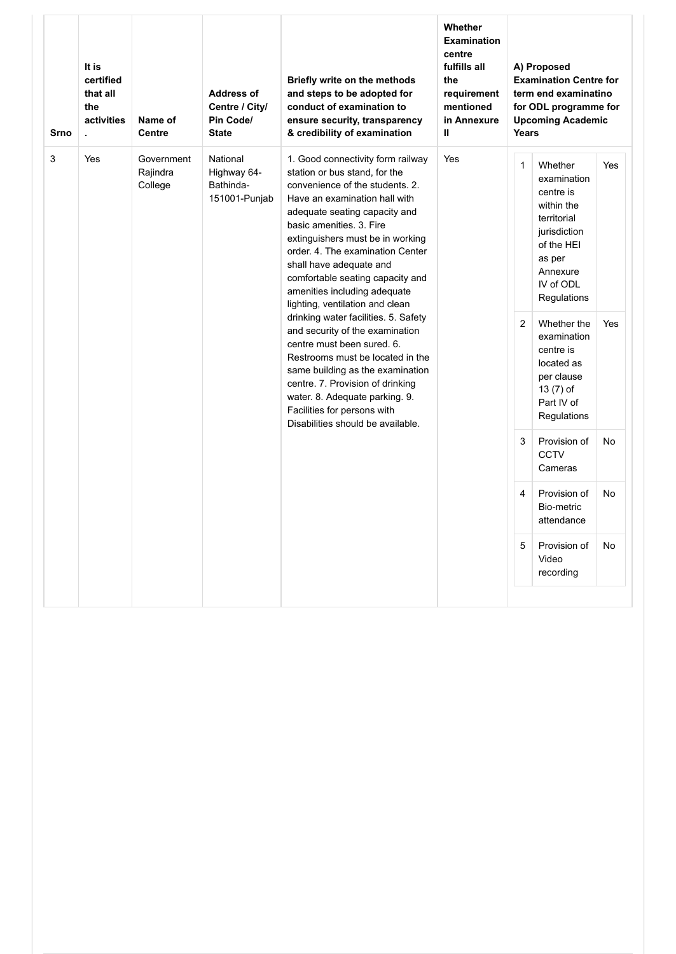| <b>Srno</b> | It is<br>certified<br>that all<br>the<br>activities<br>ä, | Name of<br><b>Centre</b>          | <b>Address of</b><br>Centre / City/<br>Pin Code/<br><b>State</b> | Briefly write on the methods<br>and steps to be adopted for<br>conduct of examination to<br>ensure security, transparency<br>& credibility of examination                                                                                                                                                                                                                                                                                                                                                                                                                                                                                                                                           | <b>Whether</b><br><b>Examination</b><br>centre<br>fulfills all<br>the<br>requirement<br>mentioned<br>in Annexure<br>$\mathbf{u}$ | Years             | A) Proposed<br><b>Examination Centre for</b><br>term end examinatino<br>for ODL programme for<br><b>Upcoming Academic</b>                                                                                                                                          |            |
|-------------|-----------------------------------------------------------|-----------------------------------|------------------------------------------------------------------|-----------------------------------------------------------------------------------------------------------------------------------------------------------------------------------------------------------------------------------------------------------------------------------------------------------------------------------------------------------------------------------------------------------------------------------------------------------------------------------------------------------------------------------------------------------------------------------------------------------------------------------------------------------------------------------------------------|----------------------------------------------------------------------------------------------------------------------------------|-------------------|--------------------------------------------------------------------------------------------------------------------------------------------------------------------------------------------------------------------------------------------------------------------|------------|
| 3           | Yes                                                       | Government<br>Rajindra<br>College | National<br>Highway 64-<br>Bathinda-<br>151001-Punjab            | 1. Good connectivity form railway<br>station or bus stand, for the<br>convenience of the students, 2.<br>Have an examination hall with<br>adequate seating capacity and<br>basic amenities. 3. Fire<br>extinguishers must be in working<br>order. 4. The examination Center<br>shall have adequate and<br>comfortable seating capacity and<br>amenities including adequate<br>lighting, ventilation and clean<br>drinking water facilities. 5. Safety<br>and security of the examination<br>centre must been sured. 6.<br>Restrooms must be located in the<br>same building as the examination<br>centre. 7. Provision of drinking<br>water. 8. Adequate parking. 9.<br>Facilities for persons with | Yes                                                                                                                              | $\mathbf{1}$<br>2 | Whether<br>examination<br>centre is<br>within the<br>territorial<br>jurisdiction<br>of the HEI<br>as per<br>Annexure<br>IV of ODL<br>Regulations<br>Whether the<br>examination<br>centre is<br>located as<br>per clause<br>$13(7)$ of<br>Part IV of<br>Regulations | Yes<br>Yes |
|             |                                                           |                                   |                                                                  | Disabilities should be available.                                                                                                                                                                                                                                                                                                                                                                                                                                                                                                                                                                                                                                                                   |                                                                                                                                  | 3                 | Provision of<br><b>CCTV</b><br>Cameras                                                                                                                                                                                                                             | No         |
|             |                                                           |                                   |                                                                  |                                                                                                                                                                                                                                                                                                                                                                                                                                                                                                                                                                                                                                                                                                     |                                                                                                                                  | 4                 | Provision of<br>Bio-metric<br>attendance                                                                                                                                                                                                                           | No         |
|             |                                                           |                                   |                                                                  |                                                                                                                                                                                                                                                                                                                                                                                                                                                                                                                                                                                                                                                                                                     |                                                                                                                                  | 5                 | Provision of<br>Video<br>recording                                                                                                                                                                                                                                 | No         |
|             |                                                           |                                   |                                                                  |                                                                                                                                                                                                                                                                                                                                                                                                                                                                                                                                                                                                                                                                                                     |                                                                                                                                  |                   |                                                                                                                                                                                                                                                                    |            |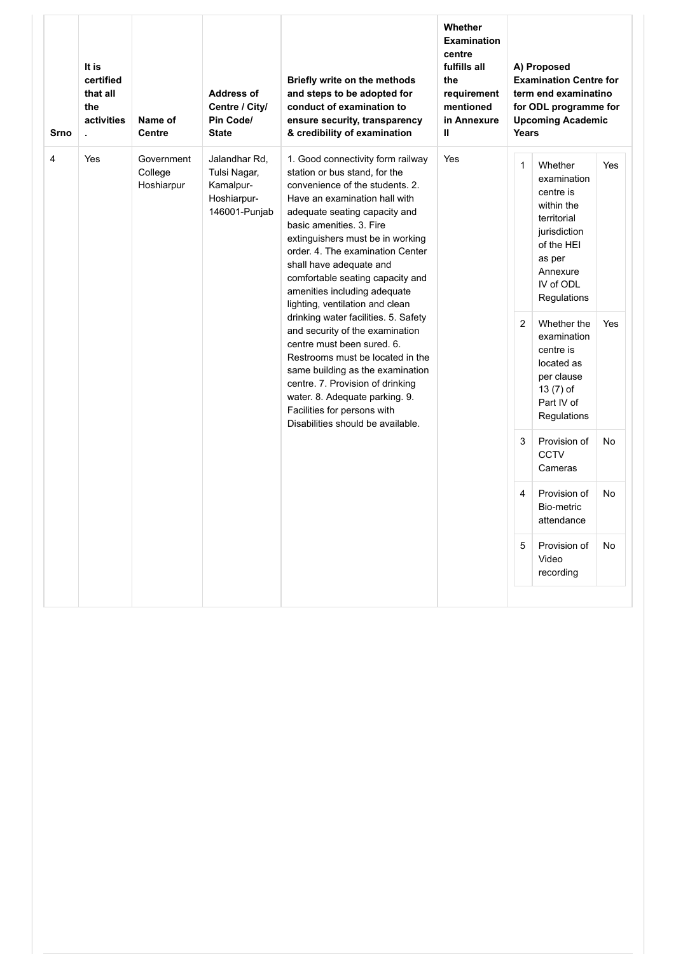| Srno           | It is<br>certified<br>that all<br>the<br>activities<br>t, | Name of<br>Centre                   | <b>Address of</b><br>Centre / City/<br>Pin Code/<br><b>State</b>           | Briefly write on the methods<br>and steps to be adopted for<br>conduct of examination to<br>ensure security, transparency<br>& credibility of examination                                                                                                                                                                                                                                                                                                                                | Whether<br><b>Examination</b><br>centre<br>fulfills all<br>the<br>requirement<br>mentioned<br>in Annexure<br>$\mathbf{u}$ | Years                          | A) Proposed<br><b>Examination Centre for</b><br>term end examinatino<br>for ODL programme for<br><b>Upcoming Academic</b>                                       |            |
|----------------|-----------------------------------------------------------|-------------------------------------|----------------------------------------------------------------------------|------------------------------------------------------------------------------------------------------------------------------------------------------------------------------------------------------------------------------------------------------------------------------------------------------------------------------------------------------------------------------------------------------------------------------------------------------------------------------------------|---------------------------------------------------------------------------------------------------------------------------|--------------------------------|-----------------------------------------------------------------------------------------------------------------------------------------------------------------|------------|
| $\overline{4}$ | Yes                                                       | Government<br>College<br>Hoshiarpur | Jalandhar Rd,<br>Tulsi Nagar,<br>Kamalpur-<br>Hoshiarpur-<br>146001-Punjab | 1. Good connectivity form railway<br>station or bus stand, for the<br>convenience of the students, 2.<br>Have an examination hall with<br>adequate seating capacity and<br>basic amenities. 3. Fire<br>extinguishers must be in working<br>order, 4. The examination Center<br>shall have adequate and<br>comfortable seating capacity and<br>amenities including adequate<br>lighting, ventilation and clean<br>drinking water facilities. 5. Safety<br>and security of the examination | Yes                                                                                                                       | $\mathbf{1}$<br>$\overline{2}$ | Whether<br>examination<br>centre is<br>within the<br>territorial<br>jurisdiction<br>of the HEI<br>as per<br>Annexure<br>IV of ODL<br>Regulations<br>Whether the | Yes<br>Yes |
|                |                                                           |                                     |                                                                            | centre must been sured, 6.<br>Restrooms must be located in the<br>same building as the examination<br>centre. 7. Provision of drinking<br>water. 8. Adequate parking. 9.<br>Facilities for persons with<br>Disabilities should be available.                                                                                                                                                                                                                                             |                                                                                                                           |                                | examination<br>centre is<br>located as<br>per clause<br>13 (7) of<br>Part IV of<br>Regulations                                                                  |            |
|                |                                                           |                                     |                                                                            |                                                                                                                                                                                                                                                                                                                                                                                                                                                                                          |                                                                                                                           | 3                              | Provision of<br><b>CCTV</b><br>Cameras                                                                                                                          | No         |
|                |                                                           |                                     |                                                                            |                                                                                                                                                                                                                                                                                                                                                                                                                                                                                          |                                                                                                                           | 4                              | Provision of<br>Bio-metric<br>attendance                                                                                                                        | No         |
|                |                                                           |                                     |                                                                            |                                                                                                                                                                                                                                                                                                                                                                                                                                                                                          |                                                                                                                           | 5                              | Provision of<br>Video<br>recording                                                                                                                              | No         |
|                |                                                           |                                     |                                                                            |                                                                                                                                                                                                                                                                                                                                                                                                                                                                                          |                                                                                                                           |                                |                                                                                                                                                                 |            |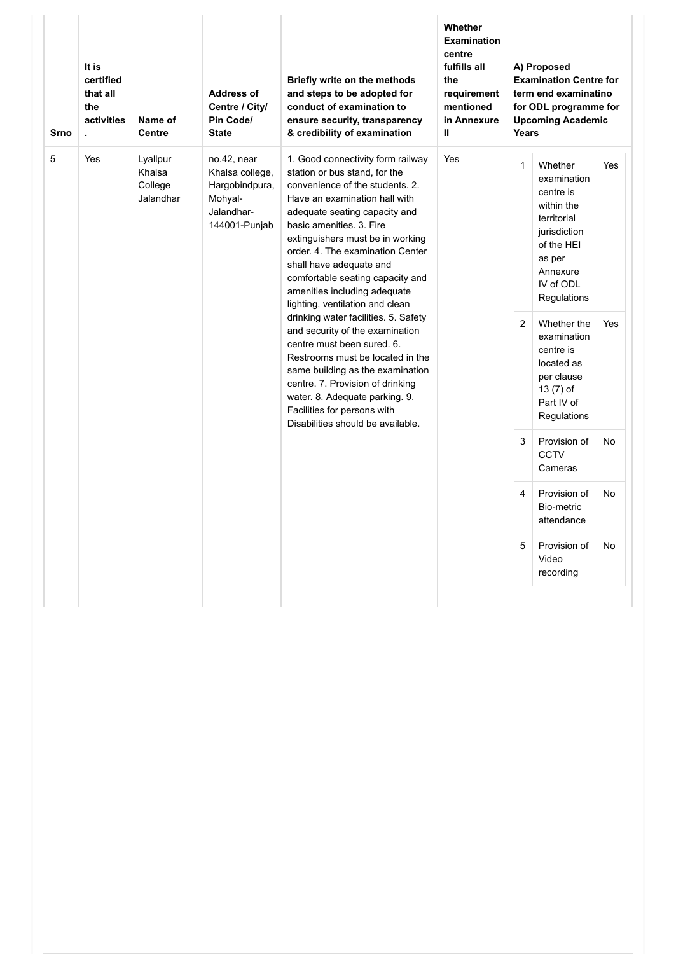| <b>Srno</b> | It is<br>certified<br>that all<br>the<br>activities<br>t, | Name of<br>Centre                          | <b>Address of</b><br>Centre / City/<br>Pin Code/<br><b>State</b>                           | Briefly write on the methods<br>and steps to be adopted for<br>conduct of examination to<br>ensure security, transparency<br>& credibility of examination                                                                                                                                                                                                                                                                                                                                                                                                                                                                                                                                           | Whether<br><b>Examination</b><br>centre<br>fulfills all<br>the<br>requirement<br>mentioned<br>in Annexure<br>Ш | Years                          | A) Proposed<br><b>Examination Centre for</b><br>term end examinatino<br>for ODL programme for<br><b>Upcoming Academic</b>                                                                                                                                         |                   |
|-------------|-----------------------------------------------------------|--------------------------------------------|--------------------------------------------------------------------------------------------|-----------------------------------------------------------------------------------------------------------------------------------------------------------------------------------------------------------------------------------------------------------------------------------------------------------------------------------------------------------------------------------------------------------------------------------------------------------------------------------------------------------------------------------------------------------------------------------------------------------------------------------------------------------------------------------------------------|----------------------------------------------------------------------------------------------------------------|--------------------------------|-------------------------------------------------------------------------------------------------------------------------------------------------------------------------------------------------------------------------------------------------------------------|-------------------|
| 5           | Yes                                                       | Lyallpur<br>Khalsa<br>College<br>Jalandhar | no.42, near<br>Khalsa college,<br>Hargobindpura,<br>Mohyal-<br>Jalandhar-<br>144001-Punjab | 1. Good connectivity form railway<br>station or bus stand, for the<br>convenience of the students, 2.<br>Have an examination hall with<br>adequate seating capacity and<br>basic amenities. 3. Fire<br>extinguishers must be in working<br>order. 4. The examination Center<br>shall have adequate and<br>comfortable seating capacity and<br>amenities including adequate<br>lighting, ventilation and clean<br>drinking water facilities. 5. Safety<br>and security of the examination<br>centre must been sured, 6.<br>Restrooms must be located in the<br>same building as the examination<br>centre. 7. Provision of drinking<br>water. 8. Adequate parking. 9.<br>Facilities for persons with | Yes                                                                                                            | $\mathbf{1}$<br>$\overline{2}$ | Whether<br>examination<br>centre is<br>within the<br>territorial<br>jurisdiction<br>of the HEI<br>as per<br>Annexure<br>IV of ODL<br>Regulations<br>Whether the<br>examination<br>centre is<br>located as<br>per clause<br>13 (7) of<br>Part IV of<br>Regulations | <b>Yes</b><br>Yes |
|             |                                                           |                                            |                                                                                            | Disabilities should be available.                                                                                                                                                                                                                                                                                                                                                                                                                                                                                                                                                                                                                                                                   |                                                                                                                | 3                              | Provision of<br><b>CCTV</b><br>Cameras                                                                                                                                                                                                                            | No                |
|             |                                                           |                                            |                                                                                            |                                                                                                                                                                                                                                                                                                                                                                                                                                                                                                                                                                                                                                                                                                     |                                                                                                                | 4                              | Provision of<br>Bio-metric<br>attendance                                                                                                                                                                                                                          | <b>No</b>         |
|             |                                                           |                                            |                                                                                            |                                                                                                                                                                                                                                                                                                                                                                                                                                                                                                                                                                                                                                                                                                     |                                                                                                                | 5                              | Provision of<br>Video<br>recording                                                                                                                                                                                                                                | No                |
|             |                                                           |                                            |                                                                                            |                                                                                                                                                                                                                                                                                                                                                                                                                                                                                                                                                                                                                                                                                                     |                                                                                                                |                                |                                                                                                                                                                                                                                                                   |                   |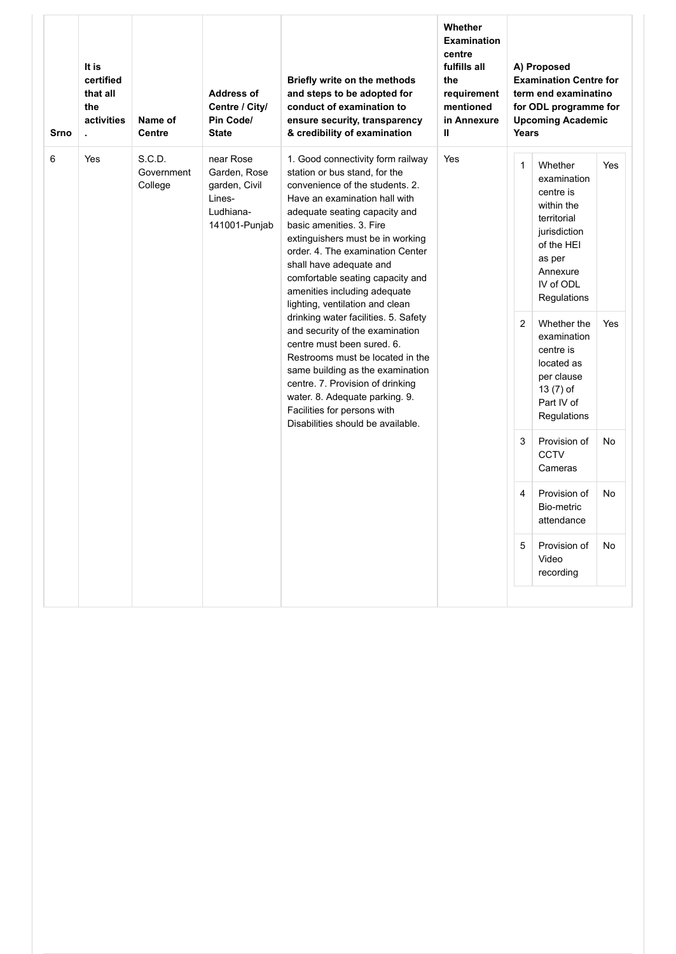| <b>Srno</b> | It is<br>certified<br>that all<br>the<br>activities<br>t, | Name of<br><b>Centre</b>        | <b>Address of</b><br>Centre / City/<br>Pin Code/<br><b>State</b>                   | Briefly write on the methods<br>and steps to be adopted for<br>conduct of examination to<br>ensure security, transparency<br>& credibility of examination                                                                                                                                                                                                                                                                                                                                                                                                                                      | Whether<br><b>Examination</b><br>centre<br>fulfills all<br>the<br>requirement<br>mentioned<br>in Annexure<br>$\mathbf{u}$ | Years                          | A) Proposed<br><b>Examination Centre for</b><br>term end examinatino<br>for ODL programme for<br><b>Upcoming Academic</b>                                                                                               |                   |
|-------------|-----------------------------------------------------------|---------------------------------|------------------------------------------------------------------------------------|------------------------------------------------------------------------------------------------------------------------------------------------------------------------------------------------------------------------------------------------------------------------------------------------------------------------------------------------------------------------------------------------------------------------------------------------------------------------------------------------------------------------------------------------------------------------------------------------|---------------------------------------------------------------------------------------------------------------------------|--------------------------------|-------------------------------------------------------------------------------------------------------------------------------------------------------------------------------------------------------------------------|-------------------|
| 6           | Yes                                                       | S.C.D.<br>Government<br>College | near Rose<br>Garden, Rose<br>garden, Civil<br>Lines-<br>Ludhiana-<br>141001-Punjab | 1. Good connectivity form railway<br>station or bus stand, for the<br>convenience of the students, 2.<br>Have an examination hall with<br>adequate seating capacity and<br>basic amenities. 3. Fire<br>extinguishers must be in working<br>order. 4. The examination Center<br>shall have adequate and<br>comfortable seating capacity and<br>amenities including adequate<br>lighting, ventilation and clean<br>drinking water facilities. 5. Safety<br>and security of the examination<br>centre must been sured, 6.<br>Restrooms must be located in the<br>same building as the examination | Yes                                                                                                                       | $\mathbf{1}$<br>$\overline{2}$ | Whether<br>examination<br>centre is<br>within the<br>territorial<br>jurisdiction<br>of the HEI<br>as per<br>Annexure<br>IV of ODL<br>Regulations<br>Whether the<br>examination<br>centre is<br>located as<br>per clause | <b>Yes</b><br>Yes |
|             |                                                           |                                 |                                                                                    | centre. 7. Provision of drinking<br>water. 8. Adequate parking. 9.<br>Facilities for persons with<br>Disabilities should be available.                                                                                                                                                                                                                                                                                                                                                                                                                                                         |                                                                                                                           | 3                              | 13 (7) of<br>Part IV of<br>Regulations<br>Provision of<br><b>CCTV</b><br>Cameras                                                                                                                                        | No                |
|             |                                                           |                                 |                                                                                    |                                                                                                                                                                                                                                                                                                                                                                                                                                                                                                                                                                                                |                                                                                                                           | 4                              | Provision of<br>Bio-metric<br>attendance                                                                                                                                                                                | <b>No</b>         |
|             |                                                           |                                 |                                                                                    |                                                                                                                                                                                                                                                                                                                                                                                                                                                                                                                                                                                                |                                                                                                                           | 5                              | Provision of<br>Video<br>recording                                                                                                                                                                                      | No                |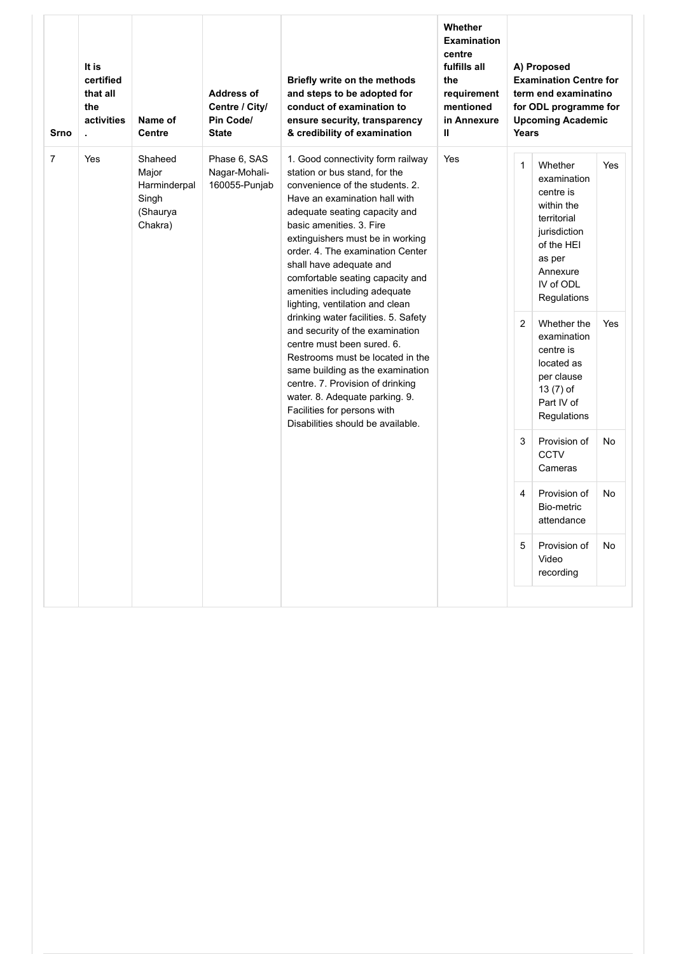| Srno           | It is<br>certified<br>that all<br>the<br>activities<br>t, | Name of<br>Centre                                                | <b>Address of</b><br>Centre / City/<br>Pin Code/<br><b>State</b> | Briefly write on the methods<br>and steps to be adopted for<br>conduct of examination to<br>ensure security, transparency<br>& credibility of examination                                                                                                                                                                                                                                                     | Whether<br><b>Examination</b><br>centre<br>fulfills all<br>the<br>requirement<br>mentioned<br>in Annexure<br>$\mathbf{u}$ | Years          | A) Proposed<br><b>Examination Centre for</b><br>term end examinatino<br>for ODL programme for<br><b>Upcoming Academic</b>                        |     |
|----------------|-----------------------------------------------------------|------------------------------------------------------------------|------------------------------------------------------------------|---------------------------------------------------------------------------------------------------------------------------------------------------------------------------------------------------------------------------------------------------------------------------------------------------------------------------------------------------------------------------------------------------------------|---------------------------------------------------------------------------------------------------------------------------|----------------|--------------------------------------------------------------------------------------------------------------------------------------------------|-----|
| $\overline{7}$ | Yes                                                       | Shaheed<br>Major<br>Harminderpal<br>Singh<br>(Shaurya<br>Chakra) | Phase 6, SAS<br>Nagar-Mohali-<br>160055-Punjab                   | 1. Good connectivity form railway<br>station or bus stand, for the<br>convenience of the students, 2.<br>Have an examination hall with<br>adequate seating capacity and<br>basic amenities. 3. Fire<br>extinguishers must be in working<br>order, 4. The examination Center<br>shall have adequate and<br>comfortable seating capacity and<br>amenities including adequate<br>lighting, ventilation and clean | Yes                                                                                                                       | $\mathbf{1}$   | Whether<br>examination<br>centre is<br>within the<br>territorial<br>jurisdiction<br>of the HEI<br>as per<br>Annexure<br>IV of ODL<br>Regulations | Yes |
|                |                                                           |                                                                  |                                                                  | drinking water facilities. 5. Safety<br>and security of the examination<br>centre must been sured, 6.<br>Restrooms must be located in the<br>same building as the examination<br>centre. 7. Provision of drinking<br>water. 8. Adequate parking. 9.<br>Facilities for persons with<br>Disabilities should be available.                                                                                       |                                                                                                                           | $\overline{2}$ | Whether the<br>examination<br>centre is<br>located as<br>per clause<br>13 (7) of<br>Part IV of<br>Regulations                                    | Yes |
|                |                                                           |                                                                  |                                                                  |                                                                                                                                                                                                                                                                                                                                                                                                               |                                                                                                                           | 3              | Provision of<br><b>CCTV</b><br>Cameras                                                                                                           | No  |
|                |                                                           |                                                                  |                                                                  |                                                                                                                                                                                                                                                                                                                                                                                                               |                                                                                                                           | 4              | Provision of<br>Bio-metric<br>attendance                                                                                                         | No  |
|                |                                                           |                                                                  |                                                                  |                                                                                                                                                                                                                                                                                                                                                                                                               |                                                                                                                           | 5              | Provision of<br>Video<br>recording                                                                                                               | No  |
|                |                                                           |                                                                  |                                                                  |                                                                                                                                                                                                                                                                                                                                                                                                               |                                                                                                                           |                |                                                                                                                                                  |     |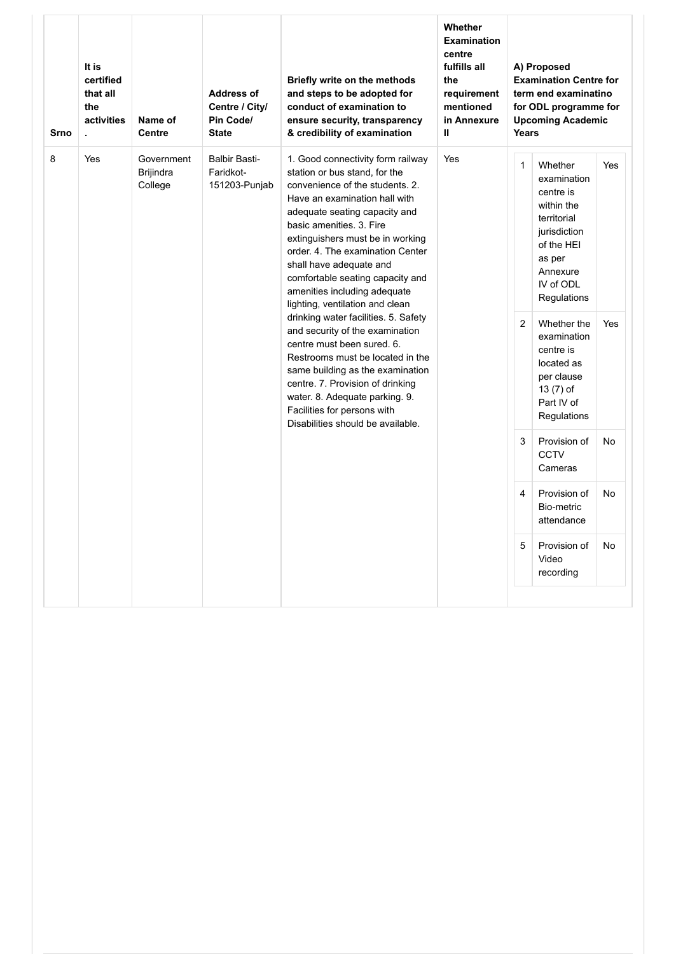| <b>Srno</b> | It is<br>certified<br>that all<br>the<br>activities<br>÷. | Name of<br>Centre                         | <b>Address of</b><br>Centre / City/<br>Pin Code/<br><b>State</b> | Briefly write on the methods<br>and steps to be adopted for<br>conduct of examination to<br>ensure security, transparency<br>& credibility of examination                                                                                                                                                                                                                                                                                                                                                              | Whether<br><b>Examination</b><br>centre<br>fulfills all<br>the<br>requirement<br>mentioned<br>in Annexure<br>Ш | Years             | A) Proposed<br><b>Examination Centre for</b><br>term end examinatino<br>for ODL programme for<br><b>Upcoming Academic</b>                                                      |            |
|-------------|-----------------------------------------------------------|-------------------------------------------|------------------------------------------------------------------|------------------------------------------------------------------------------------------------------------------------------------------------------------------------------------------------------------------------------------------------------------------------------------------------------------------------------------------------------------------------------------------------------------------------------------------------------------------------------------------------------------------------|----------------------------------------------------------------------------------------------------------------|-------------------|--------------------------------------------------------------------------------------------------------------------------------------------------------------------------------|------------|
| 8           | Yes                                                       | Government<br><b>Brijindra</b><br>College | <b>Balbir Basti-</b><br>Faridkot-<br>151203-Punjab               | 1. Good connectivity form railway<br>station or bus stand, for the<br>convenience of the students, 2.<br>Have an examination hall with<br>adequate seating capacity and<br>basic amenities. 3. Fire<br>extinguishers must be in working<br>order. 4. The examination Center<br>shall have adequate and<br>comfortable seating capacity and<br>amenities including adequate<br>lighting, ventilation and clean<br>drinking water facilities. 5. Safety<br>and security of the examination<br>centre must been sured, 6. | Yes                                                                                                            | $\mathbf{1}$<br>2 | Whether<br>examination<br>centre is<br>within the<br>territorial<br>jurisdiction<br>of the HEI<br>as per<br>Annexure<br>IV of ODL<br>Regulations<br>Whether the<br>examination | Yes<br>Yes |
|             |                                                           |                                           |                                                                  | Restrooms must be located in the<br>same building as the examination<br>centre. 7. Provision of drinking<br>water. 8. Adequate parking. 9.<br>Facilities for persons with<br>Disabilities should be available.                                                                                                                                                                                                                                                                                                         |                                                                                                                |                   | centre is<br>located as<br>per clause<br>13 (7) of<br>Part IV of<br>Regulations                                                                                                |            |
|             |                                                           |                                           |                                                                  |                                                                                                                                                                                                                                                                                                                                                                                                                                                                                                                        |                                                                                                                | 3                 | Provision of<br><b>CCTV</b><br>Cameras                                                                                                                                         | No         |
|             |                                                           |                                           |                                                                  |                                                                                                                                                                                                                                                                                                                                                                                                                                                                                                                        |                                                                                                                | 4                 | Provision of<br>Bio-metric<br>attendance                                                                                                                                       | No         |
|             |                                                           |                                           |                                                                  |                                                                                                                                                                                                                                                                                                                                                                                                                                                                                                                        |                                                                                                                | 5                 | Provision of<br>Video<br>recording                                                                                                                                             | No         |
|             |                                                           |                                           |                                                                  |                                                                                                                                                                                                                                                                                                                                                                                                                                                                                                                        |                                                                                                                |                   |                                                                                                                                                                                |            |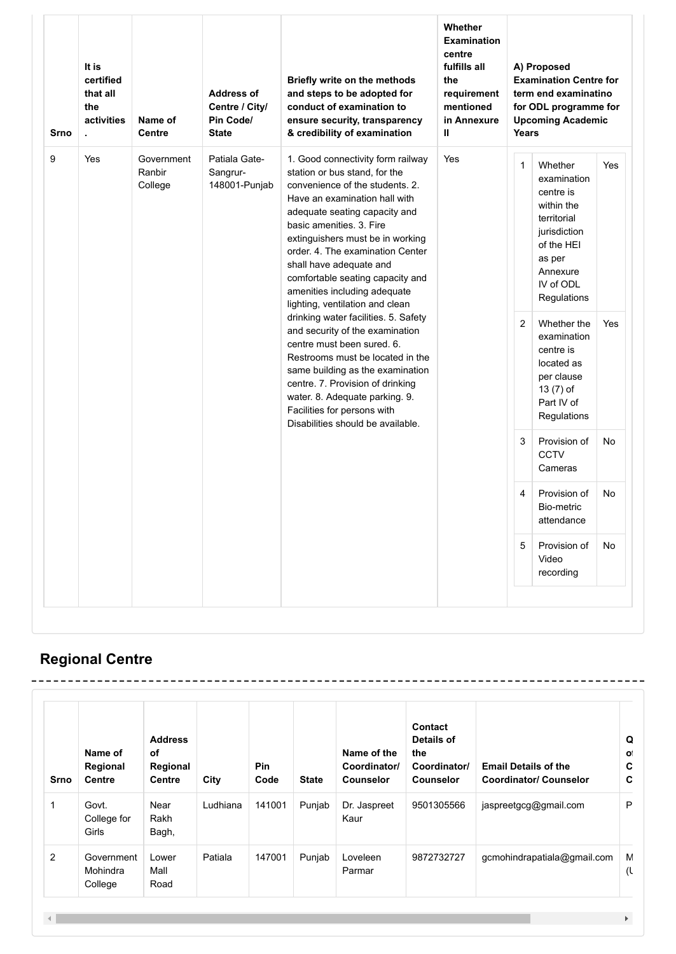| Srno | It is<br>certified<br>that all<br>the<br>activities<br>$\blacksquare$ | Name of<br>Centre               | <b>Address of</b><br>Centre / City/<br>Pin Code/<br><b>State</b> | Briefly write on the methods<br>and steps to be adopted for<br>conduct of examination to<br>ensure security, transparency<br>& credibility of examination                                                                                                                                                                                                                                                                                                                                                                                                  | Whether<br><b>Examination</b><br>centre<br>fulfills all<br>the<br>requirement<br>mentioned<br>in Annexure<br>Ш | Years             | A) Proposed<br><b>Examination Centre for</b><br>term end examinatino<br>for ODL programme for<br><b>Upcoming Academic</b>                                                                   |            |
|------|-----------------------------------------------------------------------|---------------------------------|------------------------------------------------------------------|------------------------------------------------------------------------------------------------------------------------------------------------------------------------------------------------------------------------------------------------------------------------------------------------------------------------------------------------------------------------------------------------------------------------------------------------------------------------------------------------------------------------------------------------------------|----------------------------------------------------------------------------------------------------------------|-------------------|---------------------------------------------------------------------------------------------------------------------------------------------------------------------------------------------|------------|
| 9    | Yes                                                                   | Government<br>Ranbir<br>College | Patiala Gate-<br>Sangrur-<br>148001-Punjab                       | 1. Good connectivity form railway<br>station or bus stand, for the<br>convenience of the students, 2.<br>Have an examination hall with<br>adequate seating capacity and<br>basic amenities. 3. Fire<br>extinguishers must be in working<br>order. 4. The examination Center<br>shall have adequate and<br>comfortable seating capacity and<br>amenities including adequate<br>lighting, ventilation and clean<br>drinking water facilities. 5. Safety<br>and security of the examination<br>centre must been sured, 6.<br>Restrooms must be located in the | Yes                                                                                                            | $\mathbf{1}$<br>2 | Whether<br>examination<br>centre is<br>within the<br>territorial<br>jurisdiction<br>of the HEI<br>as per<br>Annexure<br>IV of ODL<br>Regulations<br>Whether the<br>examination<br>centre is | Yes<br>Yes |
|      |                                                                       |                                 |                                                                  | same building as the examination<br>centre. 7. Provision of drinking<br>water. 8. Adequate parking. 9.<br>Facilities for persons with<br>Disabilities should be available.                                                                                                                                                                                                                                                                                                                                                                                 |                                                                                                                | 3                 | located as<br>per clause<br>13 (7) of<br>Part IV of<br>Regulations<br>Provision of<br><b>CCTV</b><br>Cameras                                                                                | No         |
|      |                                                                       |                                 |                                                                  |                                                                                                                                                                                                                                                                                                                                                                                                                                                                                                                                                            |                                                                                                                | 4                 | Provision of<br>Bio-metric<br>attendance                                                                                                                                                    | No         |
|      |                                                                       |                                 |                                                                  |                                                                                                                                                                                                                                                                                                                                                                                                                                                                                                                                                            |                                                                                                                | 5                 | Provision of<br>Video<br>recording                                                                                                                                                          | No         |

# **Regional Centre**

| Srno | Name of<br>Regional<br><b>Centre</b> | <b>Address</b><br>of<br>Regional<br><b>Centre</b> | City     | <b>Pin</b><br>Code | <b>State</b> | Name of the<br>Coordinator/<br><b>Counselor</b> | Contact<br>Details of<br>the<br>Coordinator/<br><b>Counselor</b> | <b>Email Details of the</b><br><b>Coordinator/ Counselor</b> | Q<br>O.<br>C<br>C |
|------|--------------------------------------|---------------------------------------------------|----------|--------------------|--------------|-------------------------------------------------|------------------------------------------------------------------|--------------------------------------------------------------|-------------------|
| 1    | Govt.<br>College for<br>Girls        | Near<br>Rakh<br>Bagh,                             | Ludhiana | 141001             | Punjab       | Dr. Jaspreet<br>Kaur                            | 9501305566                                                       | jaspreetgcg@gmail.com                                        | P                 |
| 2    | Government<br>Mohindra<br>College    | Lower<br>Mall<br>Road                             | Patiala  | 147001             | Punjab       | Loveleen<br>Parmar                              | 9872732727                                                       | gcmohindrapatiala@gmail.com                                  | M<br>(l           |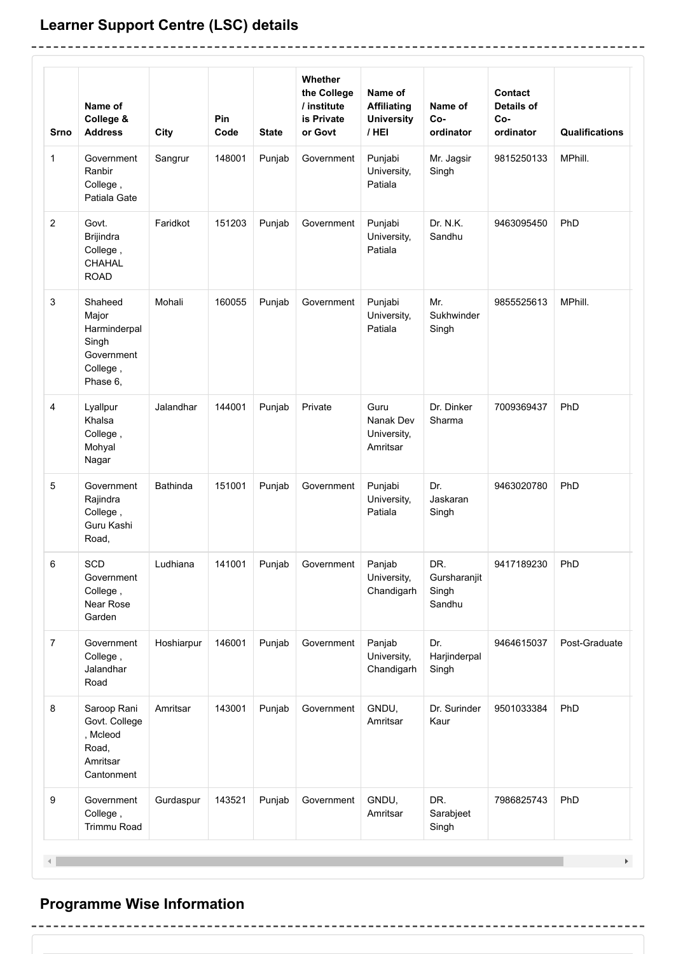## **Learner Support Centre (LSC) details**

-------------------------------

 $\overline{a}$ 

| <b>Srno</b>      | Name of<br>College &<br><b>Address</b>                                          | City       | Pin<br>Code | <b>State</b> | Whether<br>the College<br>/ institute<br>is Private<br>or Govt | Name of<br><b>Affiliating</b><br><b>University</b><br>/ HEI | Name of<br>Co-<br>ordinator            | Contact<br><b>Details of</b><br>Co-<br>ordinator | <b>Qualifications</b> |
|------------------|---------------------------------------------------------------------------------|------------|-------------|--------------|----------------------------------------------------------------|-------------------------------------------------------------|----------------------------------------|--------------------------------------------------|-----------------------|
| 1                | Government<br>Ranbir<br>College,<br>Patiala Gate                                | Sangrur    | 148001      | Punjab       | Government                                                     | Punjabi<br>University,<br>Patiala                           | Mr. Jagsir<br>Singh                    | 9815250133                                       | MPhill.               |
| $\boldsymbol{2}$ | Govt.<br>Brijindra<br>College,<br><b>CHAHAL</b><br><b>ROAD</b>                  | Faridkot   | 151203      | Punjab       | Government                                                     | Punjabi<br>University,<br>Patiala                           | Dr. N.K.<br>Sandhu                     | 9463095450                                       | PhD                   |
| 3                | Shaheed<br>Major<br>Harminderpal<br>Singh<br>Government<br>College,<br>Phase 6, | Mohali     | 160055      | Punjab       | Government                                                     | Punjabi<br>University,<br>Patiala                           | Mr.<br>Sukhwinder<br>Singh             | 9855525613                                       | MPhill.               |
| 4                | Lyallpur<br>Khalsa<br>College,<br>Mohyal<br>Nagar                               | Jalandhar  | 144001      | Punjab       | Private                                                        | Guru<br>Nanak Dev<br>University,<br>Amritsar                | Dr. Dinker<br>Sharma                   | 7009369437                                       | PhD                   |
| 5                | Government<br>Rajindra<br>College,<br>Guru Kashi<br>Road,                       | Bathinda   | 151001      | Punjab       | Government                                                     | Punjabi<br>University,<br>Patiala                           | Dr.<br>Jaskaran<br>Singh               | 9463020780                                       | PhD                   |
| 6                | SCD<br>Government<br>College,<br>Near Rose<br>Garden                            | Ludhiana   | 141001      | Punjab       | Government                                                     | Panjab<br>University,<br>Chandigarh                         | DR.<br>Gursharanjit<br>Singh<br>Sandhu | 9417189230                                       | PhD                   |
| $\overline{7}$   | Government<br>College,<br>Jalandhar<br>Road                                     | Hoshiarpur | 146001      | Punjab       | Government                                                     | Panjab<br>University,<br>Chandigarh                         | Dr.<br>Harjinderpal<br>Singh           | 9464615037                                       | Post-Graduate         |
| 8                | Saroop Rani<br>Govt. College<br>, Mcleod<br>Road,<br>Amritsar<br>Cantonment     | Amritsar   | 143001      | Punjab       | Government                                                     | GNDU,<br>Amritsar                                           | Dr. Surinder<br>Kaur                   | 9501033384                                       | PhD                   |
| 9                | Government<br>College,<br>Trimmu Road                                           | Gurdaspur  | 143521      | Punjab       | Government                                                     | GNDU,<br>Amritsar                                           | DR.<br>Sarabjeet<br>Singh              | 7986825743                                       | PhD                   |

-----------------------------------

------------

## **Programme Wise Information**

---------------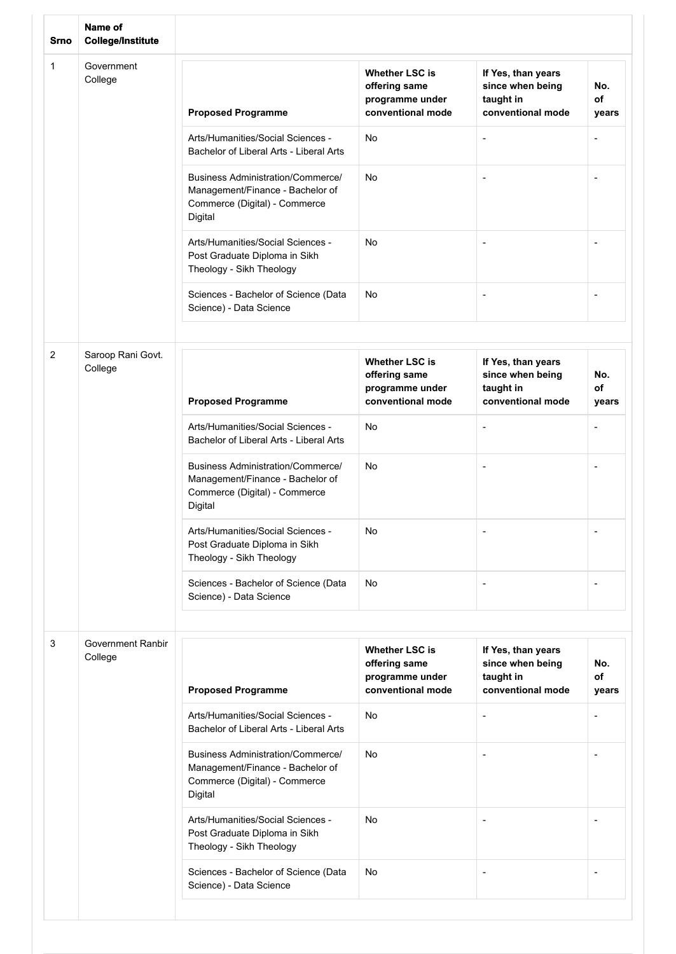| <b>Srno</b> | Name of<br><b>College/Institute</b> |                                                                                                                          |                                                                                |                                                                          |                          |
|-------------|-------------------------------------|--------------------------------------------------------------------------------------------------------------------------|--------------------------------------------------------------------------------|--------------------------------------------------------------------------|--------------------------|
| 1           | Government<br>College               | <b>Proposed Programme</b>                                                                                                | <b>Whether LSC is</b><br>offering same<br>programme under<br>conventional mode | If Yes, than years<br>since when being<br>taught in<br>conventional mode | No.<br>of<br>years       |
|             |                                     | Arts/Humanities/Social Sciences -<br>Bachelor of Liberal Arts - Liberal Arts                                             | No                                                                             | ٠                                                                        | ٠                        |
|             |                                     | <b>Business Administration/Commerce/</b><br>Management/Finance - Bachelor of<br>Commerce (Digital) - Commerce<br>Digital | No                                                                             | $\overline{\phantom{a}}$                                                 | ÷,                       |
|             |                                     | Arts/Humanities/Social Sciences -<br>Post Graduate Diploma in Sikh<br>Theology - Sikh Theology                           | <b>No</b>                                                                      | ٠                                                                        | ٠                        |
|             |                                     | Sciences - Bachelor of Science (Data<br>Science) - Data Science                                                          | No                                                                             | $\overline{\phantom{a}}$                                                 | -                        |
|             |                                     |                                                                                                                          |                                                                                |                                                                          |                          |
| 2           | Saroop Rani Govt.<br>College        | <b>Proposed Programme</b>                                                                                                | <b>Whether LSC is</b><br>offering same<br>programme under<br>conventional mode | If Yes, than years<br>since when being<br>taught in<br>conventional mode | No.<br>of<br>years       |
|             |                                     | Arts/Humanities/Social Sciences -<br>Bachelor of Liberal Arts - Liberal Arts                                             | No                                                                             | $\qquad \qquad \blacksquare$                                             | $\overline{\phantom{a}}$ |
|             |                                     | <b>Business Administration/Commerce/</b><br>Management/Finance - Bachelor of<br>Commerce (Digital) - Commerce<br>Digital | No                                                                             |                                                                          | ٠                        |
|             |                                     | Arts/Humanities/Social Sciences -<br>Post Graduate Diploma in Sikh<br>Theology - Sikh Theology                           | No                                                                             |                                                                          |                          |
|             |                                     | Sciences - Bachelor of Science (Data<br>Science) - Data Science                                                          | No                                                                             | ÷                                                                        | ٠                        |
|             |                                     |                                                                                                                          |                                                                                |                                                                          |                          |
| 3           | <b>Government Ranbir</b><br>College | <b>Proposed Programme</b>                                                                                                | <b>Whether LSC is</b><br>offering same<br>programme under<br>conventional mode | If Yes, than years<br>since when being<br>taught in<br>conventional mode | No.<br>of<br>years       |
|             |                                     | Arts/Humanities/Social Sciences -<br>Bachelor of Liberal Arts - Liberal Arts                                             | No                                                                             |                                                                          | ٠                        |
|             |                                     | <b>Business Administration/Commerce/</b><br>Management/Finance - Bachelor of<br>Commerce (Digital) - Commerce<br>Digital | No                                                                             | ٠                                                                        | $\overline{\phantom{m}}$ |
|             |                                     | Arts/Humanities/Social Sciences -<br>Post Graduate Diploma in Sikh<br>Theology - Sikh Theology                           | No                                                                             |                                                                          |                          |
|             |                                     | Sciences - Bachelor of Science (Data<br>Science) - Data Science                                                          | No                                                                             | ٠                                                                        | ٠                        |
|             |                                     |                                                                                                                          |                                                                                |                                                                          |                          |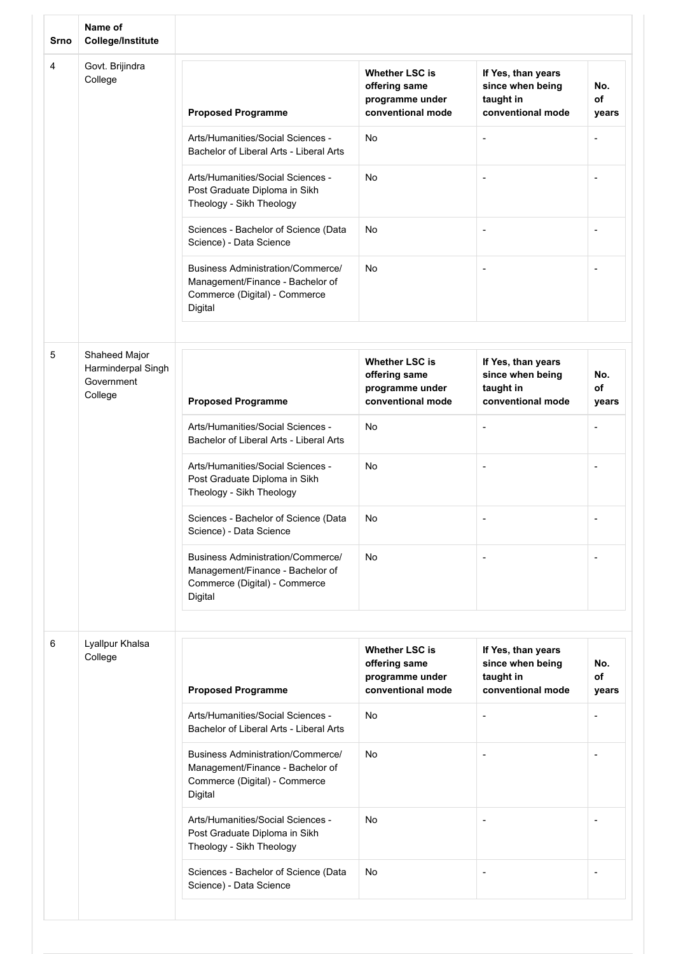| Srno | Name of<br><b>College/Institute</b>         |                                                                                                                          |                                                                                |                                                                          |                          |
|------|---------------------------------------------|--------------------------------------------------------------------------------------------------------------------------|--------------------------------------------------------------------------------|--------------------------------------------------------------------------|--------------------------|
| 4    | Govt. Brijindra<br>College                  | <b>Proposed Programme</b>                                                                                                | <b>Whether LSC is</b><br>offering same<br>programme under<br>conventional mode | If Yes, than years<br>since when being<br>taught in<br>conventional mode | No.<br>of<br>years       |
|      |                                             | Arts/Humanities/Social Sciences -<br>Bachelor of Liberal Arts - Liberal Arts                                             | No                                                                             |                                                                          |                          |
|      |                                             | Arts/Humanities/Social Sciences -<br>Post Graduate Diploma in Sikh<br>Theology - Sikh Theology                           | No                                                                             |                                                                          |                          |
|      |                                             | Sciences - Bachelor of Science (Data<br>Science) - Data Science                                                          | No                                                                             | $\overline{\phantom{a}}$                                                 | -                        |
|      |                                             | <b>Business Administration/Commerce/</b><br>Management/Finance - Bachelor of<br>Commerce (Digital) - Commerce<br>Digital | No                                                                             | $\blacksquare$                                                           |                          |
| 5    | Shaheed Major                               |                                                                                                                          |                                                                                |                                                                          |                          |
|      | Harminderpal Singh<br>Government<br>College | <b>Proposed Programme</b>                                                                                                | <b>Whether LSC is</b><br>offering same<br>programme under<br>conventional mode | If Yes, than years<br>since when being<br>taught in<br>conventional mode | No.<br>of<br>years       |
|      |                                             | Arts/Humanities/Social Sciences -<br>Bachelor of Liberal Arts - Liberal Arts                                             | No                                                                             | $\overline{\phantom{a}}$                                                 | $\overline{\phantom{a}}$ |
|      |                                             | Arts/Humanities/Social Sciences -<br>Post Graduate Diploma in Sikh<br>Theology - Sikh Theology                           | No                                                                             |                                                                          |                          |
|      |                                             | Sciences - Bachelor of Science (Data<br>Science) - Data Science                                                          | No                                                                             |                                                                          |                          |
|      |                                             | <b>Business Administration/Commerce/</b><br>Management/Finance - Bachelor of<br>Commerce (Digital) - Commerce<br>Digital | No                                                                             |                                                                          |                          |
|      |                                             |                                                                                                                          |                                                                                |                                                                          |                          |
| 6    | Lyallpur Khalsa<br>College                  | <b>Proposed Programme</b>                                                                                                | <b>Whether LSC is</b><br>offering same<br>programme under<br>conventional mode | If Yes, than years<br>since when being<br>taught in<br>conventional mode | No.<br>of<br>years       |
|      |                                             | Arts/Humanities/Social Sciences -<br>Bachelor of Liberal Arts - Liberal Arts                                             | No                                                                             |                                                                          |                          |
|      |                                             | Business Administration/Commerce/<br>Management/Finance - Bachelor of<br>Commerce (Digital) - Commerce<br>Digital        | No                                                                             |                                                                          |                          |
|      |                                             | Arts/Humanities/Social Sciences -<br>Post Graduate Diploma in Sikh<br>Theology - Sikh Theology                           | No                                                                             |                                                                          |                          |
|      |                                             | Sciences - Bachelor of Science (Data<br>Science) - Data Science                                                          | No                                                                             | $\overline{\phantom{a}}$                                                 | ٠                        |
|      |                                             |                                                                                                                          |                                                                                |                                                                          |                          |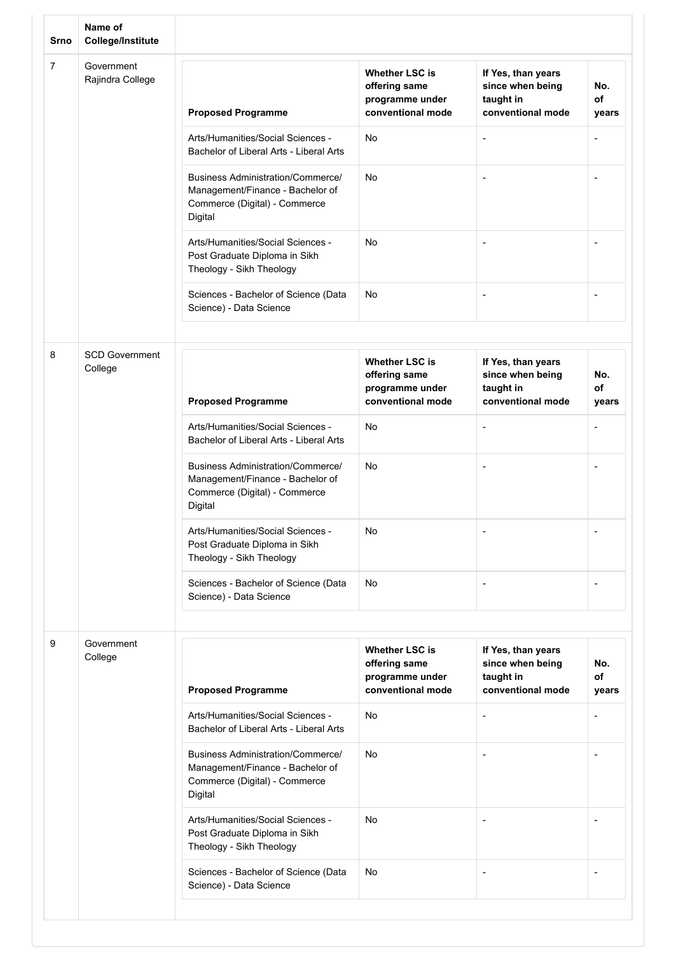| <b>Srno</b> | Name of<br><b>College/Institute</b> |                                                                                                                   |                                                                                |                                                                          |                          |
|-------------|-------------------------------------|-------------------------------------------------------------------------------------------------------------------|--------------------------------------------------------------------------------|--------------------------------------------------------------------------|--------------------------|
| 7           | Government<br>Rajindra College      | <b>Proposed Programme</b>                                                                                         | <b>Whether LSC is</b><br>offering same<br>programme under<br>conventional mode | If Yes, than years<br>since when being<br>taught in<br>conventional mode | No.<br>of<br>years       |
|             |                                     | Arts/Humanities/Social Sciences -<br>Bachelor of Liberal Arts - Liberal Arts                                      | No                                                                             |                                                                          | ٠                        |
|             |                                     | Business Administration/Commerce/<br>Management/Finance - Bachelor of<br>Commerce (Digital) - Commerce<br>Digital | No                                                                             |                                                                          | $\overline{a}$           |
|             |                                     | Arts/Humanities/Social Sciences -<br>Post Graduate Diploma in Sikh<br>Theology - Sikh Theology                    | No                                                                             |                                                                          | -                        |
|             |                                     | Sciences - Bachelor of Science (Data<br>Science) - Data Science                                                   | <b>No</b>                                                                      | $\overline{a}$                                                           | ٠                        |
| 8           | <b>SCD Government</b><br>College    | <b>Proposed Programme</b>                                                                                         | <b>Whether LSC is</b><br>offering same<br>programme under<br>conventional mode | If Yes, than years<br>since when being<br>taught in<br>conventional mode | No.<br>of<br>years       |
|             |                                     | Arts/Humanities/Social Sciences -<br>Bachelor of Liberal Arts - Liberal Arts                                      | No                                                                             | $\overline{\phantom{a}}$                                                 | ٠                        |
|             |                                     | Business Administration/Commerce/<br>Management/Finance - Bachelor of<br>Commerce (Digital) - Commerce<br>Digital | No                                                                             |                                                                          |                          |
|             |                                     | Arts/Humanities/Social Sciences -<br>Post Graduate Diploma in Sikh<br>Theology - Sikh Theology                    | No                                                                             |                                                                          |                          |
|             |                                     | Sciences - Bachelor of Science (Data<br>Science) - Data Science                                                   | No                                                                             |                                                                          | ٠                        |
| 9           | Government<br>College               | <b>Proposed Programme</b>                                                                                         | <b>Whether LSC is</b><br>offering same<br>programme under<br>conventional mode | If Yes, than years<br>since when being<br>taught in<br>conventional mode | No.<br>of<br>years       |
|             |                                     | Arts/Humanities/Social Sciences -<br>Bachelor of Liberal Arts - Liberal Arts                                      | No                                                                             |                                                                          | ٠                        |
|             |                                     | Business Administration/Commerce/<br>Management/Finance - Bachelor of<br>Commerce (Digital) - Commerce<br>Digital | No                                                                             |                                                                          | $\overline{\phantom{a}}$ |
|             |                                     | Arts/Humanities/Social Sciences -<br>Post Graduate Diploma in Sikh<br>Theology - Sikh Theology                    | No                                                                             |                                                                          |                          |
|             |                                     | Sciences - Bachelor of Science (Data<br>Science) - Data Science                                                   | No                                                                             | $\overline{a}$                                                           | $\overline{\phantom{a}}$ |
|             |                                     |                                                                                                                   |                                                                                |                                                                          |                          |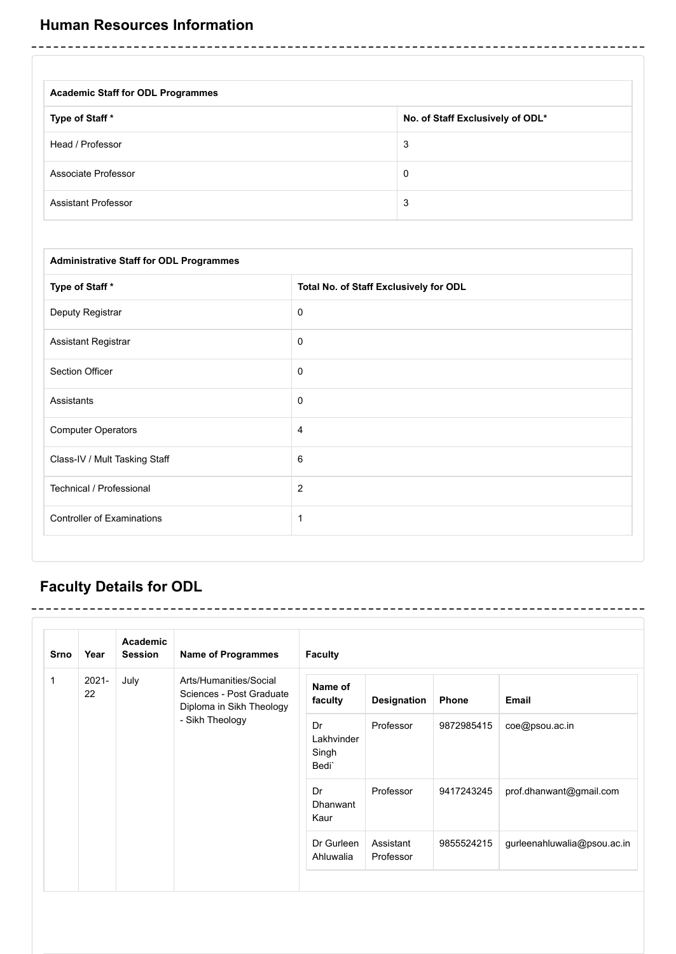| <b>Academic Staff for ODL Programmes</b> |                                  |
|------------------------------------------|----------------------------------|
| Type of Staff *                          | No. of Staff Exclusively of ODL* |
| Head / Professor                         | 3                                |
| Associate Professor                      | 0                                |
| <b>Assistant Professor</b>               | 3                                |

| <b>Administrative Staff for ODL Programmes</b> |                                        |
|------------------------------------------------|----------------------------------------|
| Type of Staff*                                 | Total No. of Staff Exclusively for ODL |
| Deputy Registrar                               | 0                                      |
| Assistant Registrar                            | $\mathbf 0$                            |
| Section Officer                                | $\mathbf 0$                            |
| Assistants                                     | $\mathbf 0$                            |
| <b>Computer Operators</b>                      | 4                                      |
| Class-IV / Mult Tasking Staff                  | 6                                      |
| Technical / Professional                       | $\overline{2}$                         |
| <b>Controller of Examinations</b>              | $\mathbf{1}$                           |

## **Faculty Details for ODL**

| <b>Srno</b> | Year           | <b>Academic</b><br><b>Session</b> | <b>Name of Programmes</b>                                                      | <b>Faculty</b>                     |                        |              |                             |
|-------------|----------------|-----------------------------------|--------------------------------------------------------------------------------|------------------------------------|------------------------|--------------|-----------------------------|
| 1           | $2021 -$<br>22 | July                              | Arts/Humanities/Social<br>Sciences - Post Graduate<br>Diploma in Sikh Theology | Name of<br>faculty                 | <b>Designation</b>     | <b>Phone</b> | <b>Email</b>                |
|             |                |                                   | - Sikh Theology                                                                | Dr<br>Lakhvinder<br>Singh<br>Bedi' | Professor              | 9872985415   | coe@psou.ac.in              |
|             |                |                                   |                                                                                | Dr<br>Dhanwant<br>Kaur             | Professor              | 9417243245   | prof.dhanwant@gmail.com     |
|             |                |                                   |                                                                                | Dr Gurleen<br>Ahluwalia            | Assistant<br>Professor | 9855524215   | gurleenahluwalia@psou.ac.in |
|             |                |                                   |                                                                                |                                    |                        |              |                             |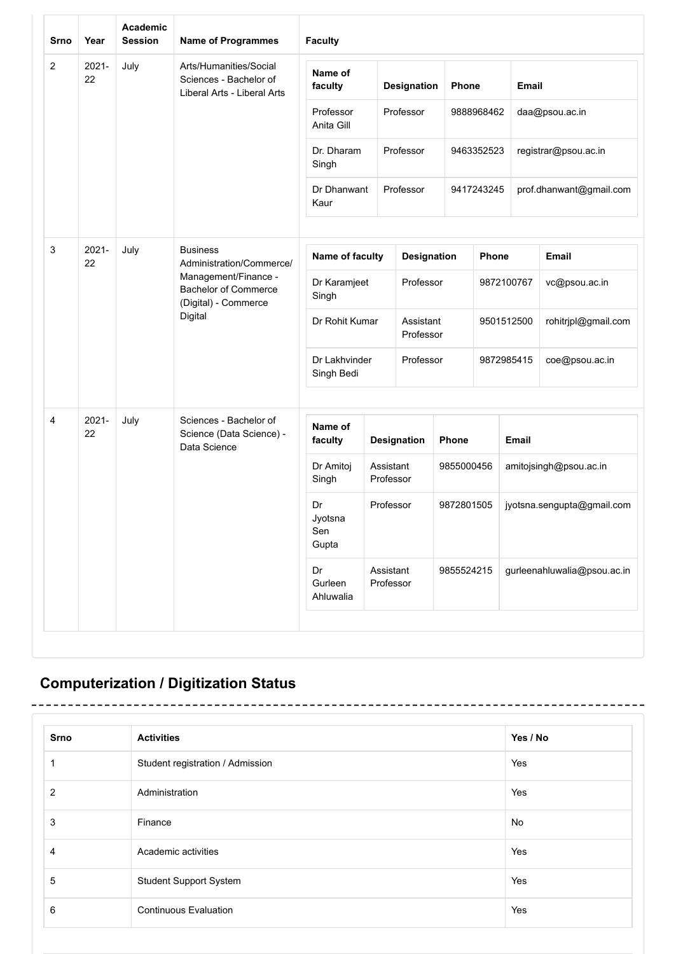| Srno           | Year                                                                                                      | <b>Academic</b><br><b>Session</b>                                           | <b>Name of Programmes</b>                                          | <b>Faculty</b>                |                        |                        |            |                    |                      |                             |       |  |              |  |
|----------------|-----------------------------------------------------------------------------------------------------------|-----------------------------------------------------------------------------|--------------------------------------------------------------------|-------------------------------|------------------------|------------------------|------------|--------------------|----------------------|-----------------------------|-------|--|--------------|--|
| $\overline{2}$ | $2021 -$<br>July<br>Arts/Humanities/Social<br>22<br>Sciences - Bachelor of<br>Liberal Arts - Liberal Arts |                                                                             |                                                                    |                               |                        |                        |            | Name of<br>faculty |                      | Designation                 | Phone |  | <b>Email</b> |  |
|                |                                                                                                           |                                                                             |                                                                    | Professor<br>Anita Gill       |                        | Professor              |            | 9888968462         |                      | daa@psou.ac.in              |       |  |              |  |
|                |                                                                                                           |                                                                             | Dr. Dharam<br>Singh                                                |                               | Professor              |                        | 9463352523 |                    | registrar@psou.ac.in |                             |       |  |              |  |
|                |                                                                                                           |                                                                             |                                                                    | Dr Dhanwant<br>Kaur           |                        | Professor              |            | 9417243245         |                      | prof.dhanwant@gmail.com     |       |  |              |  |
| 3              | $2021 -$<br>22                                                                                            | July                                                                        | <b>Business</b><br>Administration/Commerce/                        | Name of faculty               |                        | Designation            |            | Phone              |                      | <b>Email</b>                |       |  |              |  |
|                |                                                                                                           | Management/Finance -<br><b>Bachelor of Commerce</b><br>(Digital) - Commerce | Dr Karamjeet<br>Singh                                              |                               | Professor              |                        |            | 9872100767         | vc@psou.ac.in        |                             |       |  |              |  |
|                |                                                                                                           |                                                                             | Digital                                                            | Dr Rohit Kumar                |                        | Assistant<br>Professor |            |                    | 9501512500           | rohitrjpl@gmail.com         |       |  |              |  |
|                |                                                                                                           |                                                                             | Dr Lakhvinder<br>Singh Bedi                                        |                               | Professor              |                        |            | 9872985415         | coe@psou.ac.in       |                             |       |  |              |  |
| 4              | $2021 -$<br>22                                                                                            | July                                                                        | Sciences - Bachelor of<br>Science (Data Science) -<br>Data Science | Name of<br>faculty            |                        | Designation            | Phone      |                    | <b>Email</b>         |                             |       |  |              |  |
|                |                                                                                                           |                                                                             |                                                                    | Dr Amitoj<br>Singh            | Assistant<br>Professor |                        | 9855000456 |                    |                      | amitojsingh@psou.ac.in      |       |  |              |  |
|                |                                                                                                           |                                                                             |                                                                    | Dr<br>Jyotsna<br>Sen<br>Gupta | Professor              |                        | 9872801505 |                    |                      | jyotsna.sengupta@gmail.com  |       |  |              |  |
|                |                                                                                                           |                                                                             |                                                                    | Dr<br>Gurleen<br>Ahluwalia    | Assistant<br>Professor |                        | 9855524215 |                    |                      | gurleenahluwalia@psou.ac.in |       |  |              |  |

# **Computerization / Digitization Status**

L

-----------------------

| <b>Srno</b>    | <b>Activities</b>                | Yes / No |
|----------------|----------------------------------|----------|
|                | Student registration / Admission | Yes      |
| $\overline{2}$ | Administration                   | Yes      |
| 3              | Finance                          | No       |
| 4              | Academic activities              | Yes      |
| 5              | <b>Student Support System</b>    | Yes      |
| 6              | <b>Continuous Evaluation</b>     | Yes      |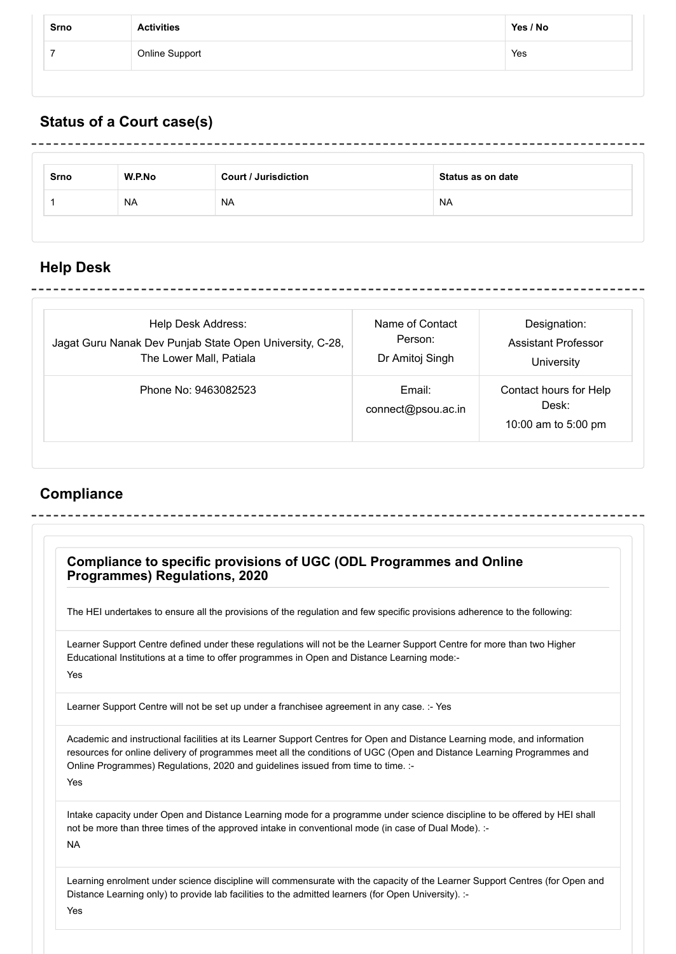| Srno | <b>Activities</b> | Yes / No |
|------|-------------------|----------|
|      | Online Support    | Yes      |

# **Status of a Court case(s)**

| Srno | W.P.No    | <b>Court / Jurisdiction</b> | Status as on date |
|------|-----------|-----------------------------|-------------------|
|      | <b>NA</b> | <b>NA</b>                   | <b>NA</b>         |

# **Help Desk**

| Help Desk Address:                                       | Name of Contact              | Designation:                                           |
|----------------------------------------------------------|------------------------------|--------------------------------------------------------|
| Jagat Guru Nanak Dev Punjab State Open University, C-28, | Person:                      | Assistant Professor                                    |
| The Lower Mall, Patiala                                  | Dr Amitoj Singh              | University                                             |
| Phone No: 9463082523                                     | Email:<br>connect@psou.ac.in | Contact hours for Help<br>Desk:<br>10:00 am to 5:00 pm |

## **Compliance**

|           | Compliance to specific provisions of UGC (ODL Programmes and Online<br><b>Programmes) Regulations, 2020</b>                                                                                                                                                                                                                            |
|-----------|----------------------------------------------------------------------------------------------------------------------------------------------------------------------------------------------------------------------------------------------------------------------------------------------------------------------------------------|
|           | The HEI undertakes to ensure all the provisions of the regulation and few specific provisions adherence to the following:                                                                                                                                                                                                              |
| Yes       | Learner Support Centre defined under these regulations will not be the Learner Support Centre for more than two Higher<br>Educational Institutions at a time to offer programmes in Open and Distance Learning mode:-                                                                                                                  |
|           | Learner Support Centre will not be set up under a franchisee agreement in any case. :- Yes                                                                                                                                                                                                                                             |
| Yes       | Academic and instructional facilities at its Learner Support Centres for Open and Distance Learning mode, and information<br>resources for online delivery of programmes meet all the conditions of UGC (Open and Distance Learning Programmes and<br>Online Programmes) Regulations, 2020 and guidelines issued from time to time. :- |
| <b>NA</b> | Intake capacity under Open and Distance Learning mode for a programme under science discipline to be offered by HEI shall<br>not be more than three times of the approved intake in conventional mode (in case of Dual Mode). :-                                                                                                       |
| Yes       | Learning enrolment under science discipline will commensurate with the capacity of the Learner Support Centres (for Open and<br>Distance Learning only) to provide lab facilities to the admitted learners (for Open University). :-                                                                                                   |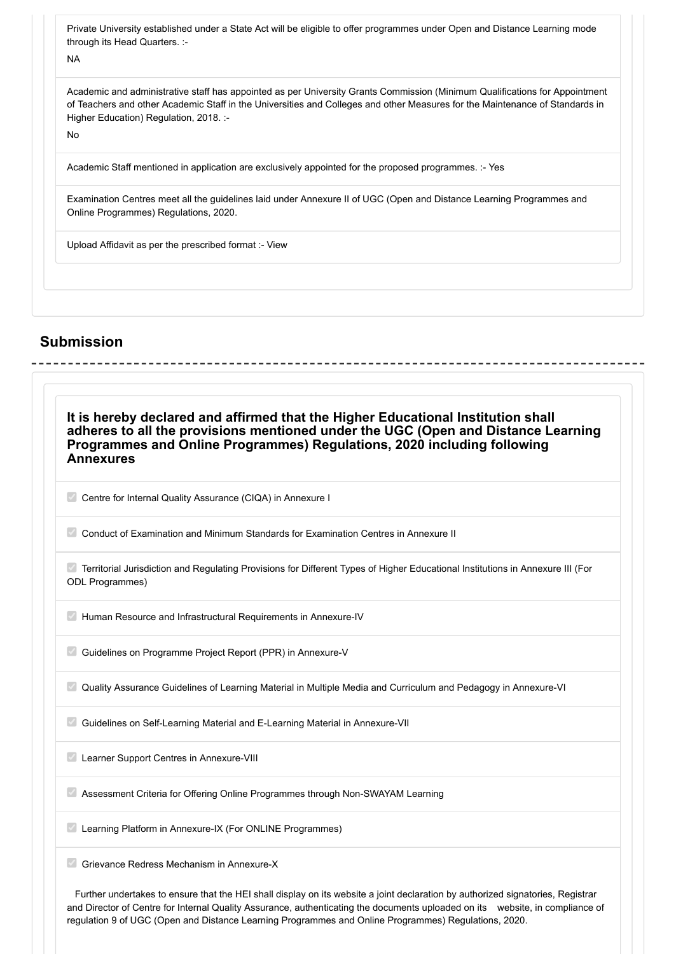Private University established under a State Act will be eligible to offer programmes under Open and Distance Learning mode through its Head Quarters. :-

NA

Academic and administrative staff has appointed as per University Grants Commission (Minimum Qualifications for Appointment of Teachers and other Academic Staff in the Universities and Colleges and other Measures for the Maintenance of Standards in Higher Education) Regulation, 2018. :-

No

Academic Staff mentioned in application are exclusively appointed for the proposed programmes. :- Yes

Examination Centres meet all the guidelines laid under Annexure II of UGC (Open and Distance Learning Programmes and Online Programmes) Regulations, 2020.

Upload Affidavit as per the prescribed format :- View

### **Submission**

| It is hereby declared and affirmed that the Higher Educational Institution shall<br>adheres to all the provisions mentioned under the UGC (Open and Distance Learning<br>Programmes and Online Programmes) Regulations, 2020 including following<br><b>Annexures</b> |                                                                                                                                |
|----------------------------------------------------------------------------------------------------------------------------------------------------------------------------------------------------------------------------------------------------------------------|--------------------------------------------------------------------------------------------------------------------------------|
| Centre for Internal Quality Assurance (CIQA) in Annexure I                                                                                                                                                                                                           |                                                                                                                                |
| Conduct of Examination and Minimum Standards for Examination Centres in Annexure II                                                                                                                                                                                  |                                                                                                                                |
| <b>ODL Programmes)</b>                                                                                                                                                                                                                                               | Territorial Jurisdiction and Regulating Provisions for Different Types of Higher Educational Institutions in Annexure III (For |
| Human Resource and Infrastructural Requirements in Annexure-IV                                                                                                                                                                                                       |                                                                                                                                |
| Guidelines on Programme Project Report (PPR) in Annexure-V                                                                                                                                                                                                           |                                                                                                                                |
|                                                                                                                                                                                                                                                                      | Quality Assurance Guidelines of Learning Material in Multiple Media and Curriculum and Pedagogy in Annexure-VI                 |
| Guidelines on Self-Learning Material and E-Learning Material in Annexure-VII                                                                                                                                                                                         |                                                                                                                                |
| Learner Support Centres in Annexure-VIII                                                                                                                                                                                                                             |                                                                                                                                |
| Assessment Criteria for Offering Online Programmes through Non-SWAYAM Learning                                                                                                                                                                                       |                                                                                                                                |
| Learning Platform in Annexure-IX (For ONLINE Programmes)                                                                                                                                                                                                             |                                                                                                                                |

Further undertakes to ensure that the HEI shall display on its website a joint declaration by authorized signatories, Registrar and Director of Centre for Internal Quality Assurance, authenticating the documents uploaded on its website, in compliance of regulation 9 of UGC (Open and Distance Learning Programmes and Online Programmes) Regulations, 2020.